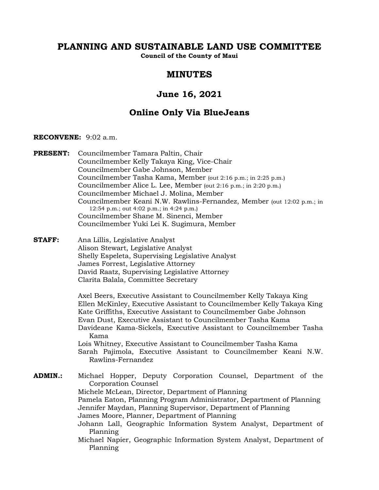# **PLANNING AND SUSTAINABLE LAND USE COMMITTEE**

**Council of the County of Maui**

# **MINUTES**

# **June 16, 2021**

# **Online Only Via BlueJeans**

#### **RECONVENE:** 9:02 a.m.

**PRESENT:** Councilmember Tamara Paltin, Chair Councilmember Kelly Takaya King, Vice-Chair Councilmember Gabe Johnson, Member Councilmember Tasha Kama, Member (out 2:16 p.m.; in 2:25 p.m.) Councilmember Alice L. Lee, Member (out 2:16 p.m.; in 2:20 p.m.) Councilmember Michael J. Molina, Member Councilmember Keani N.W. Rawlins-Fernandez, Member (out 12:02 p.m.; in 12:54 p.m.; out 4:02 p.m.; in 4:24 p.m.) Councilmember Shane M. Sinenci, Member Councilmember Yuki Lei K. Sugimura, Member **STAFF:** Ana Lillis, Legislative Analyst Alison Stewart, Legislative Analyst Shelly Espeleta, Supervising Legislative Analyst James Forrest, Legislative Attorney David Raatz, Supervising Legislative Attorney Clarita Balala, Committee Secretary Axel Beers, Executive Assistant to Councilmember Kelly Takaya King Ellen McKinley, Executive Assistant to Councilmember Kelly Takaya King Kate Griffiths, Executive Assistant to Councilmember Gabe Johnson Evan Dust, Executive Assistant to Councilmember Tasha Kama Davideane Kama-Sickels, Executive Assistant to Councilmember Tasha Kama Lois Whitney, Executive Assistant to Councilmember Tasha Kama Sarah Pajimola, Executive Assistant to Councilmember Keani N.W. Rawlins-Fernandez **ADMIN.:** Michael Hopper, Deputy Corporation Counsel, Department of the Corporation Counsel Michele McLean, Director, Department of Planning Pamela Eaton, Planning Program Administrator, Department of Planning Jennifer Maydan, Planning Supervisor, Department of Planning James Moore, Planner, Department of Planning Johann Lall, Geographic Information System Analyst, Department of Planning Michael Napier, Geographic Information System Analyst, Department of Planning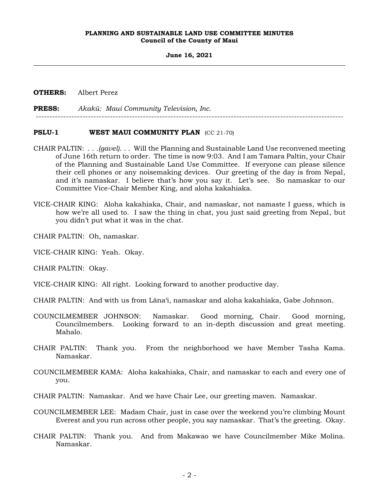#### **June 16, 2021**

**OTHERS:** Albert Perez

**PRESS:** *Akakū: Maui Community Television, Inc.*

#### **PSLU-1 WEST MAUI COMMUNITY PLAN** (CC 21-70)

CHAIR PALTIN: . . .*(gavel)*. . . Will the Planning and Sustainable Land Use reconvened meeting of June 16th return to order. The time is now 9:03. And I am Tamara Paltin, your Chair of the Planning and Sustainable Land Use Committee. If everyone can please silence their cell phones or any noisemaking devices. Our greeting of the day is from Nepal, and it's namaskar. I believe that's how you say it. Let's see. So namaskar to our Committee Vice-Chair Member King, and aloha kakahiaka.

----------------------------------------------------------------------------------------------------------------

- VICE-CHAIR KING: Aloha kakahiaka, Chair, and namaskar, not namaste I guess, which is how we're all used to. I saw the thing in chat, you just said greeting from Nepal, but you didn't put what it was in the chat.
- CHAIR PALTIN: Oh, namaskar.
- VICE-CHAIR KING: Yeah. Okay.

CHAIR PALTIN: Okay.

VICE-CHAIR KING: All right. Looking forward to another productive day.

- CHAIR PALTIN: And with us from Lāna'i, namaskar and aloha kakahiaka, Gabe Johnson.
- COUNCILMEMBER JOHNSON: Namaskar. Good morning, Chair. Good morning, Councilmembers. Looking forward to an in-depth discussion and great meeting. Mahalo.
- CHAIR PALTIN: Thank you. From the neighborhood we have Member Tasha Kama. Namaskar.
- COUNCILMEMBER KAMA: Aloha kakahiaka, Chair, and namaskar to each and every one of you.
- CHAIR PALTIN: Namaskar. And we have Chair Lee, our greeting maven. Namaskar.
- COUNCILMEMBER LEE: Madam Chair, just in case over the weekend you're climbing Mount Everest and you run across other people, you say namaskar. That's the greeting. Okay.
- CHAIR PALTIN: Thank you. And from Makawao we have Councilmember Mike Molina. Namaskar.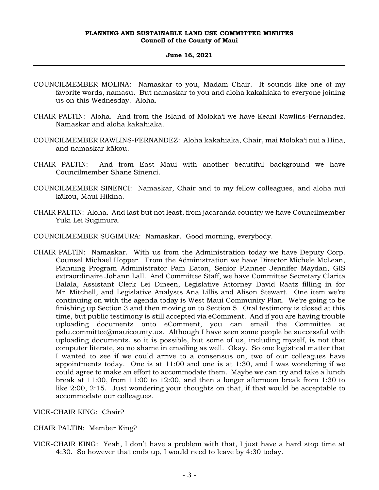- COUNCILMEMBER MOLINA: Namaskar to you, Madam Chair. It sounds like one of my favorite words, namasu. But namaskar to you and aloha kakahiaka to everyone joining us on this Wednesday. Aloha.
- CHAIR PALTIN: Aloha. And from the Island of Moloka'i we have Keani Rawlins-Fernandez. Namaskar and aloha kakahiaka.
- COUNCILMEMBER RAWLINS-FERNANDEZ: Aloha kakahiaka, Chair, mai Moloka'i nui a Hina, and namaskar kākou.
- CHAIR PALTIN: And from East Maui with another beautiful background we have Councilmember Shane Sinenci.
- COUNCILMEMBER SINENCI: Namaskar, Chair and to my fellow colleagues, and aloha nui kākou, Maui Hikina.
- CHAIR PALTIN: Aloha. And last but not least, from jacaranda country we have Councilmember Yuki Lei Sugimura.
- COUNCILMEMBER SUGIMURA: Namaskar. Good morning, everybody.
- CHAIR PALTIN: Namaskar. With us from the Administration today we have Deputy Corp. Counsel Michael Hopper. From the Administration we have Director Michele McLean, Planning Program Administrator Pam Eaton, Senior Planner Jennifer Maydan, GIS extraordinaire Johann Lall. And Committee Staff, we have Committee Secretary Clarita Balala, Assistant Clerk Lei Dineen, Legislative Attorney David Raatz filling in for Mr. Mitchell, and Legislative Analysts Ana Lillis and Alison Stewart. One item we're continuing on with the agenda today is West Maui Community Plan. We're going to be finishing up Section 3 and then moving on to Section 5. Oral testimony is closed at this time, but public testimony is still accepted via eComment. And if you are having trouble uploading documents onto eComment, you can email the Committee at pslu.committee@mauicounty.us. Although I have seen some people be successful with uploading documents, so it is possible, but some of us, including myself, is not that computer literate, so no shame in emailing as well. Okay. So one logistical matter that I wanted to see if we could arrive to a consensus on, two of our colleagues have appointments today. One is at 11:00 and one is at 1:30, and I was wondering if we could agree to make an effort to accommodate them. Maybe we can try and take a lunch break at 11:00, from 11:00 to 12:00, and then a longer afternoon break from 1:30 to like 2:00, 2:15. Just wondering your thoughts on that, if that would be acceptable to accommodate our colleagues.
- VICE-CHAIR KING: Chair?
- CHAIR PALTIN: Member King?
- VICE-CHAIR KING: Yeah, I don't have a problem with that, I just have a hard stop time at 4:30. So however that ends up, I would need to leave by 4:30 today.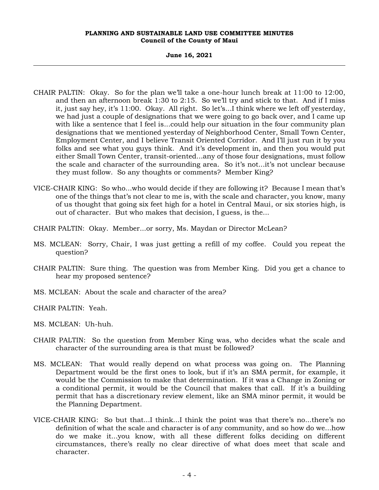- CHAIR PALTIN: Okay. So for the plan we'll take a one-hour lunch break at 11:00 to 12:00, and then an afternoon break 1:30 to 2:15. So we'll try and stick to that. And if I miss it, just say hey, it's 11:00. Okay. All right. So let's...I think where we left off yesterday, we had just a couple of designations that we were going to go back over, and I came up with like a sentence that I feel is...could help our situation in the four community plan designations that we mentioned yesterday of Neighborhood Center, Small Town Center, Employment Center, and I believe Transit Oriented Corridor. And I'll just run it by you folks and see what you guys think. And it's development in, and then you would put either Small Town Center, transit-oriented...any of those four designations, must follow the scale and character of the surrounding area. So it's not...it's not unclear because they must follow. So any thoughts or comments? Member King?
- VICE-CHAIR KING: So who...who would decide if they are following it? Because I mean that's one of the things that's not clear to me is, with the scale and character, you know, many of us thought that going six feet high for a hotel in Central Maui, or six stories high, is out of character. But who makes that decision, I guess, is the...
- CHAIR PALTIN: Okay. Member...or sorry, Ms. Maydan or Director McLean?
- MS. MCLEAN: Sorry, Chair, I was just getting a refill of my coffee. Could you repeat the question?
- CHAIR PALTIN: Sure thing. The question was from Member King. Did you get a chance to hear my proposed sentence?
- MS. MCLEAN: About the scale and character of the area?
- CHAIR PALTIN: Yeah.
- MS. MCLEAN: Uh-huh.
- CHAIR PALTIN: So the question from Member King was, who decides what the scale and character of the surrounding area is that must be followed?
- MS. MCLEAN: That would really depend on what process was going on. The Planning Department would be the first ones to look, but if it's an SMA permit, for example, it would be the Commission to make that determination. If it was a Change in Zoning or a conditional permit, it would be the Council that makes that call. If it's a building permit that has a discretionary review element, like an SMA minor permit, it would be the Planning Department.
- VICE-CHAIR KING: So but that...I think...I think the point was that there's no...there's no definition of what the scale and character is of any community, and so how do we...how do we make it...you know, with all these different folks deciding on different circumstances, there's really no clear directive of what does meet that scale and character.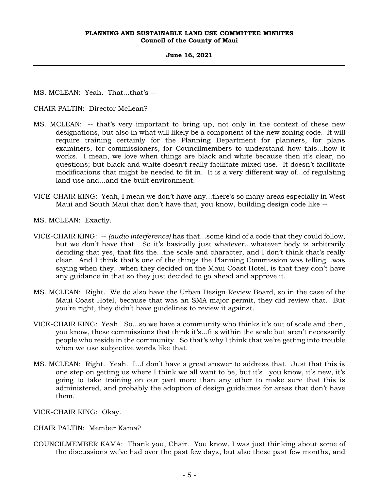**June 16, 2021**

MS. MCLEAN: Yeah. That...that's --

CHAIR PALTIN: Director McLean?

- MS. MCLEAN: -- that's very important to bring up, not only in the context of these new designations, but also in what will likely be a component of the new zoning code. It will require training certainly for the Planning Department for planners, for plans examiners, for commissioners, for Councilmembers to understand how this...how it works. I mean, we love when things are black and white because then it's clear, no questions; but black and white doesn't really facilitate mixed use. It doesn't facilitate modifications that might be needed to fit in. It is a very different way of...of regulating land use and...and the built environment.
- VICE-CHAIR KING: Yeah, I mean we don't have any...there's so many areas especially in West Maui and South Maui that don't have that, you know, building design code like --
- MS. MCLEAN: Exactly.
- VICE-CHAIR KING: -- *(audio interference)* has that...some kind of a code that they could follow, but we don't have that. So it's basically just whatever...whatever body is arbitrarily deciding that yes, that fits the...the scale and character, and I don't think that's really clear. And I think that's one of the things the Planning Commission was telling...was saying when they...when they decided on the Maui Coast Hotel, is that they don't have any guidance in that so they just decided to go ahead and approve it.
- MS. MCLEAN: Right. We do also have the Urban Design Review Board, so in the case of the Maui Coast Hotel, because that was an SMA major permit, they did review that. But you're right, they didn't have guidelines to review it against.
- VICE-CHAIR KING: Yeah. So...so we have a community who thinks it's out of scale and then, you know, these commissions that think it's...fits within the scale but aren't necessarily people who reside in the community. So that's why I think that we're getting into trouble when we use subjective words like that.
- MS. MCLEAN: Right. Yeah. I...I don't have a great answer to address that. Just that this is one step on getting us where I think we all want to be, but it's...you know, it's new, it's going to take training on our part more than any other to make sure that this is administered, and probably the adoption of design guidelines for areas that don't have them.

VICE-CHAIR KING: Okay.

- CHAIR PALTIN: Member Kama?
- COUNCILMEMBER KAMA: Thank you, Chair. You know, I was just thinking about some of the discussions we've had over the past few days, but also these past few months, and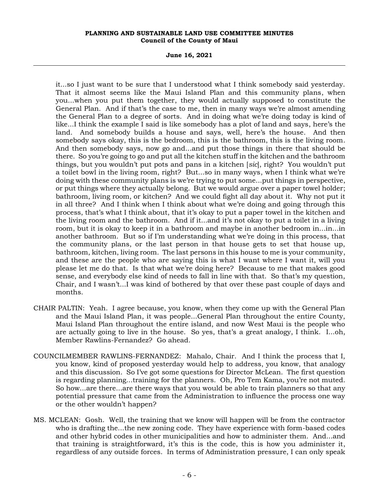**June 16, 2021**

it...so I just want to be sure that I understood what I think somebody said yesterday. That it almost seems like the Maui Island Plan and this community plans, when you...when you put them together, they would actually supposed to constitute the General Plan. And if that's the case to me, then in many ways we're almost amending the General Plan to a degree of sorts. And in doing what we're doing today is kind of like...I think the example I said is like somebody has a plot of land and says, here's the land. And somebody builds a house and says, well, here's the house. And then somebody says okay, this is the bedroom, this is the bathroom, this is the living room. And then somebody says, now go and...and put those things in there that should be there. So you're going to go and put all the kitchen stuff in the kitchen and the bathroom things, but you wouldn't put pots and pans in a kitchen [*sic*], right? You wouldn't put a toilet bowl in the living room, right? But...so in many ways, when I think what we're doing with these community plans is we're trying to put some...put things in perspective, or put things where they actually belong. But we would argue over a paper towel holder; bathroom, living room, or kitchen? And we could fight all day about it. Why not put it in all three? And I think when I think about what we're doing and going through this process, that's what I think about, that it's okay to put a paper towel in the kitchen and the living room and the bathroom. And if it...and it's not okay to put a toilet in a living room, but it is okay to keep it in a bathroom and maybe in another bedroom in...in...in another bathroom. But so if I'm understanding what we're doing in this process, that the community plans, or the last person in that house gets to set that house up, bathroom, kitchen, living room. The last persons in this house to me is your community, and these are the people who are saying this is what I want where I want it, will you please let me do that. Is that what we're doing here? Because to me that makes good sense, and everybody else kind of needs to fall in line with that. So that's my question, Chair, and I wasn't...I was kind of bothered by that over these past couple of days and months.

- CHAIR PALTIN: Yeah. I agree because, you know, when they come up with the General Plan and the Maui Island Plan, it was people...General Plan throughout the entire County, Maui Island Plan throughout the entire island, and now West Maui is the people who are actually going to live in the house. So yes, that's a great analogy, I think. I...oh, Member Rawlins-Fernandez? Go ahead.
- COUNCILMEMBER RAWLINS-FERNANDEZ: Mahalo, Chair. And I think the process that I, you know, kind of proposed yesterday would help to address, you know, that analogy and this discussion. So I've got some questions for Director McLean. The first question is regarding planning...training for the planners. Oh, Pro Tem Kama, you're not muted. So how...are there...are there ways that you would be able to train planners so that any potential pressure that came from the Administration to influence the process one way or the other wouldn't happen?
- MS. MCLEAN: Gosh. Well, the training that we know will happen will be from the contractor who is drafting the...the new zoning code. They have experience with form-based codes and other hybrid codes in other municipalities and how to administer them. And...and that training is straightforward, it's this is the code, this is how you administer it, regardless of any outside forces. In terms of Administration pressure, I can only speak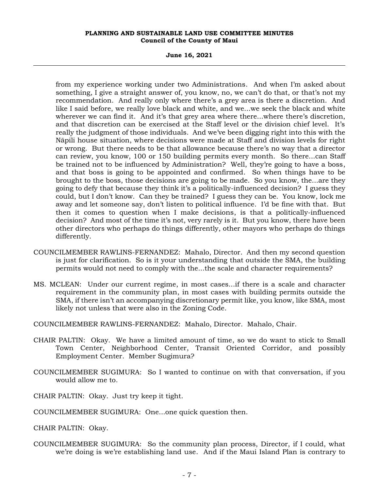**June 16, 2021**

from my experience working under two Administrations. And when I'm asked about something, I give a straight answer of, you know, no, we can't do that, or that's not my recommendation. And really only where there's a grey area is there a discretion. And like I said before, we really love black and white, and we...we seek the black and white wherever we can find it. And it's that grey area where there...where there's discretion, and that discretion can be exercised at the Staff level or the division chief level. It's really the judgment of those individuals. And we've been digging right into this with the Nāpili house situation, where decisions were made at Staff and division levels for right or wrong. But there needs to be that allowance because there's no way that a director can review, you know, 100 or 150 building permits every month. So there...can Staff be trained not to be influenced by Administration? Well, they're going to have a boss, and that boss is going to be appointed and confirmed. So when things have to be brought to the boss, those decisions are going to be made. So you know, the...are they going to defy that because they think it's a politically-influenced decision? I guess they could, but I don't know. Can they be trained? I guess they can be. You know, lock me away and let someone say, don't listen to political influence. I'd be fine with that. But then it comes to question when I make decisions, is that a politically-influenced decision? And most of the time it's not, very rarely is it. But you know, there have been other directors who perhaps do things differently, other mayors who perhaps do things differently.

- COUNCILMEMBER RAWLINS-FERNANDEZ: Mahalo, Director. And then my second question is just for clarification. So is it your understanding that outside the SMA, the building permits would not need to comply with the...the scale and character requirements?
- MS. MCLEAN: Under our current regime, in most cases...if there is a scale and character requirement in the community plan, in most cases with building permits outside the SMA, if there isn't an accompanying discretionary permit like, you know, like SMA, most likely not unless that were also in the Zoning Code.

COUNCILMEMBER RAWLINS-FERNANDEZ: Mahalo, Director. Mahalo, Chair.

- CHAIR PALTIN: Okay. We have a limited amount of time, so we do want to stick to Small Town Center, Neighborhood Center, Transit Oriented Corridor, and possibly Employment Center. Member Sugimura?
- COUNCILMEMBER SUGIMURA: So I wanted to continue on with that conversation, if you would allow me to.
- CHAIR PALTIN: Okay. Just try keep it tight.
- COUNCILMEMBER SUGIMURA: One...one quick question then.
- CHAIR PALTIN: Okay.
- COUNCILMEMBER SUGIMURA: So the community plan process, Director, if I could, what we're doing is we're establishing land use. And if the Maui Island Plan is contrary to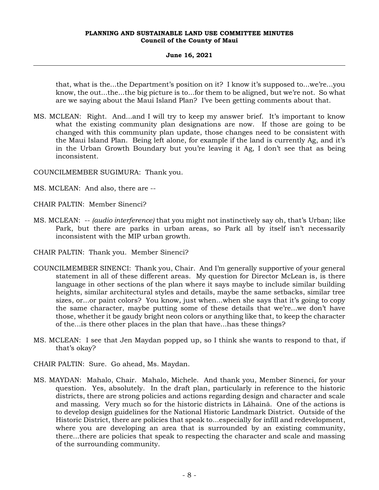#### **June 16, 2021**

that, what is the...the Department's position on it? I know it's supposed to...we're...you know, the out...the...the big picture is to...for them to be aligned, but we're not. So what are we saying about the Maui Island Plan? I've been getting comments about that.

MS. MCLEAN: Right. And...and I will try to keep my answer brief. It's important to know what the existing community plan designations are now. If those are going to be changed with this community plan update, those changes need to be consistent with the Maui Island Plan. Being left alone, for example if the land is currently Ag, and it's in the Urban Growth Boundary but you're leaving it Ag, I don't see that as being inconsistent.

COUNCILMEMBER SUGIMURA: Thank you.

- MS. MCLEAN: And also, there are --
- CHAIR PALTIN: Member Sinenci?
- MS. MCLEAN: -- *(audio interference)* that you might not instinctively say oh, that's Urban; like Park, but there are parks in urban areas, so Park all by itself isn't necessarily inconsistent with the MIP urban growth.
- CHAIR PALTIN: Thank you. Member Sinenci?
- COUNCILMEMBER SINENCI: Thank you, Chair. And I'm generally supportive of your general statement in all of these different areas. My question for Director McLean is, is there language in other sections of the plan where it says maybe to include similar building heights, similar architectural styles and details, maybe the same setbacks, similar tree sizes, or...or paint colors? You know, just when...when she says that it's going to copy the same character, maybe putting some of these details that we're...we don't have those, whether it be gaudy bright neon colors or anything like that, to keep the character of the...is there other places in the plan that have...has these things?
- MS. MCLEAN: I see that Jen Maydan popped up, so I think she wants to respond to that, if that's okay?
- CHAIR PALTIN: Sure. Go ahead, Ms. Maydan.
- MS. MAYDAN: Mahalo, Chair. Mahalo, Michele. And thank you, Member Sinenci, for your question. Yes, absolutely. In the draft plan, particularly in reference to the historic districts, there are strong policies and actions regarding design and character and scale and massing. Very much so for the historic districts in Lāhainā. One of the actions is to develop design guidelines for the National Historic Landmark District. Outside of the Historic District, there are policies that speak to...especially for infill and redevelopment, where you are developing an area that is surrounded by an existing community, there...there are policies that speak to respecting the character and scale and massing of the surrounding community.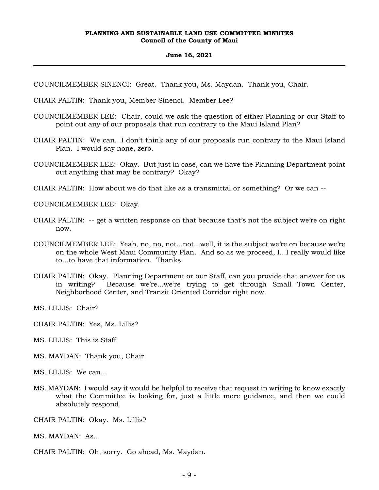#### **June 16, 2021**

COUNCILMEMBER SINENCI: Great. Thank you, Ms. Maydan. Thank you, Chair.

- CHAIR PALTIN: Thank you, Member Sinenci. Member Lee?
- COUNCILMEMBER LEE: Chair, could we ask the question of either Planning or our Staff to point out any of our proposals that run contrary to the Maui Island Plan?
- CHAIR PALTIN: We can...I don't think any of our proposals run contrary to the Maui Island Plan. I would say none, zero.
- COUNCILMEMBER LEE: Okay. But just in case, can we have the Planning Department point out anything that may be contrary? Okay?
- CHAIR PALTIN: How about we do that like as a transmittal or something? Or we can --

COUNCILMEMBER LEE: Okay.

- CHAIR PALTIN: -- get a written response on that because that's not the subject we're on right now.
- COUNCILMEMBER LEE: Yeah, no, no, not...not...well, it is the subject we're on because we're on the whole West Maui Community Plan. And so as we proceed, I...I really would like to to have that information. Thanks
- CHAIR PALTIN: Okay. Planning Department or our Staff, can you provide that answer for us in writing? Because we're...we're trying to get through Small Town Center, Neighborhood Center, and Transit Oriented Corridor right now.

MS. LILLIS: Chair?

- CHAIR PALTIN: Yes, Ms. Lillis?
- MS. LILLIS: This is Staff.
- MS. MAYDAN: Thank you, Chair.
- MS. LILLIS: We can...
- MS. MAYDAN: I would say it would be helpful to receive that request in writing to know exactly what the Committee is looking for, just a little more guidance, and then we could absolutely respond.
- CHAIR PALTIN: Okay. Ms. Lillis?
- MS. MAYDAN: As...
- CHAIR PALTIN: Oh, sorry. Go ahead, Ms. Maydan.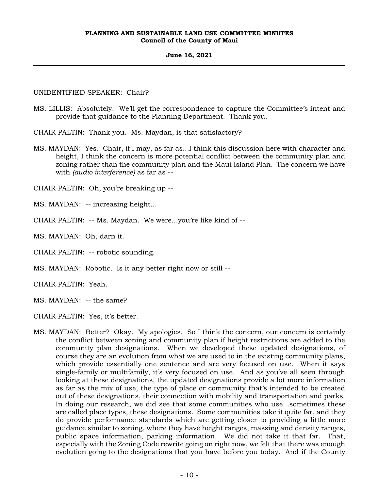# **June 16, 2021**

# UNIDENTIFIED SPEAKER: Chair?

MS. LILLIS: Absolutely. We'll get the correspondence to capture the Committee's intent and provide that guidance to the Planning Department. Thank you.

CHAIR PALTIN: Thank you. Ms. Maydan, is that satisfactory?

MS. MAYDAN: Yes. Chair, if I may, as far as...I think this discussion here with character and height, I think the concern is more potential conflict between the community plan and zoning rather than the community plan and the Maui Island Plan. The concern we have with *(audio interference)* as far as --

CHAIR PALTIN: Oh, you're breaking up --

MS. MAYDAN: -- increasing height...

CHAIR PALTIN: -- Ms. Maydan. We were...you're like kind of --

MS. MAYDAN: Oh, darn it.

CHAIR PALTIN: -- robotic sounding.

MS. MAYDAN: Robotic. Is it any better right now or still --

CHAIR PALTIN: Yeah.

MS. MAYDAN: -- the same?

CHAIR PALTIN: Yes, it's better.

MS. MAYDAN: Better? Okay. My apologies. So I think the concern, our concern is certainly the conflict between zoning and community plan if height restrictions are added to the community plan designations. When we developed these updated designations, of course they are an evolution from what we are used to in the existing community plans, which provide essentially one sentence and are very focused on use. When it says single-family or multifamily, it's very focused on use. And as you've all seen through looking at these designations, the updated designations provide a lot more information as far as the mix of use, the type of place or community that's intended to be created out of these designations, their connection with mobility and transportation and parks. In doing our research, we did see that some communities who use...sometimes these are called place types, these designations. Some communities take it quite far, and they do provide performance standards which are getting closer to providing a little more guidance similar to zoning, where they have height ranges, massing and density ranges, public space information, parking information. We did not take it that far. That, especially with the Zoning Code rewrite going on right now, we felt that there was enough evolution going to the designations that you have before you today. And if the County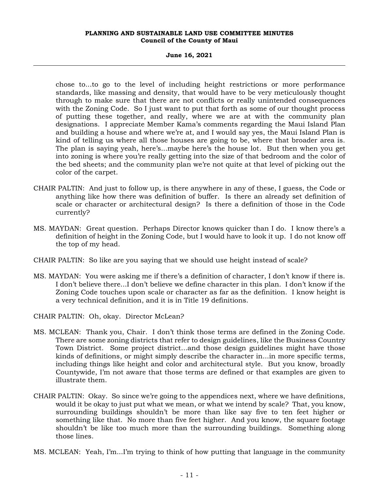#### **June 16, 2021**

chose to...to go to the level of including height restrictions or more performance standards, like massing and density, that would have to be very meticulously thought through to make sure that there are not conflicts or really unintended consequences with the Zoning Code. So I just want to put that forth as some of our thought process of putting these together, and really, where we are at with the community plan designations. I appreciate Member Kama's comments regarding the Maui Island Plan and building a house and where we're at, and I would say yes, the Maui Island Plan is kind of telling us where all those houses are going to be, where that broader area is. The plan is saying yeah, here's...maybe here's the house lot. But then when you get into zoning is where you're really getting into the size of that bedroom and the color of the bed sheets; and the community plan we're not quite at that level of picking out the color of the carpet.

- CHAIR PALTIN: And just to follow up, is there anywhere in any of these, I guess, the Code or anything like how there was definition of buffer. Is there an already set definition of scale or character or architectural design? Is there a definition of those in the Code currently?
- MS. MAYDAN: Great question. Perhaps Director knows quicker than I do. I know there's a definition of height in the Zoning Code, but I would have to look it up. I do not know off the top of my head.
- CHAIR PALTIN: So like are you saying that we should use height instead of scale?
- MS. MAYDAN: You were asking me if there's a definition of character, I don't know if there is. I don't believe there...I don't believe we define character in this plan. I don't know if the Zoning Code touches upon scale or character as far as the definition. I know height is a very technical definition, and it is in Title 19 definitions.
- CHAIR PALTIN: Oh, okay. Director McLean?
- MS. MCLEAN: Thank you, Chair. I don't think those terms are defined in the Zoning Code. There are some zoning districts that refer to design guidelines, like the Business Country Town District. Some project district...and those design guidelines might have those kinds of definitions, or might simply describe the character in...in more specific terms, including things like height and color and architectural style. But you know, broadly Countywide, I'm not aware that those terms are defined or that examples are given to illustrate them.
- CHAIR PALTIN: Okay. So since we're going to the appendices next, where we have definitions, would it be okay to just put what we mean, or what we intend by scale? That, you know, surrounding buildings shouldn't be more than like say five to ten feet higher or something like that. No more than five feet higher. And you know, the square footage shouldn't be like too much more than the surrounding buildings. Something along those lines.
- MS. MCLEAN: Yeah, I'm...I'm trying to think of how putting that language in the community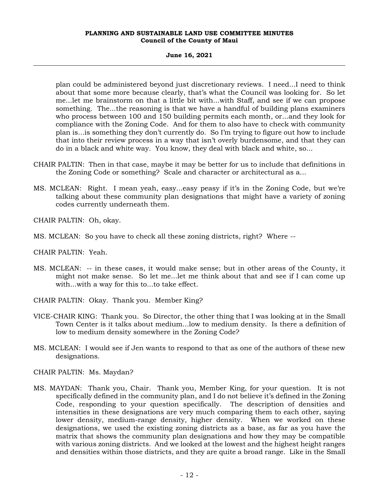#### **June 16, 2021**

plan could be administered beyond just discretionary reviews. I need...I need to think about that some more because clearly, that's what the Council was looking for. So let me...let me brainstorm on that a little bit with...with Staff, and see if we can propose something. The...the reasoning is that we have a handful of building plans examiners who process between 100 and 150 building permits each month, or...and they look for compliance with the Zoning Code. And for them to also have to check with community plan is...is something they don't currently do. So I'm trying to figure out how to include that into their review process in a way that isn't overly burdensome, and that they can do in a black and white way. You know, they deal with black and white, so...

- CHAIR PALTIN: Then in that case, maybe it may be better for us to include that definitions in the Zoning Code or something? Scale and character or architectural as a...
- MS. MCLEAN: Right. I mean yeah, easy...easy peasy if it's in the Zoning Code, but we're talking about these community plan designations that might have a variety of zoning codes currently underneath them.

CHAIR PALTIN: Oh, okay.

MS. MCLEAN: So you have to check all these zoning districts, right? Where --

CHAIR PALTIN: Yeah.

- MS. MCLEAN: -- in these cases, it would make sense; but in other areas of the County, it might not make sense. So let me...let me think about that and see if I can come up with...with a way for this to...to take effect.
- CHAIR PALTIN: Okay. Thank you. Member King?
- VICE-CHAIR KING: Thank you. So Director, the other thing that I was looking at in the Small Town Center is it talks about medium...low to medium density. Is there a definition of low to medium density somewhere in the Zoning Code?
- MS. MCLEAN: I would see if Jen wants to respond to that as one of the authors of these new designations.
- CHAIR PALTIN: Ms. Maydan?
- MS. MAYDAN: Thank you, Chair. Thank you, Member King, for your question. It is not specifically defined in the community plan, and I do not believe it's defined in the Zoning Code, responding to your question specifically. The description of densities and intensities in these designations are very much comparing them to each other, saying lower density, medium-range density, higher density. When we worked on these designations, we used the existing zoning districts as a base, as far as you have the matrix that shows the community plan designations and how they may be compatible with various zoning districts. And we looked at the lowest and the highest height ranges and densities within those districts, and they are quite a broad range. Like in the Small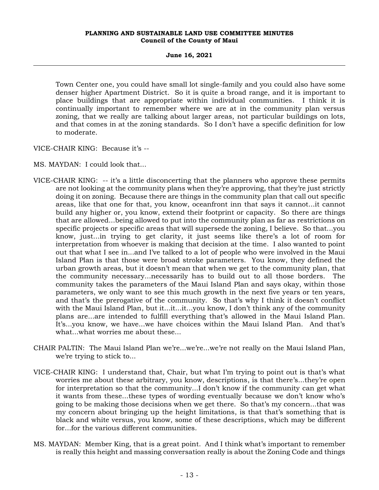**June 16, 2021**

Town Center one, you could have small lot single-family and you could also have some denser higher Apartment District. So it is quite a broad range, and it is important to place buildings that are appropriate within individual communities. I think it is continually important to remember where we are at in the community plan versus zoning, that we really are talking about larger areas, not particular buildings on lots, and that comes in at the zoning standards. So I don't have a specific definition for low to moderate.

VICE-CHAIR KING: Because it's --

MS. MAYDAN: I could look that...

- VICE-CHAIR KING: -- it's a little disconcerting that the planners who approve these permits are not looking at the community plans when they're approving, that they're just strictly doing it on zoning. Because there are things in the community plan that call out specific areas, like that one for that, you know, oceanfront inn that says it cannot...it cannot build any higher or, you know, extend their footprint or capacity. So there are things that are allowed...being allowed to put into the community plan as far as restrictions on specific projects or specific areas that will supersede the zoning, I believe. So that...you know, just...in trying to get clarity, it just seems like there's a lot of room for interpretation from whoever is making that decision at the time. I also wanted to point out that what I see in...and I've talked to a lot of people who were involved in the Maui Island Plan is that those were broad stroke parameters. You know, they defined the urban growth areas, but it doesn't mean that when we get to the community plan, that the community necessary...necessarily has to build out to all those borders. The community takes the parameters of the Maui Island Plan and says okay, within those parameters, we only want to see this much growth in the next five years or ten years, and that's the prerogative of the community. So that's why I think it doesn't conflict with the Maui Island Plan, but it...it...it...you know, I don't think any of the community plans are...are intended to fulfill everything that's allowed in the Maui Island Plan. It's...you know, we have...we have choices within the Maui Island Plan. And that's what...what worries me about these...
- CHAIR PALTIN: The Maui Island Plan we're...we're...we're not really on the Maui Island Plan, we're trying to stick to...
- VICE-CHAIR KING: I understand that, Chair, but what I'm trying to point out is that's what worries me about these arbitrary, you know, descriptions, is that there's...they're open for interpretation so that the community...I don't know if the community can get what it wants from these...these types of wording eventually because we don't know who's going to be making those decisions when we get there. So that's my concern...that was my concern about bringing up the height limitations, is that that's something that is black and white versus, you know, some of these descriptions, which may be different for...for the various different communities.
- MS. MAYDAN: Member King, that is a great point. And I think what's important to remember is really this height and massing conversation really is about the Zoning Code and things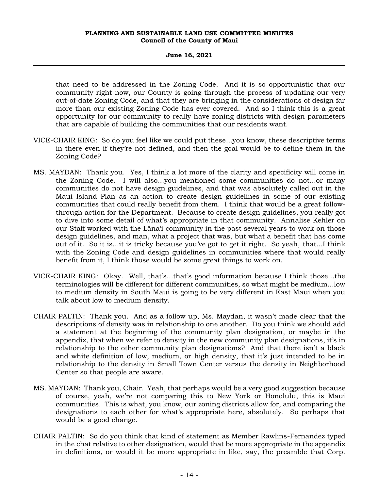#### **June 16, 2021**

that need to be addressed in the Zoning Code. And it is so opportunistic that our community right now, our County is going through the process of updating our very out-of-date Zoning Code, and that they are bringing in the considerations of design far more than our existing Zoning Code has ever covered. And so I think this is a great opportunity for our community to really have zoning districts with design parameters that are capable of building the communities that our residents want.

- VICE-CHAIR KING: So do you feel like we could put these...you know, these descriptive terms in there even if they're not defined, and then the goal would be to define them in the Zoning Code?
- MS. MAYDAN: Thank you. Yes, I think a lot more of the clarity and specificity will come in the Zoning Code. I will also...you mentioned some communities do not...or many communities do not have design guidelines, and that was absolutely called out in the Maui Island Plan as an action to create design guidelines in some of our existing communities that could really benefit from them. I think that would be a great followthrough action for the Department. Because to create design guidelines, you really got to dive into some detail of what's appropriate in that community. Annalise Kehler on our Staff worked with the Lāna'i community in the past several years to work on those design guidelines, and man, what a project that was, but what a benefit that has come out of it. So it is...it is tricky because you've got to get it right. So yeah, that...I think with the Zoning Code and design guidelines in communities where that would really benefit from it, I think those would be some great things to work on.
- VICE-CHAIR KING: Okay. Well, that's...that's good information because I think those...the terminologies will be different for different communities, so what might be medium...low to medium density in South Maui is going to be very different in East Maui when you talk about low to medium density.
- CHAIR PALTIN: Thank you. And as a follow up, Ms. Maydan, it wasn't made clear that the descriptions of density was in relationship to one another. Do you think we should add a statement at the beginning of the community plan designation, or maybe in the appendix, that when we refer to density in the new community plan designations, it's in relationship to the other community plan designations? And that there isn't a black and white definition of low, medium, or high density, that it's just intended to be in relationship to the density in Small Town Center versus the density in Neighborhood Center so that people are aware.
- MS. MAYDAN: Thank you, Chair. Yeah, that perhaps would be a very good suggestion because of course, yeah, we're not comparing this to New York or Honolulu, this is Maui communities. This is what, you know, our zoning districts allow for, and comparing the designations to each other for what's appropriate here, absolutely. So perhaps that would be a good change.
- CHAIR PALTIN: So do you think that kind of statement as Member Rawlins-Fernandez typed in the chat relative to other designation, would that be more appropriate in the appendix in definitions, or would it be more appropriate in like, say, the preamble that Corp.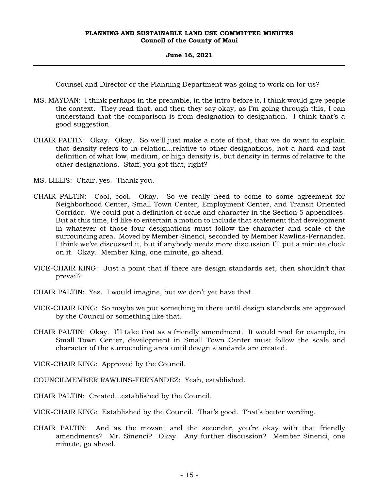#### **June 16, 2021**

Counsel and Director or the Planning Department was going to work on for us?

- MS. MAYDAN: I think perhaps in the preamble, in the intro before it, I think would give people the context. They read that, and then they say okay, as I'm going through this, I can understand that the comparison is from designation to designation. I think that's a good suggestion.
- CHAIR PALTIN: Okay. Okay. So we'll just make a note of that, that we do want to explain that density refers to in relation...relative to other designations, not a hard and fast definition of what low, medium, or high density is, but density in terms of relative to the other designations. Staff, you got that, right?
- MS. LILLIS: Chair, yes. Thank you.
- CHAIR PALTIN: Cool, cool. Okay. So we really need to come to some agreement for Neighborhood Center, Small Town Center, Employment Center, and Transit Oriented Corridor. We could put a definition of scale and character in the Section 5 appendices. But at this time, I'd like to entertain a motion to include that statement that development in whatever of those four designations must follow the character and scale of the surrounding area. Moved by Member Sinenci, seconded by Member Rawlins-Fernandez. I think we've discussed it, but if anybody needs more discussion I'll put a minute clock on it. Okay. Member King, one minute, go ahead.
- VICE-CHAIR KING: Just a point that if there are design standards set, then shouldn't that prevail?
- CHAIR PALTIN: Yes. I would imagine, but we don't yet have that.
- VICE-CHAIR KING: So maybe we put something in there until design standards are approved by the Council or something like that.
- CHAIR PALTIN: Okay. I'll take that as a friendly amendment. It would read for example, in Small Town Center, development in Small Town Center must follow the scale and character of the surrounding area until design standards are created.
- VICE-CHAIR KING: Approved by the Council.
- COUNCILMEMBER RAWLINS-FERNANDEZ: Yeah, established.
- CHAIR PALTIN: Created...established by the Council.
- VICE-CHAIR KING: Established by the Council. That's good. That's better wording.
- CHAIR PALTIN: And as the movant and the seconder, you're okay with that friendly amendments? Mr. Sinenci? Okay. Any further discussion? Member Sinenci, one minute, go ahead.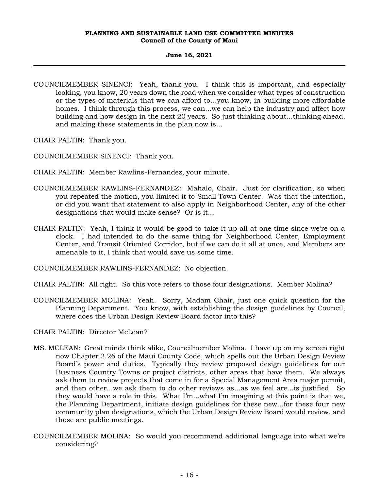# **June 16, 2021**

COUNCILMEMBER SINENCI: Yeah, thank you. I think this is important, and especially looking, you know, 20 years down the road when we consider what types of construction or the types of materials that we can afford to...you know, in building more affordable homes. I think through this process, we can...we can help the industry and affect how building and how design in the next 20 years. So just thinking about...thinking ahead, and making these statements in the plan now is...

CHAIR PALTIN: Thank you.

COUNCILMEMBER SINENCI: Thank you.

- CHAIR PALTIN: Member Rawlins-Fernandez, your minute.
- COUNCILMEMBER RAWLINS-FERNANDEZ: Mahalo, Chair. Just for clarification, so when you repeated the motion, you limited it to Small Town Center. Was that the intention, or did you want that statement to also apply in Neighborhood Center, any of the other designations that would make sense? Or is it...
- CHAIR PALTIN: Yeah, I think it would be good to take it up all at one time since we're on a clock. I had intended to do the same thing for Neighborhood Center, Employment Center, and Transit Oriented Corridor, but if we can do it all at once, and Members are amenable to it, I think that would save us some time.

COUNCILMEMBER RAWLINS-FERNANDEZ: No objection.

- CHAIR PALTIN: All right. So this vote refers to those four designations. Member Molina?
- COUNCILMEMBER MOLINA: Yeah. Sorry, Madam Chair, just one quick question for the Planning Department. You know, with establishing the design guidelines by Council, where does the Urban Design Review Board factor into this?
- CHAIR PALTIN: Director McLean?
- MS. MCLEAN: Great minds think alike, Councilmember Molina. I have up on my screen right now Chapter 2.26 of the Maui County Code, which spells out the Urban Design Review Board's power and duties. Typically they review proposed design guidelines for our Business Country Towns or project districts, other areas that have them. We always ask them to review projects that come in for a Special Management Area major permit, and then other...we ask them to do other reviews as...as we feel are...is justified. So they would have a role in this. What I'm...what I'm imagining at this point is that we, the Planning Department, initiate design guidelines for these new...for these four new community plan designations, which the Urban Design Review Board would review, and those are public meetings.
- COUNCILMEMBER MOLINA: So would you recommend additional language into what we're considering?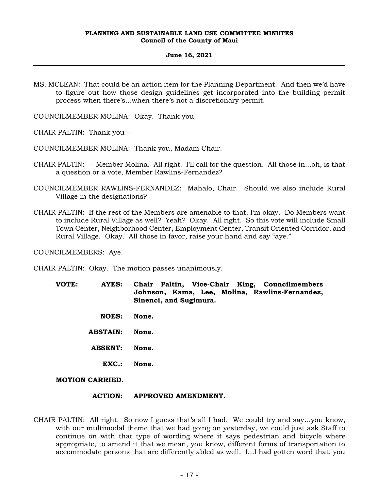#### **June 16, 2021**

MS. MCLEAN: That could be an action item for the Planning Department. And then we'd have to figure out how those design guidelines get incorporated into the building permit process when there's...when there's not a discretionary permit.

COUNCILMEMBER MOLINA: Okay. Thank you.

CHAIR PALTIN: Thank you --

COUNCILMEMBER MOLINA: Thank you, Madam Chair.

- CHAIR PALTIN: -- Member Molina. All right. I'll call for the question. All those in...oh, is that a question or a vote, Member Rawlins-Fernandez?
- COUNCILMEMBER RAWLINS-FERNANDEZ: Mahalo, Chair. Should we also include Rural Village in the designations?
- CHAIR PALTIN: If the rest of the Members are amenable to that, I'm okay. Do Members want to include Rural Village as well? Yeah? Okay. All right. So this vote will include Small Town Center, Neighborhood Center, Employment Center, Transit Oriented Corridor, and Rural Village. Okay. All those in favor, raise your hand and say "aye."

COUNCILMEMBERS: Aye.

CHAIR PALTIN: Okay. The motion passes unanimously.

- **VOTE: AYES: Chair Paltin, Vice-Chair King, Councilmembers Johnson, Kama, Lee, Molina, Rawlins-Fernandez, Sinenci, and Sugimura.**
	- **NOES: None.**
	- **ABSTAIN: None.**
	- **ABSENT: None.**
		- **EXC.: None.**
- **MOTION CARRIED.**

# **ACTION: APPROVED AMENDMENT.**

CHAIR PALTIN: All right. So now I guess that's all I had. We could try and say...you know, with our multimodal theme that we had going on yesterday, we could just ask Staff to continue on with that type of wording where it says pedestrian and bicycle where appropriate, to amend it that we mean, you know, different forms of transportation to accommodate persons that are differently abled as well. I...I had gotten word that, you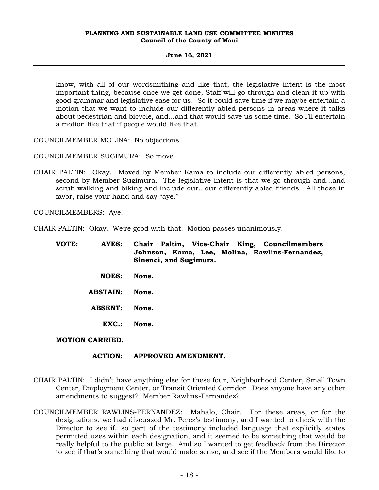# **June 16, 2021**

know, with all of our wordsmithing and like that, the legislative intent is the most important thing, because once we get done, Staff will go through and clean it up with good grammar and legislative ease for us. So it could save time if we maybe entertain a motion that we want to include our differently abled persons in areas where it talks about pedestrian and bicycle, and...and that would save us some time. So I'll entertain a motion like that if people would like that.

COUNCILMEMBER MOLINA: No objections.

COUNCILMEMBER SUGIMURA: So move.

CHAIR PALTIN: Okay. Moved by Member Kama to include our differently abled persons, second by Member Sugimura. The legislative intent is that we go through and...and scrub walking and biking and include our...our differently abled friends. All those in favor, raise your hand and say "aye."

COUNCILMEMBERS: Aye.

CHAIR PALTIN: Okay. We're good with that. Motion passes unanimously.

| VOTE: | <b>AYES:</b>    | Chair Paltin, Vice-Chair King, Councilmembers<br>Johnson, Kama, Lee, Molina, Rawlins-Fernandez,<br>Sinenci, and Sugimura. |
|-------|-----------------|---------------------------------------------------------------------------------------------------------------------------|
|       | <b>NOES:</b>    | None.                                                                                                                     |
|       | <b>ABSTAIN:</b> | None.                                                                                                                     |
|       | <b>ABSENT:</b>  | None.                                                                                                                     |
|       | EXC.            | None.                                                                                                                     |

**MOTION CARRIED.**

#### **ACTION: APPROVED AMENDMENT.**

- CHAIR PALTIN: I didn't have anything else for these four, Neighborhood Center, Small Town Center, Employment Center, or Transit Oriented Corridor. Does anyone have any other amendments to suggest? Member Rawlins-Fernandez?
- COUNCILMEMBER RAWLINS-FERNANDEZ: Mahalo, Chair. For these areas, or for the designations, we had discussed Mr. Perez's testimony, and I wanted to check with the Director to see if...so part of the testimony included language that explicitly states permitted uses within each designation, and it seemed to be something that would be really helpful to the public at large. And so I wanted to get feedback from the Director to see if that's something that would make sense, and see if the Members would like to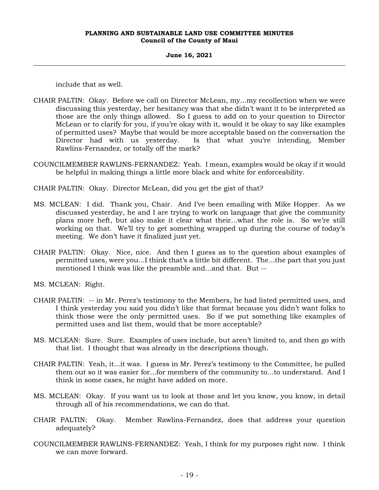#### **June 16, 2021**

include that as well.

- CHAIR PALTIN: Okay. Before we call on Director McLean, my...my recollection when we were discussing this yesterday, her hesitancy was that she didn't want it to be interpreted as those are the only things allowed. So I guess to add on to your question to Director McLean or to clarify for you, if you're okay with it, would it be okay to say like examples of permitted uses? Maybe that would be more acceptable based on the conversation the Director had with us yesterday. Is that what you're intending, Member Rawlins-Fernandez, or totally off the mark?
- COUNCILMEMBER RAWLINS-FERNANDEZ: Yeah. I mean, examples would be okay if it would be helpful in making things a little more black and white for enforceability.
- CHAIR PALTIN: Okay. Director McLean, did you get the gist of that?
- MS. MCLEAN: I did. Thank you, Chair. And I've been emailing with Mike Hopper. As we discussed yesterday, he and I are trying to work on language that give the community plans more heft, but also make it clear what their...what the role is. So we're still working on that. We'll try to get something wrapped up during the course of today's meeting. We don't have it finalized just yet.
- CHAIR PALTIN: Okay. Nice, nice. And then I guess as to the question about examples of permitted uses, were you...I think that's a little bit different. The...the part that you just mentioned I think was like the preamble and...and that. But --
- MS. MCLEAN: Right.
- CHAIR PALTIN: -- in Mr. Perez's testimony to the Members, he had listed permitted uses, and I think yesterday you said you didn't like that format because you didn't want folks to think those were the only permitted uses. So if we put something like examples of permitted uses and list them, would that be more acceptable?
- MS. MCLEAN: Sure. Sure. Examples of uses include, but aren't limited to, and then go with that list. I thought that was already in the descriptions though.
- CHAIR PALTIN: Yeah, it...it was. I guess in Mr. Perez's testimony to the Committee, he pulled them out so it was easier for...for members of the community to...to understand. And I think in some cases, he might have added on more.
- MS. MCLEAN: Okay. If you want us to look at those and let you know, you know, in detail through all of his recommendations, we can do that.
- CHAIR PALTIN: Okay. Member Rawlins-Fernandez, does that address your question adequately?
- COUNCILMEMBER RAWLINS-FERNANDEZ: Yeah, I think for my purposes right now. I think we can move forward.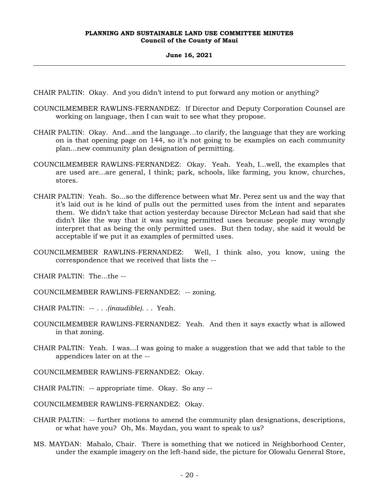#### **June 16, 2021**

CHAIR PALTIN: Okay. And you didn't intend to put forward any motion or anything?

- COUNCILMEMBER RAWLINS-FERNANDEZ: If Director and Deputy Corporation Counsel are working on language, then I can wait to see what they propose.
- CHAIR PALTIN: Okay. And...and the language...to clarify, the language that they are working on is that opening page on 144, so it's not going to be examples on each community plan...new community plan designation of permitting.
- COUNCILMEMBER RAWLINS-FERNANDEZ: Okay. Yeah. Yeah, I...well, the examples that are used are...are general, I think; park, schools, like farming, you know, churches, stores.
- CHAIR PALTIN: Yeah. So...so the difference between what Mr. Perez sent us and the way that it's laid out is he kind of pulls out the permitted uses from the intent and separates them. We didn't take that action yesterday because Director McLean had said that she didn't like the way that it was saying permitted uses because people may wrongly interpret that as being the only permitted uses. But then today, she said it would be acceptable if we put it as examples of permitted uses.
- COUNCILMEMBER RAWLINS-FERNANDEZ: Well, I think also, you know, using the correspondence that we received that lists the --

CHAIR PALTIN: The...the --

- COUNCILMEMBER RAWLINS-FERNANDEZ: -- zoning.
- CHAIR PALTIN: -- . . .*(inaudible)*. . . Yeah.
- COUNCILMEMBER RAWLINS-FERNANDEZ: Yeah. And then it says exactly what is allowed in that zoning.
- CHAIR PALTIN: Yeah. I was...I was going to make a suggestion that we add that table to the appendices later on at the --
- COUNCILMEMBER RAWLINS-FERNANDEZ: Okay.
- CHAIR PALTIN: -- appropriate time. Okay. So any --
- COUNCILMEMBER RAWLINS-FERNANDEZ: Okay.
- CHAIR PALTIN: -- further motions to amend the community plan designations, descriptions, or what have you? Oh, Ms. Maydan, you want to speak to us?
- MS. MAYDAN: Mahalo, Chair. There is something that we noticed in Neighborhood Center, under the example imagery on the left-hand side, the picture for Olowalu General Store,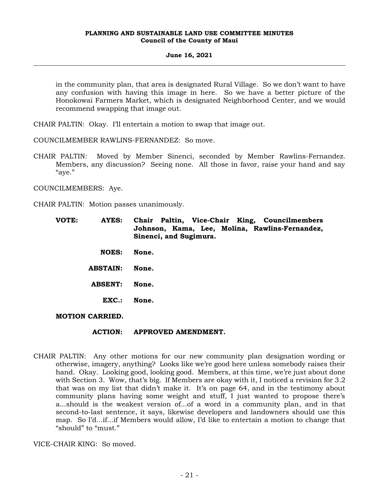#### **June 16, 2021**

in the community plan, that area is designated Rural Village. So we don't want to have any confusion with having this image in here. So we have a better picture of the Honokowai Farmers Market, which is designated Neighborhood Center, and we would recommend swapping that image out.

CHAIR PALTIN: Okay. I'll entertain a motion to swap that image out.

COUNCILMEMBER RAWLINS-FERNANDEZ: So move.

CHAIR PALTIN: Moved by Member Sinenci, seconded by Member Rawlins-Fernandez. Members, any discussion? Seeing none. All those in favor, raise your hand and say "aye."

COUNCILMEMBERS: Aye.

CHAIR PALTIN: Motion passes unanimously.

- **VOTE: AYES: Chair Paltin, Vice-Chair King, Councilmembers Johnson, Kama, Lee, Molina, Rawlins-Fernandez, Sinenci, and Sugimura.**
	- **NOES: None.**
	- **ABSTAIN: None.**
	- **ABSENT: None.**
		- **EXC.: None.**

**MOTION CARRIED.**

#### **ACTION: APPROVED AMENDMENT.**

CHAIR PALTIN: Any other motions for our new community plan designation wording or otherwise, imagery, anything? Looks like we're good here unless somebody raises their hand. Okay. Looking good, looking good. Members, at this time, we're just about done with Section 3. Wow, that's big. If Members are okay with it, I noticed a revision for 3.2 that was on my list that didn't make it. It's on page 64, and in the testimony about community plans having some weight and stuff, I just wanted to propose there's a...should is the weakest version of...of a word in a community plan, and in that second-to-last sentence, it says, likewise developers and landowners should use this map. So I'd...if...if Members would allow, I'd like to entertain a motion to change that "should" to "must."

VICE-CHAIR KING: So moved.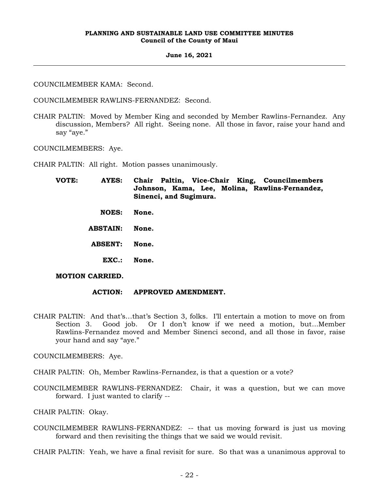#### **June 16, 2021**

COUNCILMEMBER KAMA: Second.

COUNCILMEMBER RAWLINS-FERNANDEZ: Second.

CHAIR PALTIN: Moved by Member King and seconded by Member Rawlins-Fernandez. Any discussion, Members? All right. Seeing none. All those in favor, raise your hand and say "aye."

COUNCILMEMBERS: Aye.

CHAIR PALTIN: All right. Motion passes unanimously.

| VOTE: | AYES:                  | Chair Paltin, Vice-Chair King, Councilmembers<br>Johnson, Kama, Lee, Molina, Rawlins-Fernandez,<br>Sinenci, and Sugimura. |
|-------|------------------------|---------------------------------------------------------------------------------------------------------------------------|
|       | <b>NOES:</b>           | None.                                                                                                                     |
|       | <b>ABSTAIN:</b>        | None.                                                                                                                     |
|       | <b>ABSENT:</b>         | None.                                                                                                                     |
|       | EXC.                   | None.                                                                                                                     |
|       | <b>MOTION CARRIED.</b> |                                                                                                                           |

# **ACTION: APPROVED AMENDMENT.**

CHAIR PALTIN: And that's…that's Section 3, folks. I'll entertain a motion to move on from Section 3. Good job. Or I don't know if we need a motion, but...Member Rawlins-Fernandez moved and Member Sinenci second, and all those in favor, raise your hand and say "aye."

COUNCILMEMBERS: Aye.

CHAIR PALTIN: Oh, Member Rawlins-Fernandez, is that a question or a vote?

COUNCILMEMBER RAWLINS-FERNANDEZ: Chair, it was a question, but we can move forward. I just wanted to clarify --

CHAIR PALTIN: Okay.

COUNCILMEMBER RAWLINS-FERNANDEZ: -- that us moving forward is just us moving forward and then revisiting the things that we said we would revisit.

CHAIR PALTIN: Yeah, we have a final revisit for sure. So that was a unanimous approval to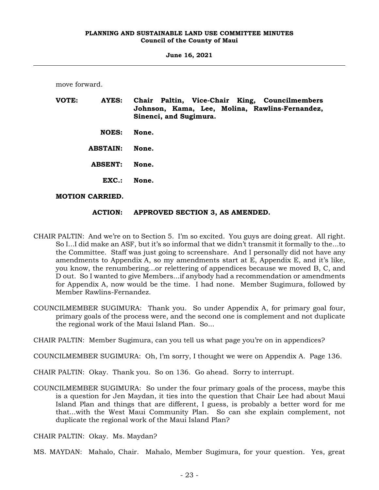**June 16, 2021**

move forward.

| VOTE: | AYES:                  | Chair Paltin, Vice-Chair King, Councilmembers<br>Johnson, Kama, Lee, Molina, Rawlins-Fernandez,<br>Sinenci, and Sugimura. |
|-------|------------------------|---------------------------------------------------------------------------------------------------------------------------|
|       | <b>NOES:</b>           | None.                                                                                                                     |
|       | <b>ABSTAIN:</b>        | None.                                                                                                                     |
|       | <b>ABSENT:</b>         | None.                                                                                                                     |
|       | $\mathbf{EXC}$ .:      | None.                                                                                                                     |
|       | <b>MOTION CARRIED.</b> |                                                                                                                           |

# **ACTION: APPROVED SECTION 3, AS AMENDED.**

- CHAIR PALTIN: And we're on to Section 5. I'm so excited. You guys are doing great. All right. So I...I did make an ASF, but it's so informal that we didn't transmit it formally to the...to the Committee. Staff was just going to screenshare. And I personally did not have any amendments to Appendix A, so my amendments start at E, Appendix E, and it's like, you know, the renumbering...or relettering of appendices because we moved B, C, and D out. So I wanted to give Members...if anybody had a recommendation or amendments for Appendix A, now would be the time. I had none. Member Sugimura, followed by Member Rawlins-Fernandez.
- COUNCILMEMBER SUGIMURA: Thank you. So under Appendix A, for primary goal four, primary goals of the process were, and the second one is complement and not duplicate the regional work of the Maui Island Plan. So...
- CHAIR PALTIN: Member Sugimura, can you tell us what page you're on in appendices?

COUNCILMEMBER SUGIMURA: Oh, I'm sorry, I thought we were on Appendix A. Page 136.

- CHAIR PALTIN: Okay. Thank you. So on 136. Go ahead. Sorry to interrupt.
- COUNCILMEMBER SUGIMURA: So under the four primary goals of the process, maybe this is a question for Jen Maydan, it ties into the question that Chair Lee had about Maui Island Plan and things that are different, I guess, is probably a better word for me that...with the West Maui Community Plan. So can she explain complement, not duplicate the regional work of the Maui Island Plan?
- CHAIR PALTIN: Okay. Ms. Maydan?
- MS. MAYDAN: Mahalo, Chair. Mahalo, Member Sugimura, for your question. Yes, great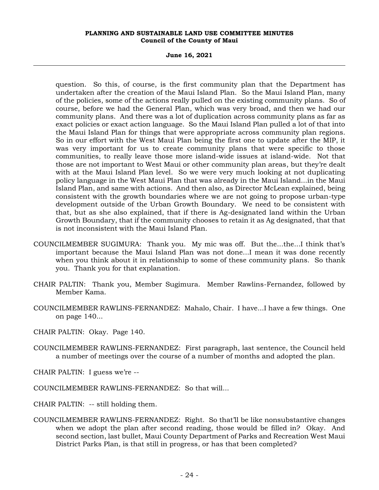**June 16, 2021**

question. So this, of course, is the first community plan that the Department has undertaken after the creation of the Maui Island Plan. So the Maui Island Plan, many of the policies, some of the actions really pulled on the existing community plans. So of course, before we had the General Plan, which was very broad, and then we had our community plans. And there was a lot of duplication across community plans as far as exact policies or exact action language. So the Maui Island Plan pulled a lot of that into the Maui Island Plan for things that were appropriate across community plan regions. So in our effort with the West Maui Plan being the first one to update after the MIP, it was very important for us to create community plans that were specific to those communities, to really leave those more island-wide issues at island-wide. Not that those are not important to West Maui or other community plan areas, but they're dealt with at the Maui Island Plan level. So we were very much looking at not duplicating policy language in the West Maui Plan that was already in the Maui Island...in the Maui Island Plan, and same with actions. And then also, as Director McLean explained, being consistent with the growth boundaries where we are not going to propose urban-type development outside of the Urban Growth Boundary. We need to be consistent with that, but as she also explained, that if there is Ag-designated land within the Urban Growth Boundary, that if the community chooses to retain it as Ag designated, that that is not inconsistent with the Maui Island Plan.

- COUNCILMEMBER SUGIMURA: Thank you. My mic was off. But the...the...I think that's important because the Maui Island Plan was not done...I mean it was done recently when you think about it in relationship to some of these community plans. So thank you. Thank you for that explanation.
- CHAIR PALTIN: Thank you, Member Sugimura. Member Rawlins-Fernandez, followed by Member Kama.
- COUNCILMEMBER RAWLINS-FERNANDEZ: Mahalo, Chair. I have...I have a few things. One on page 140...
- CHAIR PALTIN: Okay. Page 140.
- COUNCILMEMBER RAWLINS-FERNANDEZ: First paragraph, last sentence, the Council held a number of meetings over the course of a number of months and adopted the plan.
- CHAIR PALTIN: I guess we're --
- COUNCILMEMBER RAWLINS-FERNANDEZ: So that will...
- CHAIR PALTIN: -- still holding them.
- COUNCILMEMBER RAWLINS-FERNANDEZ: Right. So that'll be like nonsubstantive changes when we adopt the plan after second reading, those would be filled in? Okay. And second section, last bullet, Maui County Department of Parks and Recreation West Maui District Parks Plan, is that still in progress, or has that been completed?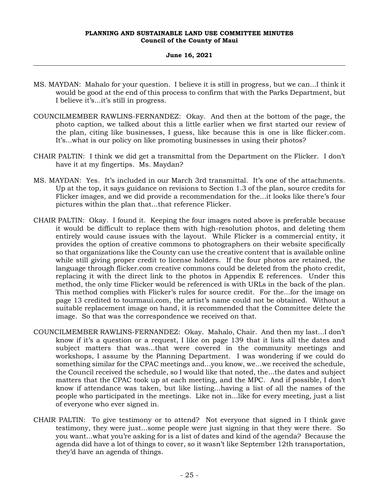- MS. MAYDAN: Mahalo for your question. I believe it is still in progress, but we can...I think it would be good at the end of this process to confirm that with the Parks Department, but I believe it's...it's still in progress.
- COUNCILMEMBER RAWLINS-FERNANDEZ: Okay. And then at the bottom of the page, the photo caption, we talked about this a little earlier when we first started our review of the plan, citing like businesses, I guess, like because this is one is like flicker.com. It's...what is our policy on like promoting businesses in using their photos?
- CHAIR PALTIN: I think we did get a transmittal from the Department on the Flicker. I don't have it at my fingertips. Ms. Maydan?
- MS. MAYDAN: Yes. It's included in our March 3rd transmittal. It's one of the attachments. Up at the top, it says guidance on revisions to Section 1.3 of the plan, source credits for Flicker images, and we did provide a recommendation for the...it looks like there's four pictures within the plan that...that reference Flicker.
- CHAIR PALTIN: Okay. I found it. Keeping the four images noted above is preferable because it would be difficult to replace them with high-resolution photos, and deleting them entirely would cause issues with the layout. While Flicker is a commercial entity, it provides the option of creative commons to photographers on their website specifically so that organizations like the County can use the creative content that is available online while still giving proper credit to license holders. If the four photos are retained, the language through flicker.com creative commons could be deleted from the photo credit, replacing it with the direct link to the photos in Appendix E references. Under this method, the only time Flicker would be referenced is with URLs in the back of the plan. This method complies with Flicker's rules for source credit. For the...for the image on page 13 credited to tourmaui.com, the artist's name could not be obtained. Without a suitable replacement image on hand, it is recommended that the Committee delete the image. So that was the correspondence we received on that.
- COUNCILMEMBER RAWLINS-FERNANDEZ: Okay. Mahalo, Chair. And then my last...I don't know if it's a question or a request, I like on page 139 that it lists all the dates and subject matters that was...that were covered in the community meetings and workshops, I assume by the Planning Department. I was wondering if we could do something similar for the CPAC meetings and...you know, we...we received the schedule, the Council received the schedule, so I would like that noted, the...the dates and subject matters that the CPAC took up at each meeting, and the MPC. And if possible, I don't know if attendance was taken, but like listing...having a list of all the names of the people who participated in the meetings. Like not in...like for every meeting, just a list of everyone who ever signed in.
- CHAIR PALTIN: To give testimony or to attend? Not everyone that signed in I think gave testimony, they were just...some people were just signing in that they were there. So you want...what you're asking for is a list of dates and kind of the agenda? Because the agenda did have a lot of things to cover, so it wasn't like September 12th transportation, they'd have an agenda of things.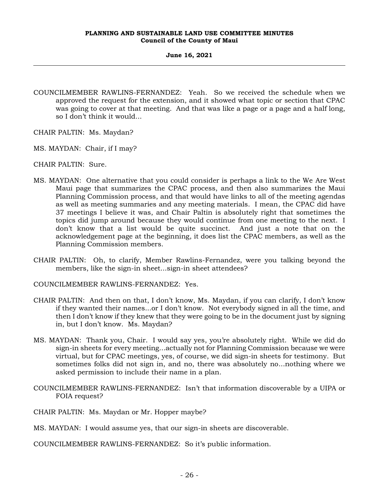- COUNCILMEMBER RAWLINS-FERNANDEZ: Yeah. So we received the schedule when we approved the request for the extension, and it showed what topic or section that CPAC was going to cover at that meeting. And that was like a page or a page and a half long, so I don't think it would...
- CHAIR PALTIN: Ms. Maydan?
- MS. MAYDAN: Chair, if I may?
- CHAIR PALTIN: Sure.
- MS. MAYDAN: One alternative that you could consider is perhaps a link to the We Are West Maui page that summarizes the CPAC process, and then also summarizes the Maui Planning Commission process, and that would have links to all of the meeting agendas as well as meeting summaries and any meeting materials. I mean, the CPAC did have 37 meetings I believe it was, and Chair Paltin is absolutely right that sometimes the topics did jump around because they would continue from one meeting to the next. I don't know that a list would be quite succinct. And just a note that on the acknowledgement page at the beginning, it does list the CPAC members, as well as the Planning Commission members.
- CHAIR PALTIN: Oh, to clarify, Member Rawlins-Fernandez, were you talking beyond the members, like the sign-in sheet...sign-in sheet attendees?
- COUNCILMEMBER RAWLINS-FERNANDEZ: Yes.
- CHAIR PALTIN: And then on that, I don't know, Ms. Maydan, if you can clarify, I don't know if they wanted their names...or I don't know. Not everybody signed in all the time, and then I don't know if they knew that they were going to be in the document just by signing in, but I don't know. Ms. Maydan?
- MS. MAYDAN: Thank you, Chair. I would say yes, you're absolutely right. While we did do sign-in sheets for every meeting...actually not for Planning Commission because we were virtual, but for CPAC meetings, yes, of course, we did sign-in sheets for testimony. But sometimes folks did not sign in, and no, there was absolutely no...nothing where we asked permission to include their name in a plan.
- COUNCILMEMBER RAWLINS-FERNANDEZ: Isn't that information discoverable by a UIPA or FOIA request?
- CHAIR PALTIN: Ms. Maydan or Mr. Hopper maybe?
- MS. MAYDAN: I would assume yes, that our sign-in sheets are discoverable.
- COUNCILMEMBER RAWLINS-FERNANDEZ: So it's public information.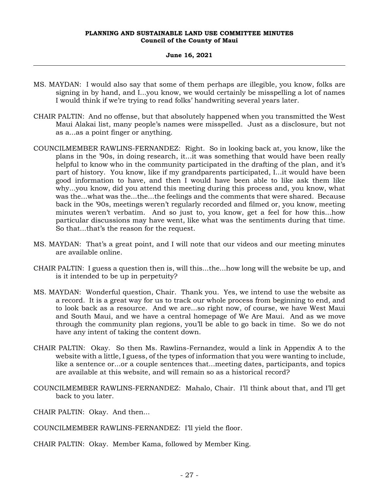- MS. MAYDAN: I would also say that some of them perhaps are illegible, you know, folks are signing in by hand, and I...you know, we would certainly be misspelling a lot of names I would think if we're trying to read folks' handwriting several years later.
- CHAIR PALTIN: And no offense, but that absolutely happened when you transmitted the West Maui Alakai list, many people's names were misspelled. Just as a disclosure, but not as a...as a point finger or anything.
- COUNCILMEMBER RAWLINS-FERNANDEZ: Right. So in looking back at, you know, like the plans in the '90s, in doing research, it...it was something that would have been really helpful to know who in the community participated in the drafting of the plan, and it's part of history. You know, like if my grandparents participated, I...it would have been good information to have, and then I would have been able to like ask them like why...you know, did you attend this meeting during this process and, you know, what was the...what was the...the...the feelings and the comments that were shared. Because back in the '90s, meetings weren't regularly recorded and filmed or, you know, meeting minutes weren't verbatim. And so just to, you know, get a feel for how this...how particular discussions may have went, like what was the sentiments during that time. So that...that's the reason for the request.
- MS. MAYDAN: That's a great point, and I will note that our videos and our meeting minutes are available online.
- CHAIR PALTIN: I guess a question then is, will this...the...how long will the website be up, and is it intended to be up in perpetuity?
- MS. MAYDAN: Wonderful question, Chair. Thank you. Yes, we intend to use the website as a record. It is a great way for us to track our whole process from beginning to end, and to look back as a resource. And we are...so right now, of course, we have West Maui and South Maui, and we have a central homepage of We Are Maui. And as we move through the community plan regions, you'll be able to go back in time. So we do not have any intent of taking the content down.
- CHAIR PALTIN: Okay. So then Ms. Rawlins-Fernandez, would a link in Appendix A to the website with a little, I guess, of the types of information that you were wanting to include, like a sentence or...or a couple sentences that...meeting dates, participants, and topics are available at this website, and will remain so as a historical record?
- COUNCILMEMBER RAWLINS-FERNANDEZ: Mahalo, Chair. I'll think about that, and I'll get back to you later.
- CHAIR PALTIN: Okay. And then...
- COUNCILMEMBER RAWLINS-FERNANDEZ: I'll yield the floor.
- CHAIR PALTIN: Okay. Member Kama, followed by Member King.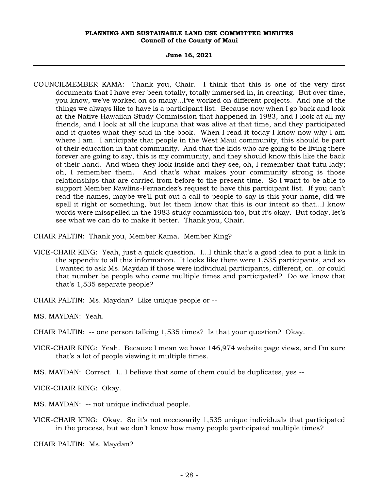#### **June 16, 2021**

COUNCILMEMBER KAMA: Thank you, Chair. I think that this is one of the very first documents that I have ever been totally, totally immersed in, in creating. But over time, you know, we've worked on so many...I've worked on different projects. And one of the things we always like to have is a participant list. Because now when I go back and look at the Native Hawaiian Study Commission that happened in 1983, and I look at all my friends, and I look at all the kupuna that was alive at that time, and they participated and it quotes what they said in the book. When I read it today I know now why I am where I am. I anticipate that people in the West Maui community, this should be part of their education in that community. And that the kids who are going to be living there forever are going to say, this is my community, and they should know this like the back of their hand. And when they look inside and they see, oh, I remember that tutu lady; oh, I remember them. And that's what makes your community strong is those relationships that are carried from before to the present time. So I want to be able to support Member Rawlins-Fernandez's request to have this participant list. If you can't read the names, maybe we'll put out a call to people to say is this your name, did we spell it right or something, but let them know that this is our intent so that...I know words were misspelled in the 1983 study commission too, but it's okay. But today, let's see what we can do to make it better. Thank you, Chair.

CHAIR PALTIN: Thank you, Member Kama. Member King?

- VICE-CHAIR KING: Yeah, just a quick question. I...I think that's a good idea to put a link in the appendix to all this information. It looks like there were 1,535 participants, and so I wanted to ask Ms. Maydan if those were individual participants, different, or...or could that number be people who came multiple times and participated? Do we know that that's 1,535 separate people?
- CHAIR PALTIN: Ms. Maydan? Like unique people or --

MS. MAYDAN: Yeah.

- CHAIR PALTIN: -- one person talking 1,535 times? Is that your question? Okay.
- VICE-CHAIR KING: Yeah. Because I mean we have 146,974 website page views, and I'm sure that's a lot of people viewing it multiple times.
- MS. MAYDAN: Correct. I...I believe that some of them could be duplicates, yes --

VICE-CHAIR KING: Okay.

- MS. MAYDAN: -- not unique individual people.
- VICE-CHAIR KING: Okay. So it's not necessarily 1,535 unique individuals that participated in the process, but we don't know how many people participated multiple times?

CHAIR PALTIN: Ms. Maydan?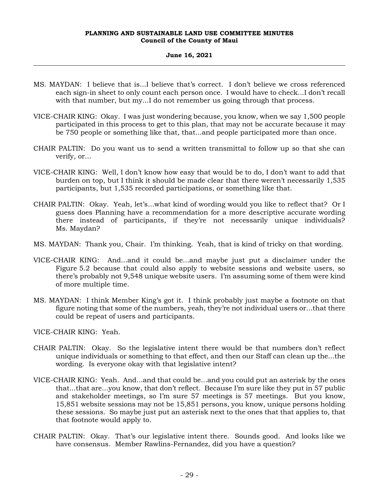#### **June 16, 2021**

- MS. MAYDAN: I believe that is...I believe that's correct. I don't believe we cross referenced each sign-in sheet to only count each person once. I would have to check...I don't recall with that number, but my...I do not remember us going through that process.
- VICE-CHAIR KING: Okay. I was just wondering because, you know, when we say 1,500 people participated in this process to get to this plan, that may not be accurate because it may be 750 people or something like that, that...and people participated more than once.
- CHAIR PALTIN: Do you want us to send a written transmittal to follow up so that she can verify, or...
- VICE-CHAIR KING: Well, I don't know how easy that would be to do, I don't want to add that burden on top, but I think it should be made clear that there weren't necessarily 1,535 participants, but 1,535 recorded participations, or something like that.
- CHAIR PALTIN: Okay. Yeah, let's...what kind of wording would you like to reflect that? Or I guess does Planning have a recommendation for a more descriptive accurate wording there instead of participants, if they're not necessarily unique individuals? Ms. Maydan?
- MS. MAYDAN: Thank you, Chair. I'm thinking. Yeah, that is kind of tricky on that wording.
- VICE-CHAIR KING: And...and it could be...and maybe just put a disclaimer under the Figure 5.2 because that could also apply to website sessions and website users, so there's probably not 9,548 unique website users. I'm assuming some of them were kind of more multiple time.
- MS. MAYDAN: I think Member King's got it. I think probably just maybe a footnote on that figure noting that some of the numbers, yeah, they're not individual users or...that there could be repeat of users and participants.

VICE-CHAIR KING: Yeah.

- CHAIR PALTIN: Okay. So the legislative intent there would be that numbers don't reflect unique individuals or something to that effect, and then our Staff can clean up the...the wording. Is everyone okay with that legislative intent?
- VICE-CHAIR KING: Yeah. And...and that could be...and you could put an asterisk by the ones that...that are...you know, that don't reflect. Because I'm sure like they put in 57 public and stakeholder meetings, so I'm sure 57 meetings is 57 meetings. But you know, 15,851 website sessions may not be 15,851 persons, you know, unique persons holding these sessions. So maybe just put an asterisk next to the ones that that applies to, that that footnote would apply to.
- CHAIR PALTIN: Okay. That's our legislative intent there. Sounds good. And looks like we have consensus. Member Rawlins-Fernandez, did you have a question?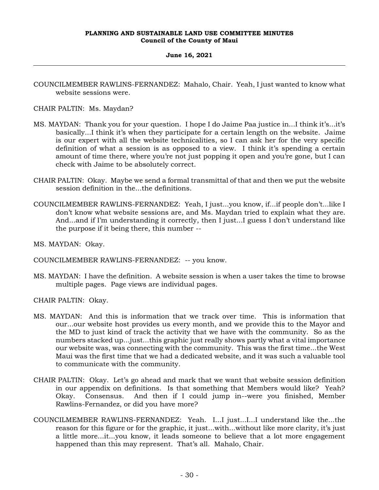# **June 16, 2021**

COUNCILMEMBER RAWLINS-FERNANDEZ: Mahalo, Chair. Yeah, I just wanted to know what website sessions were.

CHAIR PALTIN: Ms. Maydan?

- MS. MAYDAN: Thank you for your question. I hope I do Jaime Paa justice in...I think it's...it's basically...I think it's when they participate for a certain length on the website. Jaime is our expert with all the website technicalities, so I can ask her for the very specific definition of what a session is as opposed to a view. I think it's spending a certain amount of time there, where you're not just popping it open and you're gone, but I can check with Jaime to be absolutely correct.
- CHAIR PALTIN: Okay. Maybe we send a formal transmittal of that and then we put the website session definition in the...the definitions.
- COUNCILMEMBER RAWLINS-FERNANDEZ: Yeah, I just...you know, if...if people don't...like I don't know what website sessions are, and Ms. Maydan tried to explain what they are. And...and if I'm understanding it correctly, then I just...I guess I don't understand like the purpose if it being there, this number --
- MS. MAYDAN: Okay.
- COUNCILMEMBER RAWLINS-FERNANDEZ: -- you know.
- MS. MAYDAN: I have the definition. A website session is when a user takes the time to browse multiple pages. Page views are individual pages.
- CHAIR PALTIN: Okay.
- MS. MAYDAN: And this is information that we track over time. This is information that our...our website host provides us every month, and we provide this to the Mayor and the MD to just kind of track the activity that we have with the community. So as the numbers stacked up...just...this graphic just really shows partly what a vital importance our website was, was connecting with the community. This was the first time...the West Maui was the first time that we had a dedicated website, and it was such a valuable tool to communicate with the community.
- CHAIR PALTIN: Okay. Let's go ahead and mark that we want that website session definition in our appendix on definitions. Is that something that Members would like? Yeah? Okay. Consensus. And then if I could jump in--were you finished, Member Rawlins-Fernandez, or did you have more?
- COUNCILMEMBER RAWLINS-FERNANDEZ: Yeah. I...I just...I...I understand like the...the reason for this figure or for the graphic, it just...with...without like more clarity, it's just a little more...it...you know, it leads someone to believe that a lot more engagement happened than this may represent. That's all. Mahalo, Chair.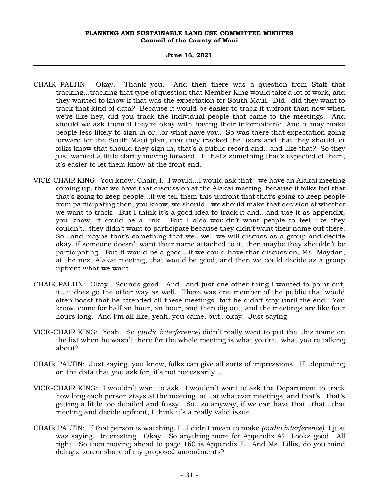- CHAIR PALTIN: Okay. Thank you. And then there was a question from Staff that tracking...tracking that type of question that Member King would take a lot of work, and they wanted to know if that was the expectation for South Maui. Did...did they want to track that kind of data? Because it would be easier to track it upfront than now when we're like hey, did you track the individual people that came to the meetings. And should we ask them if they're okay with having their information? And it may make people less likely to sign in or...or what have you. So was there that expectation going forward for the South Maui plan, that they tracked the users and that they should let folks know that should they sign in, that's a public record and...and like that? So they just wanted a little clarity moving forward. If that's something that's expected of them, it's easier to let them know at the front end.
- VICE-CHAIR KING: You know, Chair, I...I would...I would ask that...we have an Alakai meeting coming up, that we have that discussion at the Alakai meeting, because if folks feel that that's going to keep people...if we tell them this upfront that that's going to keep people from participating then, you know, we should...we should make that decision of whether we want to track. But I think it's a good idea to track it and...and use it as appendix, you know, it could be a link. But I also wouldn't want people to feel like they couldn't...they didn't want to participate because they didn't want their name out there. So...and maybe that's something that we...we...we will discuss as a group and decide okay, if someone doesn't want their name attached to it, then maybe they shouldn't be participating. But it would be a good...if we could have that discussion, Ms. Maydan, at the next Alakai meeting, that would be good, and then we could decide as a group upfront what we want.
- CHAIR PALTIN: Okay. Sounds good. And...and just one other thing I wanted to point out, it...it does go the other way as well. There was one member of the public that would often boast that he attended all these meetings, but he didn't stay until the end. You know, come for half an hour, an hour, and then dig out, and the meetings are like four hours long. And I'm all like, yeah, you came, but...okay. Just saying.
- VICE-CHAIR KING: Yeah. So *(audio interference)* didn't really want to put the...his name on the list when he wasn't there for the whole meeting is what you're...what you're talking about?
- CHAIR PALTIN: Just saying, you know, folks can give all sorts of impressions. If...depending on the data that you ask for, it's not necessarily...
- VICE-CHAIR KING: I wouldn't want to ask...I wouldn't want to ask the Department to track how long each person stays at the meeting, at...at whatever meetings, and that's...that's getting a little too detailed and fussy. So...so anyway, if we can have that...that...that meeting and decide upfront, I think it's a really valid issue.
- CHAIR PALTIN: If that person is watching, I...I didn't mean to make *(audio interference)* I just was saying. Interesting. Okay. So anything more for Appendix A? Looks good. All right. So then moving ahead to page 160 is Appendix E. And Ms. Lillis, do you mind doing a screenshare of my proposed amendments?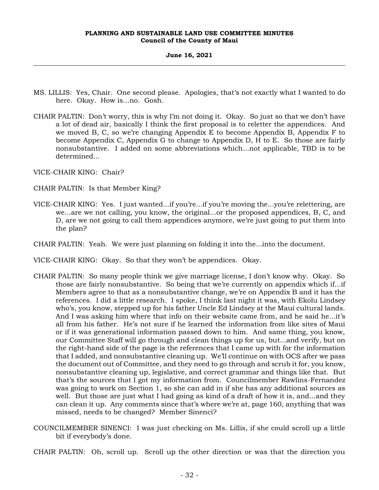#### **June 16, 2021**

- MS. LILLIS: Yes, Chair. One second please. Apologies, that's not exactly what I wanted to do here. Okay. How is...no. Gosh.
- CHAIR PALTIN: Don't worry, this is why I'm not doing it. Okay. So just so that we don't have a lot of dead air, basically I think the first proposal is to reletter the appendices. And we moved B, C, so we're changing Appendix E to become Appendix B, Appendix F to become Appendix C, Appendix G to change to Appendix D, H to E. So those are fairly nonsubstantive. I added on some abbreviations which...not applicable, TBD is to be determined...

VICE-CHAIR KING: Chair?

- CHAIR PALTIN: Is that Member King?
- VICE-CHAIR KING: Yes. I just wanted...if you're...if you're moving the...you're relettering, are we...are we not calling, you know, the original...or the proposed appendices, B, C, and D, are we not going to call them appendices anymore, we're just going to put them into the plan?
- CHAIR PALTIN: Yeah. We were just planning on folding it into the...into the document.
- VICE-CHAIR KING: Okay. So that they won't be appendices. Okay.
- CHAIR PALTIN: So many people think we give marriage license, I don't know why. Okay. So those are fairly nonsubstantive. So being that we're currently on appendix which if...if Members agree to that as a nonsubstantive change, we're on Appendix B and it has the references. I did a little research. I spoke, I think last night it was, with Ekolu Lindsey who's, you know, stepped up for his father Uncle Ed Lindsey at the Maui cultural lands. And I was asking him where that info on their website came from, and he said he...it's all from his father. He's not sure if he learned the information from like sites of Maui or if it was generational information passed down to him. And same thing, you know, our Committee Staff will go through and clean things up for us, but...and verify, but on the right-hand side of the page is the references that I came up with for the information that I added, and nonsubstantive cleaning up. We'll continue on with OCS after we pass the document out of Committee, and they need to go through and scrub it for, you know, nonsubstantive cleaning up, legislative, and correct grammar and things like that. But that's the sources that I got my information from. Councilmember Rawlins-Fernandez was going to work on Section 1, so she can add in if she has any additional sources as well. But those are just what I had going as kind of a draft of how it is, and...and they can clean it up. Any comments since that's where we're at, page 160, anything that was missed, needs to be changed? Member Sinenci?
- COUNCILMEMBER SINENCI: I was just checking on Ms. Lillis, if she could scroll up a little bit if everybody's done.
- CHAIR PALTIN: Oh, scroll up. Scroll up the other direction or was that the direction you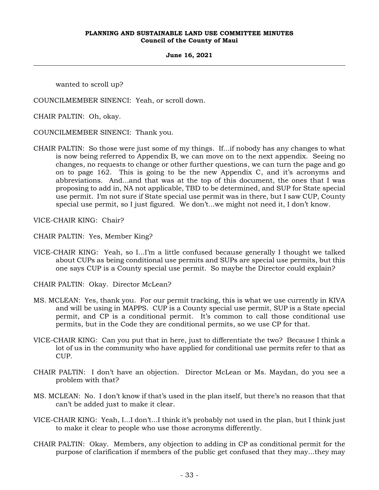#### **June 16, 2021**

wanted to scroll up?

COUNCILMEMBER SINENCI: Yeah, or scroll down.

CHAIR PALTIN: Oh, okay.

COUNCILMEMBER SINENCI: Thank you.

CHAIR PALTIN: So those were just some of my things. If...if nobody has any changes to what is now being referred to Appendix B, we can move on to the next appendix. Seeing no changes, no requests to change or other further questions, we can turn the page and go on to page 162. This is going to be the new Appendix C, and it's acronyms and abbreviations. And...and that was at the top of this document, the ones that I was proposing to add in, NA not applicable, TBD to be determined, and SUP for State special use permit. I'm not sure if State special use permit was in there, but I saw CUP, County special use permit, so I just figured. We don't...we might not need it, I don't know.

VICE-CHAIR KING: Chair?

CHAIR PALTIN: Yes, Member King?

VICE-CHAIR KING: Yeah, so I...I'm a little confused because generally I thought we talked about CUPs as being conditional use permits and SUPs are special use permits, but this one says CUP is a County special use permit. So maybe the Director could explain?

CHAIR PALTIN: Okay. Director McLean?

- MS. MCLEAN: Yes, thank you. For our permit tracking, this is what we use currently in KIVA and will be using in MAPPS. CUP is a County special use permit, SUP is a State special permit, and CP is a conditional permit. It's common to call those conditional use permits, but in the Code they are conditional permits, so we use CP for that.
- VICE-CHAIR KING: Can you put that in here, just to differentiate the two? Because I think a lot of us in the community who have applied for conditional use permits refer to that as CUP.
- CHAIR PALTIN: I don't have an objection. Director McLean or Ms. Maydan, do you see a problem with that?
- MS. MCLEAN: No. I don't know if that's used in the plan itself, but there's no reason that that can't be added just to make it clear.
- VICE-CHAIR KING: Yeah, I...I don't...I think it's probably not used in the plan, but I think just to make it clear to people who use those acronyms differently.
- CHAIR PALTIN: Okay. Members, any objection to adding in CP as conditional permit for the purpose of clarification if members of the public get confused that they may...they may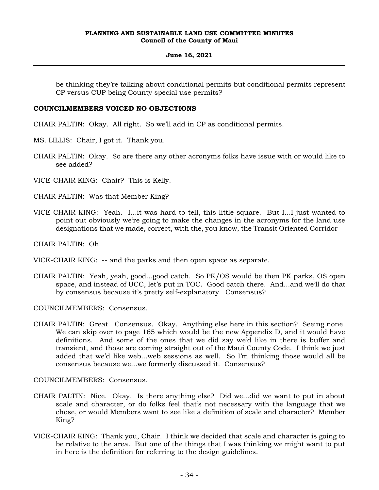#### **June 16, 2021**

be thinking they're talking about conditional permits but conditional permits represent CP versus CUP being County special use permits?

# **COUNCILMEMBERS VOICED NO OBJECTIONS**

CHAIR PALTIN: Okay. All right. So we'll add in CP as conditional permits.

- MS. LILLIS: Chair, I got it. Thank you.
- CHAIR PALTIN: Okay. So are there any other acronyms folks have issue with or would like to see added?

VICE-CHAIR KING: Chair? This is Kelly.

- CHAIR PALTIN: Was that Member King?
- VICE-CHAIR KING: Yeah. I...it was hard to tell, this little square. But I...I just wanted to point out obviously we're going to make the changes in the acronyms for the land use designations that we made, correct, with the, you know, the Transit Oriented Corridor --

CHAIR PALTIN: Oh.

- VICE-CHAIR KING: -- and the parks and then open space as separate.
- CHAIR PALTIN: Yeah, yeah, good...good catch. So PK/OS would be then PK parks, OS open space, and instead of UCC, let's put in TOC. Good catch there. And...and we'll do that by consensus because it's pretty self-explanatory. Consensus?

COUNCILMEMBERS: Consensus.

CHAIR PALTIN: Great. Consensus. Okay. Anything else here in this section? Seeing none. We can skip over to page 165 which would be the new Appendix D, and it would have definitions. And some of the ones that we did say we'd like in there is buffer and transient, and those are coming straight out of the Maui County Code. I think we just added that we'd like web...web sessions as well. So I'm thinking those would all be consensus because we...we formerly discussed it. Consensus?

COUNCILMEMBERS: Consensus.

- CHAIR PALTIN: Nice. Okay. Is there anything else? Did we...did we want to put in about scale and character, or do folks feel that's not necessary with the language that we chose, or would Members want to see like a definition of scale and character? Member King?
- VICE-CHAIR KING: Thank you, Chair. I think we decided that scale and character is going to be relative to the area. But one of the things that I was thinking we might want to put in here is the definition for referring to the design guidelines.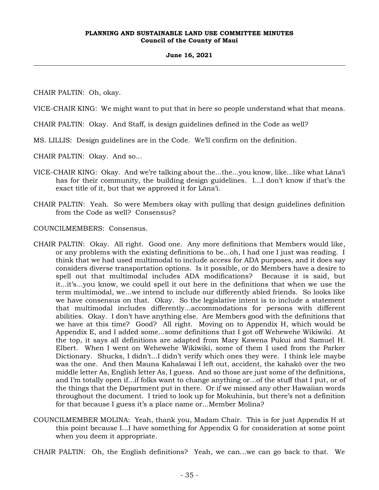#### **June 16, 2021**

CHAIR PALTIN: Oh, okay.

VICE-CHAIR KING: We might want to put that in here so people understand what that means.

CHAIR PALTIN: Okay. And Staff, is design guidelines defined in the Code as well?

MS. LILLIS: Design guidelines are in the Code. We'll confirm on the definition.

CHAIR PALTIN: Okay. And so...

- VICE-CHAIR KING: Okay. And we're talking about the...the...you know, like...like what Lāna'i has for their community, the building design guidelines. I...I don't know if that's the exact title of it, but that we approved it for Lāna'i.
- CHAIR PALTIN: Yeah. So were Members okay with pulling that design guidelines definition from the Code as well? Consensus?

COUNCILMEMBERS: Consensus.

- CHAIR PALTIN: Okay. All right. Good one. Any more definitions that Members would like, or any problems with the existing definitions to be...oh, I had one I just was reading. I think that we had used multimodal to include access for ADA purposes, and it does say considers diverse transportation options. Is it possible, or do Members have a desire to spell out that multimodal includes ADA modifications? Because it is said, but it...it's...you know, we could spell it out here in the definitions that when we use the term multimodal, we...we intend to include our differently abled friends. So looks like we have consensus on that. Okay. So the legislative intent is to include a statement that multimodal includes differently...accommodations for persons with different abilities. Okay. I don't have anything else. Are Members good with the definitions that we have at this time? Good? All right. Moving on to Appendix H, which would be Appendix E, and I added some...some definitions that I got off Wehewehe Wikiwiki. At the top, it says all definitions are adapted from Mary Kawena Pukui and Samuel H. Elbert. When I went on Wehewehe Wikiwiki, some of them I used from the Parker Dictionary. Shucks, I didn't...I didn't verify which ones they were. I think lele maybe was the one. And then Mauna Kahalawai I left out, accident, the kahakō over the two middle letter As, English letter As, I guess. And so those are just some of the definitions, and I'm totally open if...if folks want to change anything or...of the stuff that I put, or of the things that the Department put in there. Or if we missed any other Hawaiian words throughout the document. I tried to look up for Mokuhinia, but there's not a definition for that because I guess it's a place name or...Member Molina?
- COUNCILMEMBER MOLINA: Yeah, thank you, Madam Chair. This is for just Appendix H at this point because I...I have something for Appendix G for consideration at some point when you deem it appropriate.

CHAIR PALTIN: Oh, the English definitions? Yeah, we can...we can go back to that. We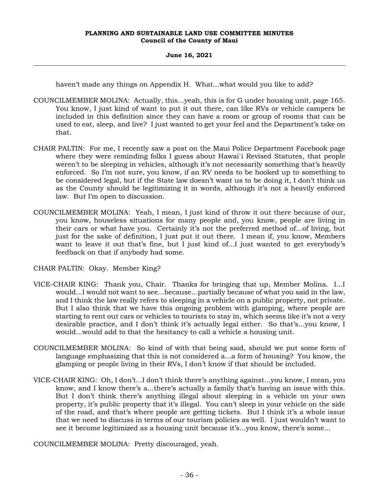# **June 16, 2021**

haven't made any things on Appendix H. What...what would you like to add?

- COUNCILMEMBER MOLINA: Actually, this...yeah, this is for G under housing unit, page 165. You know, I just kind of want to put it out there, can like RVs or vehicle campers be included in this definition since they can have a room or group of rooms that can be used to eat, sleep, and live? I just wanted to get your feel and the Department's take on that.
- CHAIR PALTIN: For me, I recently saw a post on the Maui Police Department Facebook page where they were reminding folks I guess about Hawai`i Revised Statutes, that people weren't to be sleeping in vehicles, although it's not necessarily something that's heavily enforced. So I'm not sure, you know, if an RV needs to be hooked up to something to be considered legal, but if the State law doesn't want us to be doing it, I don't think us as the County should be legitimizing it in words, although it's not a heavily enforced law. But I'm open to discussion.
- COUNCILMEMBER MOLINA: Yeah, I mean, I just kind of throw it out there because of our, you know, houseless situations for many people and, you know, people are living in their cars or what have you. Certainly it's not the preferred method of...of living, but just for the sake of definition, I just put it out there. I mean if, you know, Members want to leave it out that's fine, but I just kind of...I just wanted to get everybody's feedback on that if anybody had some.

CHAIR PALTIN: Okay. Member King?

- VICE-CHAIR KING: Thank you, Chair. Thanks for bringing that up, Member Molina. I...I would...I would not want to see...because...partially because of what you said in the law, and I think the law really refers to sleeping in a vehicle on a public property, not private. But I also think that we have this ongoing problem with glamping, where people are starting to rent out cars or vehicles to tourists to stay in, which seems like it's not a very desirable practice, and I don't think it's actually legal either. So that's...you know, I would...would add to that the hesitancy to call a vehicle a housing unit.
- COUNCILMEMBER MOLINA: So kind of with that being said, should we put some form of language emphasizing that this is not considered a...a form of housing? You know, the glamping or people living in their RVs, I don't know if that should be included.
- VICE-CHAIR KING: Oh, I don't...I don't think there's anything against...you know, I mean, you know, and I know there's a...there's actually a family that's having an issue with this. But I don't think there's anything illegal about sleeping in a vehicle on your own property, it's public property that it's illegal. You can't sleep in your vehicle on the side of the road, and that's where people are getting tickets. But I think it's a whole issue that we need to discuss in terms of our tourism policies as well. I just wouldn't want to see it become legitimized as a housing unit because it's...you know, there's some...

COUNCILMEMBER MOLINA: Pretty discouraged, yeah.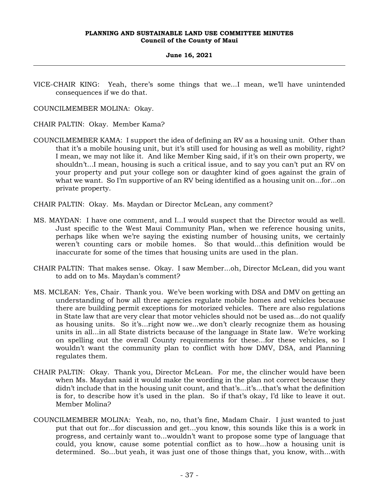# **June 16, 2021**

VICE-CHAIR KING: Yeah, there's some things that we...I mean, we'll have unintended consequences if we do that.

COUNCILMEMBER MOLINA: Okay.

CHAIR PALTIN: Okay. Member Kama?

- COUNCILMEMBER KAMA: I support the idea of defining an RV as a housing unit. Other than that it's a mobile housing unit, but it's still used for housing as well as mobility, right? I mean, we may not like it. And like Member King said, if it's on their own property, we shouldn't...I mean, housing is such a critical issue, and to say you can't put an RV on your property and put your college son or daughter kind of goes against the grain of what we want. So I'm supportive of an RV being identified as a housing unit on...for...on private property.
- CHAIR PALTIN: Okay. Ms. Maydan or Director McLean, any comment?
- MS. MAYDAN: I have one comment, and I...I would suspect that the Director would as well. Just specific to the West Maui Community Plan, when we reference housing units, perhaps like when we're saying the existing number of housing units, we certainly weren't counting cars or mobile homes. So that would...this definition would be inaccurate for some of the times that housing units are used in the plan.
- CHAIR PALTIN: That makes sense. Okay. I saw Member...oh, Director McLean, did you want to add on to Ms. Maydan's comment?
- MS. MCLEAN: Yes, Chair. Thank you. We've been working with DSA and DMV on getting an understanding of how all three agencies regulate mobile homes and vehicles because there are building permit exceptions for motorized vehicles. There are also regulations in State law that are very clear that motor vehicles should not be used as...do not qualify as housing units. So it's...right now we...we don't clearly recognize them as housing units in all...in all State districts because of the language in State law. We're working on spelling out the overall County requirements for these...for these vehicles, so I wouldn't want the community plan to conflict with how DMV, DSA, and Planning regulates them.
- CHAIR PALTIN: Okay. Thank you, Director McLean. For me, the clincher would have been when Ms. Maydan said it would make the wording in the plan not correct because they didn't include that in the housing unit count, and that's...it's...that's what the definition is for, to describe how it's used in the plan. So if that's okay, I'd like to leave it out. Member Molina?
- COUNCILMEMBER MOLINA: Yeah, no, no, that's fine, Madam Chair. I just wanted to just put that out for...for discussion and get...you know, this sounds like this is a work in progress, and certainly want to...wouldn't want to propose some type of language that could, you know, cause some potential conflict as to how...how a housing unit is determined. So...but yeah, it was just one of those things that, you know, with...with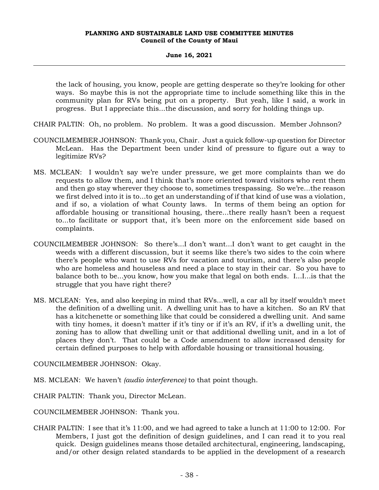# **June 16, 2021**

the lack of housing, you know, people are getting desperate so they're looking for other ways. So maybe this is not the appropriate time to include something like this in the community plan for RVs being put on a property. But yeah, like I said, a work in progress. But I appreciate this...the discussion, and sorry for holding things up.

- CHAIR PALTIN: Oh, no problem. No problem. It was a good discussion. Member Johnson?
- COUNCILMEMBER JOHNSON: Thank you, Chair. Just a quick follow-up question for Director McLean. Has the Department been under kind of pressure to figure out a way to legitimize RVs?
- MS. MCLEAN: I wouldn't say we're under pressure, we get more complaints than we do requests to allow them, and I think that's more oriented toward visitors who rent them and then go stay wherever they choose to, sometimes trespassing. So we're...the reason we first delved into it is to...to get an understanding of if that kind of use was a violation, and if so, a violation of what County laws. In terms of them being an option for affordable housing or transitional housing, there...there really hasn't been a request to...to facilitate or support that, it's been more on the enforcement side based on complaints.
- COUNCILMEMBER JOHNSON: So there's...I don't want...I don't want to get caught in the weeds with a different discussion, but it seems like there's two sides to the coin where there's people who want to use RVs for vacation and tourism, and there's also people who are homeless and houseless and need a place to stay in their car. So you have to balance both to be...you know, how you make that legal on both ends. I...I...is that the struggle that you have right there?
- MS. MCLEAN: Yes, and also keeping in mind that RVs...well, a car all by itself wouldn't meet the definition of a dwelling unit. A dwelling unit has to have a kitchen. So an RV that has a kitchenette or something like that could be considered a dwelling unit. And same with tiny homes, it doesn't matter if it's tiny or if it's an RV, if it's a dwelling unit, the zoning has to allow that dwelling unit or that additional dwelling unit, and in a lot of places they don't. That could be a Code amendment to allow increased density for certain defined purposes to help with affordable housing or transitional housing.

COUNCILMEMBER JOHNSON: Okay.

- MS. MCLEAN: We haven't *(audio interference)* to that point though.
- CHAIR PALTIN: Thank you, Director McLean.
- COUNCILMEMBER JOHNSON: Thank you.
- CHAIR PALTIN: I see that it's 11:00, and we had agreed to take a lunch at 11:00 to 12:00. For Members, I just got the definition of design guidelines, and I can read it to you real quick. Design guidelines means those detailed architectural, engineering, landscaping, and/or other design related standards to be applied in the development of a research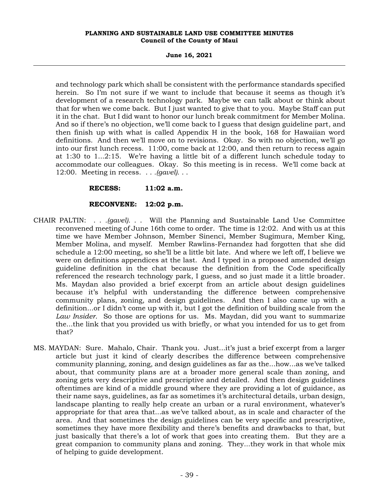**June 16, 2021**

and technology park which shall be consistent with the performance standards specified herein. So I'm not sure if we want to include that because it seems as though it's development of a research technology park. Maybe we can talk about or think about that for when we come back. But I just wanted to give that to you. Maybe Staff can put it in the chat. But I did want to honor our lunch break commitment for Member Molina. And so if there's no objection, we'll come back to I guess that design guideline part, and then finish up with what is called Appendix H in the book, 168 for Hawaiian word definitions. And then we'll move on to revisions. Okay. So with no objection, we'll go into our first lunch recess. 11:00, come back at 12:00, and then return to recess again at 1:30 to 1...2:15. We're having a little bit of a different lunch schedule today to accommodate our colleagues. Okay. So this meeting is in recess. We'll come back at 12:00. Meeting in recess. . . *.(gavel).* . .

# **RECESS: 11:02 a.m.**

# **RECONVENE: 12:02 p.m.**

- CHAIR PALTIN: . . *.(gavel).* . . Will the Planning and Sustainable Land Use Committee reconvened meeting of June 16th come to order. The time is 12:02. And with us at this time we have Member Johnson, Member Sinenci, Member Sugimura, Member King, Member Molina, and myself. Member Rawlins-Fernandez had forgotten that she did schedule a 12:00 meeting, so she'll be a little bit late. And where we left off, I believe we were on definitions appendices at the last. And I typed in a proposed amended design guideline definition in the chat because the definition from the Code specifically referenced the research technology park, I guess, and so just made it a little broader. Ms. Maydan also provided a brief excerpt from an article about design guidelines because it's helpful with understanding the difference between comprehensive community plans, zoning, and design guidelines. And then I also came up with a definition...or I didn't come up with it, but I got the definition of building scale from the *Law Insider*. So those are options for us. Ms. Maydan, did you want to summarize the...the link that you provided us with briefly, or what you intended for us to get from that?
- MS. MAYDAN: Sure. Mahalo, Chair. Thank you. Just...it's just a brief excerpt from a larger article but just it kind of clearly describes the difference between comprehensive community planning, zoning, and design guidelines as far as the...how...as we've talked about, that community plans are at a broader more general scale than zoning, and zoning gets very descriptive and prescriptive and detailed. And then design guidelines oftentimes are kind of a middle ground where they are providing a lot of guidance, as their name says, guidelines, as far as sometimes it's architectural details, urban design, landscape planting to really help create an urban or a rural environment, whatever's appropriate for that area that...as we've talked about, as in scale and character of the area. And that sometimes the design guidelines can be very specific and prescriptive, sometimes they have more flexibility and there's benefits and drawbacks to that, but just basically that there's a lot of work that goes into creating them. But they are a great companion to community plans and zoning. They...they work in that whole mix of helping to guide development.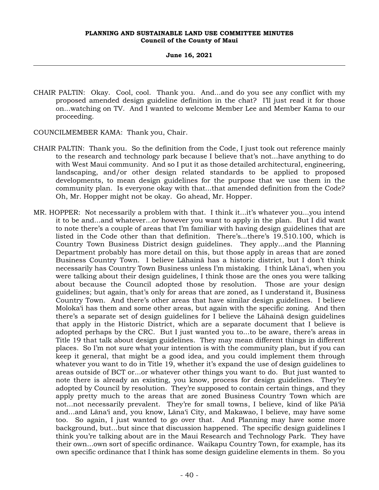#### **June 16, 2021**

CHAIR PALTIN: Okay. Cool, cool. Thank you. And...and do you see any conflict with my proposed amended design guideline definition in the chat? I'll just read it for those on...watching on TV. And I wanted to welcome Member Lee and Member Kama to our proceeding.

COUNCILMEMBER KAMA: Thank you, Chair.

- CHAIR PALTIN: Thank you. So the definition from the Code, I just took out reference mainly to the research and technology park because I believe that's not...have anything to do with West Maui community. And so I put it as those detailed architectural, engineering, landscaping, and/or other design related standards to be applied to proposed developments, to mean design guidelines for the purpose that we use them in the community plan. Is everyone okay with that...that amended definition from the Code? Oh, Mr. Hopper might not be okay. Go ahead, Mr. Hopper.
- MR. HOPPER: Not necessarily a problem with that. I think it...it's whatever you...you intend it to be and...and whatever...or however you want to apply in the plan. But I did want to note there's a couple of areas that I'm familiar with having design guidelines that are listed in the Code other than that definition. There's...there's 19.510.100, which is Country Town Business District design guidelines. They apply...and the Planning Department probably has more detail on this, but those apply in areas that are zoned Business Country Town. I believe Lāhainā has a historic district, but I don't think necessarily has Country Town Business unless I'm mistaking. I think Lāna'i, when you were talking about their design guidelines, I think those are the ones you were talking about because the Council adopted those by resolution. Those are your design guidelines; but again, that's only for areas that are zoned, as I understand it, Business Country Town. And there's other areas that have similar design guidelines. I believe Moloka'i has them and some other areas, but again with the specific zoning. And then there's a separate set of design guidelines for I believe the Lāhainā design guidelines that apply in the Historic District, which are a separate document that I believe is adopted perhaps by the CRC. But I just wanted you to...to be aware, there's areas in Title 19 that talk about design guidelines. They may mean different things in different places. So I'm not sure what your intention is with the community plan, but if you can keep it general, that might be a good idea, and you could implement them through whatever you want to do in Title 19, whether it's expand the use of design guidelines to areas outside of BCT or...or whatever other things you want to do. But just wanted to note there is already an existing, you know, process for design guidelines. They're adopted by Council by resolution. They're supposed to contain certain things, and they apply pretty much to the areas that are zoned Business Country Town which are not...not necessarily prevalent. They're for small towns, I believe, kind of like Pā'iā and...and Lāna'i and, you know, Lāna'i City, and Makawao, I believe, may have some too. So again, I just wanted to go over that. And Planning may have some more background, but...but since that discussion happened. The specific design guidelines I think you're talking about are in the Maui Research and Technology Park. They have their own...own sort of specific ordinance. Waikapu Country Town, for example, has its own specific ordinance that I think has some design guideline elements in them. So you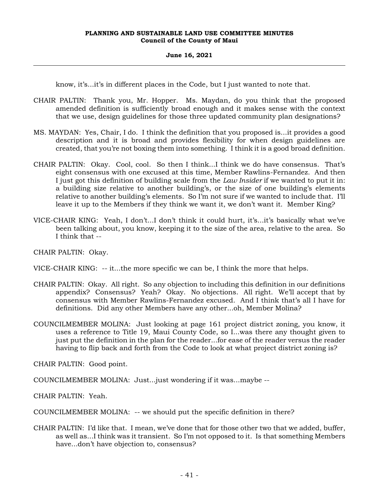# **June 16, 2021**

know, it's...it's in different places in the Code, but I just wanted to note that.

- CHAIR PALTIN: Thank you, Mr. Hopper. Ms. Maydan, do you think that the proposed amended definition is sufficiently broad enough and it makes sense with the context that we use, design guidelines for those three updated community plan designations?
- MS. MAYDAN: Yes, Chair, I do. I think the definition that you proposed is...it provides a good description and it is broad and provides flexibility for when design guidelines are created, that you're not boxing them into something. I think it is a good broad definition.
- CHAIR PALTIN: Okay. Cool, cool. So then I think...I think we do have consensus. That's eight consensus with one excused at this time, Member Rawlins-Fernandez. And then I just got this definition of building scale from the *Law Insider* if we wanted to put it in: a building size relative to another building's, or the size of one building's elements relative to another building's elements. So I'm not sure if we wanted to include that. I'll leave it up to the Members if they think we want it, we don't want it. Member King?
- VICE-CHAIR KING: Yeah, I don't...I don't think it could hurt, it's...it's basically what we've been talking about, you know, keeping it to the size of the area, relative to the area. So I think that --

CHAIR PALTIN: Okay.

VICE-CHAIR KING: -- it...the more specific we can be, I think the more that helps.

- CHAIR PALTIN: Okay. All right. So any objection to including this definition in our definitions appendix? Consensus? Yeah? Okay. No objections. All right. We'll accept that by consensus with Member Rawlins-Fernandez excused. And I think that's all I have for definitions. Did any other Members have any other...oh, Member Molina?
- COUNCILMEMBER MOLINA: Just looking at page 161 project district zoning, you know, it uses a reference to Title 19, Maui County Code, so I...was there any thought given to just put the definition in the plan for the reader...for ease of the reader versus the reader having to flip back and forth from the Code to look at what project district zoning is?

CHAIR PALTIN: Good point.

COUNCILMEMBER MOLINA: Just...just wondering if it was...maybe --

CHAIR PALTIN: Yeah.

COUNCILMEMBER MOLINA: -- we should put the specific definition in there?

CHAIR PALTIN: I'd like that. I mean, we've done that for those other two that we added, buffer, as well as...I think was it transient. So I'm not opposed to it. Is that something Members have...don't have objection to, consensus?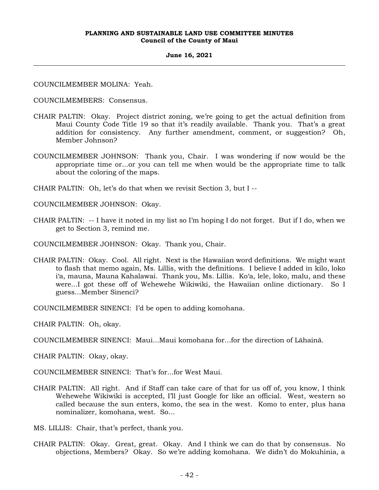#### **June 16, 2021**

COUNCILMEMBER MOLINA: Yeah.

COUNCILMEMBERS: Consensus.

- CHAIR PALTIN: Okay. Project district zoning, we're going to get the actual definition from Maui County Code Title 19 so that it's readily available. Thank you. That's a great addition for consistency. Any further amendment, comment, or suggestion? Oh, Member Johnson?
- COUNCILMEMBER JOHNSON: Thank you, Chair. I was wondering if now would be the appropriate time or...or you can tell me when would be the appropriate time to talk about the coloring of the maps.

CHAIR PALTIN: Oh, let's do that when we revisit Section 3, but I --

COUNCILMEMBER JOHNSON: Okay.

CHAIR PALTIN: -- I have it noted in my list so I'm hoping I do not forget. But if I do, when we get to Section 3, remind me.

COUNCILMEMBER JOHNSON: Okay. Thank you, Chair.

CHAIR PALTIN: Okay. Cool. All right. Next is the Hawaiian word definitions. We might want to flash that memo again, Ms. Lillis, with the definitions. I believe I added in kilo, loko i'a, mauna, Mauna Kahalawai. Thank you, Ms. Lillis. Ko'a, lele, loko, malu, and these were...I got these off of Wehewehe Wikiwiki, the Hawaiian online dictionary. So I guess...Member Sinenci?

COUNCILMEMBER SINENCI: I'd be open to adding komohana.

CHAIR PALTIN: Oh, okay.

COUNCILMEMBER SINENCI: Maui...Maui komohana for...for the direction of Lāhainā.

CHAIR PALTIN: Okay, okay.

COUNCILMEMBER SINENCI: That's for...for West Maui.

CHAIR PALTIN: All right. And if Staff can take care of that for us off of, you know, I think Wehewehe Wikiwiki is accepted, I'll just Google for like an official. West, western so called because the sun enters, komo, the sea in the west. Komo to enter, plus hana nominalizer, komohana, west. So...

MS. LILLIS: Chair, that's perfect, thank you.

CHAIR PALTIN: Okay. Great, great. Okay. And I think we can do that by consensus. No objections, Members? Okay. So we're adding komohana. We didn't do Mokuhinia, a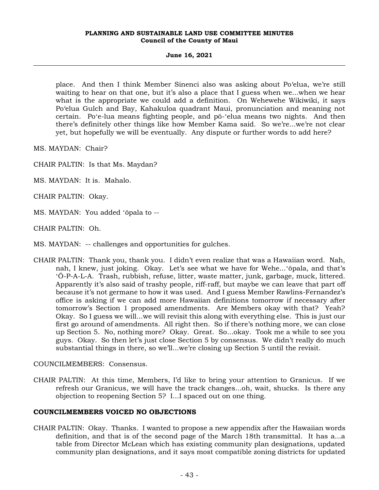**June 16, 2021**

place. And then I think Member Sinenci also was asking about Po'elua, we're still waiting to hear on that one, but it's also a place that I guess when we...when we hear what is the appropriate we could add a definition. On Wehewehe Wikiwiki, it says Po'elua Gulch and Bay, Kahakuloa quadrant Maui, pronunciation and meaning not certain. Poʻe-lua means fighting people, and pō-ʻelua means two nights. And then there's definitely other things like how Member Kama said. So we're...we're not clear yet, but hopefully we will be eventually. Any dispute or further words to add here?

MS. MAYDAN: Chair?

- CHAIR PALTIN: Is that Ms. Maydan?
- MS. MAYDAN: It is. Mahalo.

CHAIR PALTIN: Okay.

- MS. MAYDAN: You added ʻōpala to --
- CHAIR PALTIN: Oh.
- MS. MAYDAN: -- challenges and opportunities for gulches.
- CHAIR PALTIN: Thank you, thank you. I didn't even realize that was a Hawaiian word. Nah, nah, I knew, just joking. Okay. Let's see what we have for Wehe...ʻōpala, and that's ʻŌ-P-A-L-A. Trash, rubbish, refuse, litter, waste matter, junk, garbage, muck, littered. Apparently it's also said of trashy people, riff-raff, but maybe we can leave that part off because it's not germane to how it was used. And I guess Member Rawlins-Fernandez's office is asking if we can add more Hawaiian definitions tomorrow if necessary after tomorrow's Section 1 proposed amendments. Are Members okay with that? Yeah? Okay. So I guess we will...we will revisit this along with everything else. This is just our first go around of amendments. All right then. So if there's nothing more, we can close up Section 5. No, nothing more? Okay. Great. So...okay. Took me a while to see you guys. Okay. So then let's just close Section 5 by consensus. We didn't really do much substantial things in there, so we'll...we're closing up Section 5 until the revisit.

# COUNCILMEMBERS: Consensus.

CHAIR PALTIN: At this time, Members, I'd like to bring your attention to Granicus. If we refresh our Granicus, we will have the track changes...oh, wait, shucks. Is there any objection to reopening Section 5? I...I spaced out on one thing.

# **COUNCILMEMBERS VOICED NO OBJECTIONS**

CHAIR PALTIN: Okay. Thanks. I wanted to propose a new appendix after the Hawaiian words definition, and that is of the second page of the March 18th transmittal. It has a...a table from Director McLean which has existing community plan designations, updated community plan designations, and it says most compatible zoning districts for updated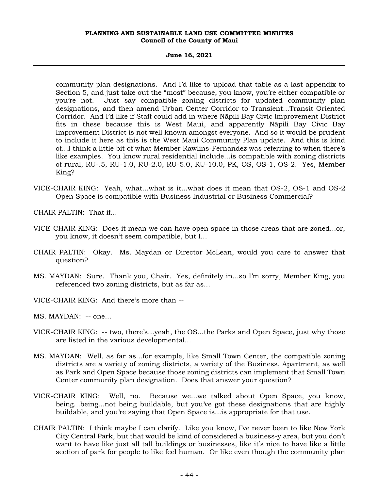#### **June 16, 2021**

community plan designations. And I'd like to upload that table as a last appendix to Section 5, and just take out the "most" because, you know, you're either compatible or you're not. Just say compatible zoning districts for updated community plan designations, and then amend Urban Center Corridor to Transient...Transit Oriented Corridor. And I'd like if Staff could add in where Nāpili Bay Civic Improvement District fits in these because this is West Maui, and apparently Nāpili Bay Civic Bay Improvement District is not well known amongst everyone. And so it would be prudent to include it here as this is the West Maui Community Plan update. And this is kind of...I think a little bit of what Member Rawlins-Fernandez was referring to when there's like examples. You know rural residential include...is compatible with zoning districts of rural, RU-.5, RU-1.0, RU-2.0, RU-5.0, RU-10.0, PK, OS, OS-1, OS-2. Yes, Member King?

VICE-CHAIR KING: Yeah, what...what is it...what does it mean that OS-2, OS-1 and OS-2 Open Space is compatible with Business Industrial or Business Commercial?

CHAIR PALTIN: That if...

- VICE-CHAIR KING: Does it mean we can have open space in those areas that are zoned...or, you know, it doesn't seem compatible, but I...
- CHAIR PALTIN: Okay. Ms. Maydan or Director McLean, would you care to answer that question?
- MS. MAYDAN: Sure. Thank you, Chair. Yes, definitely in...so I'm sorry, Member King, you referenced two zoning districts, but as far as...
- VICE-CHAIR KING: And there's more than --

MS. MAYDAN: -- one...

- VICE-CHAIR KING: -- two, there's...yeah, the OS...the Parks and Open Space, just why those are listed in the various developmental...
- MS. MAYDAN: Well, as far as...for example, like Small Town Center, the compatible zoning districts are a variety of zoning districts, a variety of the Business, Apartment, as well as Park and Open Space because those zoning districts can implement that Small Town Center community plan designation. Does that answer your question?
- VICE-CHAIR KING: Well, no. Because we...we talked about Open Space, you know, being...being...not being buildable, but you've got these designations that are highly buildable, and you're saying that Open Space is...is appropriate for that use.
- CHAIR PALTIN: I think maybe I can clarify. Like you know, I've never been to like New York City Central Park, but that would be kind of considered a business-y area, but you don't want to have like just all tall buildings or businesses, like it's nice to have like a little section of park for people to like feel human. Or like even though the community plan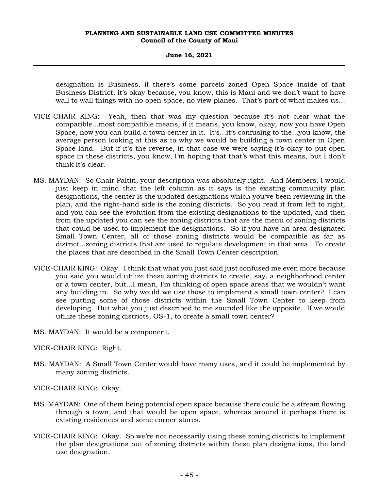#### **June 16, 2021**

designation is Business, if there's some parcels zoned Open Space inside of that Business District, it's okay because, you know, this is Maui and we don't want to have wall to wall things with no open space, no view planes. That's part of what makes us...

- VICE-CHAIR KING: Yeah, then that was my question because it's not clear what the compatible...most compatible means, if it means, you know, okay, now you have Open Space, now you can build a town center in it. It's...it's confusing to the...you know, the average person looking at this as to why we would be building a town center in Open Space land. But if it's the reverse, in that case we were saying it's okay to put open space in these districts, you know, I'm hoping that that's what this means, but I don't think it's clear.
- MS. MAYDAN: So Chair Paltin, your description was absolutely right. And Members, I would just keep in mind that the left column as it says is the existing community plan designations, the center is the updated designations which you've been reviewing in the plan, and the right-hand side is the zoning districts. So you read it from left to right, and you can see the evolution from the existing designations to the updated, and then from the updated you can see the zoning districts that are the menu of zoning districts that could be used to implement the designations. So if you have an area designated Small Town Center, all of those zoning districts would be compatible as far as district...zoning districts that are used to regulate development in that area. To create the places that are described in the Small Town Center description.
- VICE-CHAIR KING: Okay. I think that what you just said just confused me even more because you said you would utilize these zoning districts to create, say, a neighborhood center or a town center, but...I mean, I'm thinking of open space areas that we wouldn't want any building in. So why would we use those to implement a small town center? I can see putting some of those districts within the Small Town Center to keep from developing. But what you just described to me sounded like the opposite. If we would utilize these zoning districts, OS-1, to create a small town center?

MS. MAYDAN: It would be a component.

VICE-CHAIR KING: Right.

MS. MAYDAN: A Small Town Center would have many uses, and it could be implemented by many zoning districts.

VICE-CHAIR KING: Okay.

- MS. MAYDAN: One of them being potential open space because there could be a stream flowing through a town, and that would be open space, whereas around it perhaps there is existing residences and some corner stores.
- VICE-CHAIR KING: Okay. So we're not necessarily using these zoning districts to implement the plan designations out of zoning districts within these plan designations, the land use designation.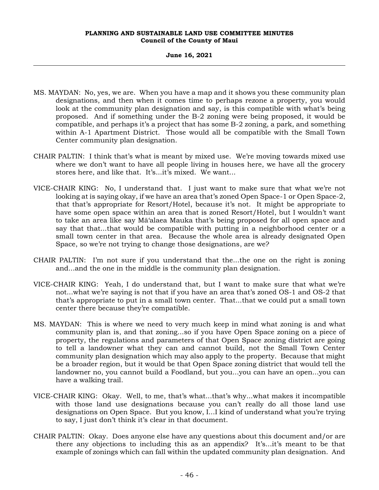### **June 16, 2021**

- MS. MAYDAN: No, yes, we are. When you have a map and it shows you these community plan designations, and then when it comes time to perhaps rezone a property, you would look at the community plan designation and say, is this compatible with what's being proposed. And if something under the B-2 zoning were being proposed, it would be compatible, and perhaps it's a project that has some B-2 zoning, a park, and something within A-1 Apartment District. Those would all be compatible with the Small Town Center community plan designation.
- CHAIR PALTIN: I think that's what is meant by mixed use. We're moving towards mixed use where we don't want to have all people living in houses here, we have all the grocery stores here, and like that. It's...it's mixed. We want...
- VICE-CHAIR KING: No, I understand that. I just want to make sure that what we're not looking at is saying okay, if we have an area that's zoned Open Space-1 or Open Space-2, that that's appropriate for Resort/Hotel, because it's not. It might be appropriate to have some open space within an area that is zoned Resort/Hotel, but I wouldn't want to take an area like say Mā'alaea Mauka that's being proposed for all open space and say that that...that would be compatible with putting in a neighborhood center or a small town center in that area. Because the whole area is already designated Open Space, so we're not trying to change those designations, are we?
- CHAIR PALTIN: I'm not sure if you understand that the...the one on the right is zoning and...and the one in the middle is the community plan designation.
- VICE-CHAIR KING: Yeah, I do understand that, but I want to make sure that what we're not...what we're saying is not that if you have an area that's zoned OS-1 and OS-2 that that's appropriate to put in a small town center. That...that we could put a small town center there because they're compatible.
- MS. MAYDAN: This is where we need to very much keep in mind what zoning is and what community plan is, and that zoning...so if you have Open Space zoning on a piece of property, the regulations and parameters of that Open Space zoning district are going to tell a landowner what they can and cannot build, not the Small Town Center community plan designation which may also apply to the property. Because that might be a broader region, but it would be that Open Space zoning district that would tell the landowner no, you cannot build a Foodland, but you...you can have an open...you can have a walking trail.
- VICE-CHAIR KING: Okay. Well, to me, that's what...that's why...what makes it incompatible with those land use designations because you can't really do all those land use designations on Open Space. But you know, I...I kind of understand what you're trying to say, I just don't think it's clear in that document.
- CHAIR PALTIN: Okay. Does anyone else have any questions about this document and/or are there any objections to including this as an appendix? It's...it's meant to be that example of zonings which can fall within the updated community plan designation. And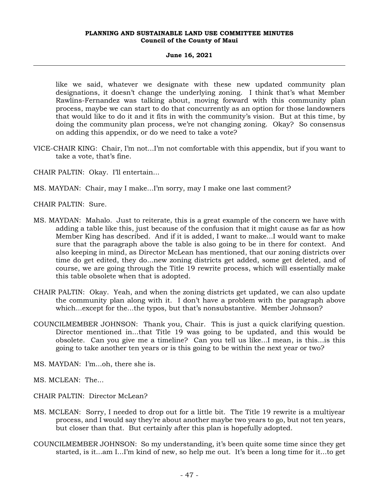# **June 16, 2021**

like we said, whatever we designate with these new updated community plan designations, it doesn't change the underlying zoning. I think that's what Member Rawlins-Fernandez was talking about, moving forward with this community plan process, maybe we can start to do that concurrently as an option for those landowners that would like to do it and it fits in with the community's vision. But at this time, by doing the community plan process, we're not changing zoning. Okay? So consensus on adding this appendix, or do we need to take a vote?

- VICE-CHAIR KING: Chair, I'm not...I'm not comfortable with this appendix, but if you want to take a vote, that's fine.
- CHAIR PALTIN: Okay. I'll entertain...
- MS. MAYDAN: Chair, may I make...I'm sorry, may I make one last comment?
- CHAIR PALTIN: Sure.
- MS. MAYDAN: Mahalo. Just to reiterate, this is a great example of the concern we have with adding a table like this, just because of the confusion that it might cause as far as how Member King has described. And if it is added, I want to make...I would want to make sure that the paragraph above the table is also going to be in there for context. And also keeping in mind, as Director McLean has mentioned, that our zoning districts over time do get edited, they do...new zoning districts get added, some get deleted, and of course, we are going through the Title 19 rewrite process, which will essentially make this table obsolete when that is adopted.
- CHAIR PALTIN: Okay. Yeah, and when the zoning districts get updated, we can also update the community plan along with it. I don't have a problem with the paragraph above which...except for the...the typos, but that's nonsubstantive. Member Johnson?
- COUNCILMEMBER JOHNSON: Thank you, Chair. This is just a quick clarifying question. Director mentioned in...that Title 19 was going to be updated, and this would be obsolete. Can you give me a timeline? Can you tell us like...I mean, is this...is this going to take another ten years or is this going to be within the next year or two?
- MS. MAYDAN: I'm...oh, there she is.
- MS. MCLEAN: The...
- CHAIR PALTIN: Director McLean?
- MS. MCLEAN: Sorry, I needed to drop out for a little bit. The Title 19 rewrite is a multiyear process, and I would say they're about another maybe two years to go, but not ten years, but closer than that. But certainly after this plan is hopefully adopted.
- COUNCILMEMBER JOHNSON: So my understanding, it's been quite some time since they get started, is it...am I...I'm kind of new, so help me out. It's been a long time for it...to get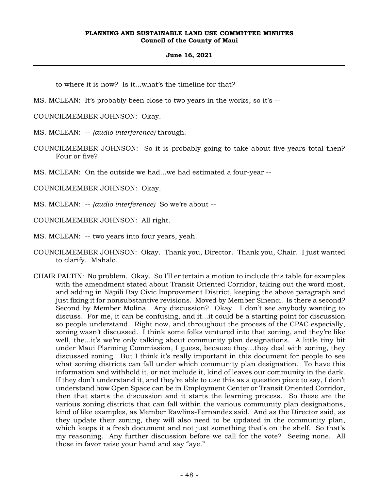#### **June 16, 2021**

to where it is now? Is it...what's the timeline for that?

MS. MCLEAN: It's probably been close to two years in the works, so it's --

COUNCILMEMBER JOHNSON: Okay.

MS. MCLEAN: -- *(audio interference)* through.

COUNCILMEMBER JOHNSON: So it is probably going to take about five years total then? Four or five?

MS. MCLEAN: On the outside we had...we had estimated a four-year --

COUNCILMEMBER JOHNSON: Okay.

MS. MCLEAN: -- *(audio interference)* So we're about --

COUNCILMEMBER JOHNSON: All right.

MS. MCLEAN: -- two years into four years, yeah.

- COUNCILMEMBER JOHNSON: Okay. Thank you, Director. Thank you, Chair. I just wanted to clarify. Mahalo.
- CHAIR PALTIN: No problem. Okay. So I'll entertain a motion to include this table for examples with the amendment stated about Transit Oriented Corridor, taking out the word most, and adding in Nāpili Bay Civic Improvement District, keeping the above paragraph and just fixing it for nonsubstantive revisions. Moved by Member Sinenci. Is there a second? Second by Member Molina. Any discussion? Okay. I don't see anybody wanting to discuss. For me, it can be confusing, and it...it could be a starting point for discussion so people understand. Right now, and throughout the process of the CPAC especially, zoning wasn't discussed. I think some folks ventured into that zoning, and they're like well, the...it's we're only talking about community plan designations. A little tiny bit under Maui Planning Commission, I guess, because they...they deal with zoning, they discussed zoning. But I think it's really important in this document for people to see what zoning districts can fall under which community plan designation. To have this information and withhold it, or not include it, kind of leaves our community in the dark. If they don't understand it, and they're able to use this as a question piece to say, I don't understand how Open Space can be in Employment Center or Transit Oriented Corridor, then that starts the discussion and it starts the learning process. So these are the various zoning districts that can fall within the various community plan designations, kind of like examples, as Member Rawlins-Fernandez said. And as the Director said, as they update their zoning, they will also need to be updated in the community plan, which keeps it a fresh document and not just something that's on the shelf. So that's my reasoning. Any further discussion before we call for the vote? Seeing none. All those in favor raise your hand and say "aye."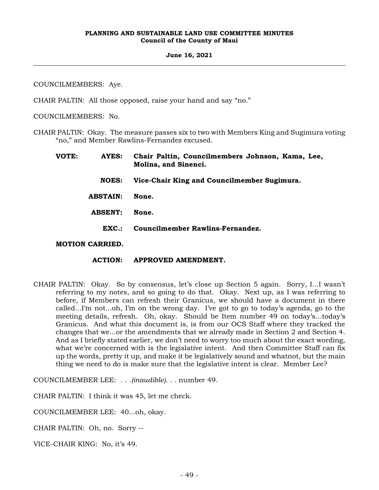#### **June 16, 2021**

COUNCILMEMBERS: Aye.

CHAIR PALTIN: All those opposed, raise your hand and say "no."

COUNCILMEMBERS: No.

CHAIR PALTIN: Okay. The measure passes six to two with Members King and Sugimura voting "no," and Member Rawlins-Fernandez excused.

| VOTE: | AYES:                  | Chair Paltin, Councilmembers Johnson, Kama, Lee,<br>Molina, and Sinenci. |
|-------|------------------------|--------------------------------------------------------------------------|
|       | <b>NOES:</b>           | Vice-Chair King and Councilmember Sugimura.                              |
|       | <b>ABSTAIN:</b>        | None.                                                                    |
|       | <b>ABSENT:</b>         | None.                                                                    |
|       | EXC.                   | <b>Councilmember Rawlins-Fernandez.</b>                                  |
|       | <b>MOTION CARRIED.</b> |                                                                          |

- **ACTION: APPROVED AMENDMENT.**
- CHAIR PALTIN: Okay. So by consensus, let's close up Section 5 again. Sorry, I...I wasn't referring to my notes, and so going to do that. Okay. Next up, as I was referring to before, if Members can refresh their Granicus, we should have a document in there called...I'm not...oh, I'm on the wrong day. I've got to go to today's agenda, go to the meeting details, refresh. Oh, okay. Should be Item number 49 on today's...today's Granicus. And what this document is, is from our OCS Staff where they tracked the changes that we...or the amendments that we already made in Section 2 and Section 4. And as I briefly stated earlier, we don't need to worry too much about the exact wording, what we're concerned with is the legislative intent. And then Committee Staff can fix up the words, pretty it up, and make it be legislatively sound and whatnot, but the main thing we need to do is make sure that the legislative intent is clear. Member Lee?

COUNCILMEMBER LEE: . . .*(inaudible)*. . . number 49.

CHAIR PALTIN: I think it was 45, let me check.

COUNCILMEMBER LEE: 40...oh, okay.

CHAIR PALTIN: Oh, no. Sorry --

VICE-CHAIR KING: No, it's 49.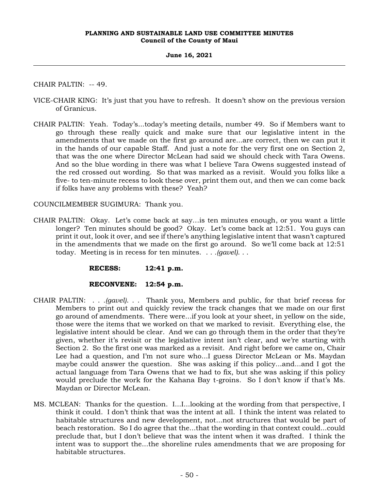# **June 16, 2021**

CHAIR PALTIN: -- 49.

- VICE-CHAIR KING: It's just that you have to refresh. It doesn't show on the previous version of Granicus.
- CHAIR PALTIN: Yeah. Today's...today's meeting details, number 49. So if Members want to go through these really quick and make sure that our legislative intent in the amendments that we made on the first go around are...are correct, then we can put it in the hands of our capable Staff. And just a note for the very first one on Section 2, that was the one where Director McLean had said we should check with Tara Owens. And so the blue wording in there was what I believe Tara Owens suggested instead of the red crossed out wording. So that was marked as a revisit. Would you folks like a five- to ten-minute recess to look these over, print them out, and then we can come back if folks have any problems with these? Yeah?

COUNCILMEMBER SUGIMURA: Thank you.

CHAIR PALTIN: Okay. Let's come back at say…is ten minutes enough, or you want a little longer? Ten minutes should be good? Okay. Let's come back at 12:51. You guys can print it out, look it over, and see if there's anything legislative intent that wasn't captured in the amendments that we made on the first go around. So we'll come back at 12:51 today. Meeting is in recess for ten minutes. . . *.(gavel)*. . .

**RECESS: 12:41 p.m.**

# **RECONVENE: 12:54 p.m.**

- CHAIR PALTIN: . . *.(gavel)*. . . Thank you, Members and public, for that brief recess for Members to print out and quickly review the track changes that we made on our first go around of amendments. There were...if you look at your sheet, in yellow on the side, those were the items that we worked on that we marked to revisit. Everything else, the legislative intent should be clear. And we can go through them in the order that they're given, whether it's revisit or the legislative intent isn't clear, and we're starting with Section 2. So the first one was marked as a revisit. And right before we came on, Chair Lee had a question, and I'm not sure who...I guess Director McLean or Ms. Maydan maybe could answer the question. She was asking if this policy...and...and I got the actual language from Tara Owens that we had to fix, but she was asking if this policy would preclude the work for the Kahana Bay t-groins. So I don't know if that's Ms. Maydan or Director McLean.
- MS. MCLEAN: Thanks for the question. I...I...looking at the wording from that perspective, I think it could. I don't think that was the intent at all. I think the intent was related to habitable structures and new development, not...not structures that would be part of beach restoration. So I do agree that the...that the wording in that context could...could preclude that, but I don't believe that was the intent when it was drafted. I think the intent was to support the...the shoreline rules amendments that we are proposing for habitable structures.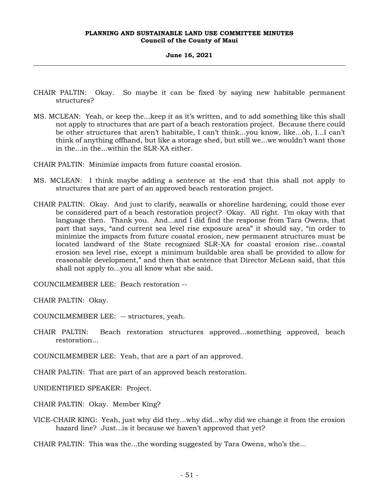#### **June 16, 2021**

- CHAIR PALTIN: Okay. So maybe it can be fixed by saying new habitable permanent structures?
- MS. MCLEAN: Yeah, or keep the...keep it as it's written, and to add something like this shall not apply to structures that are part of a beach restoration project. Because there could be other structures that aren't habitable, I can't think...you know, like...oh, I...I can't think of anything offhand, but like a storage shed, but still we...we wouldn't want those in the...in the...within the SLR-XA either.
- CHAIR PALTIN: Minimize impacts from future coastal erosion.
- MS. MCLEAN: I think maybe adding a sentence at the end that this shall not apply to structures that are part of an approved beach restoration project.
- CHAIR PALTIN: Okay. And just to clarify, seawalls or shoreline hardening, could those ever be considered part of a beach restoration project? Okay. All right. I'm okay with that language then. Thank you. And...and I did find the response from Tara Owens, that part that says, "and current sea level rise exposure area" it should say, "in order to minimize the impacts from future coastal erosion, new permanent structures must be located landward of the State recognized SLR-XA for coastal erosion rise...coastal erosion sea level rise, except a minimum buildable area shall be provided to allow for reasonable development," and then that sentence that Director McLean said, that this shall not apply to...you all know what she said.

COUNCILMEMBER LEE: Beach restoration --

CHAIR PALTIN: Okay.

COUNCILMEMBER LEE: -- structures, yeah.

CHAIR PALTIN: Beach restoration structures approved...something approved, beach restoration...

COUNCILMEMBER LEE: Yeah, that are a part of an approved.

CHAIR PALTIN: That are part of an approved beach restoration.

UNIDENTIFIED SPEAKER: Project.

CHAIR PALTIN: Okay. Member King?

VICE-CHAIR KING: Yeah, just why did they...why did...why did we change it from the erosion hazard line? Just...is it because we haven't approved that yet?

CHAIR PALTIN: This was the...the wording suggested by Tara Owens, who's the...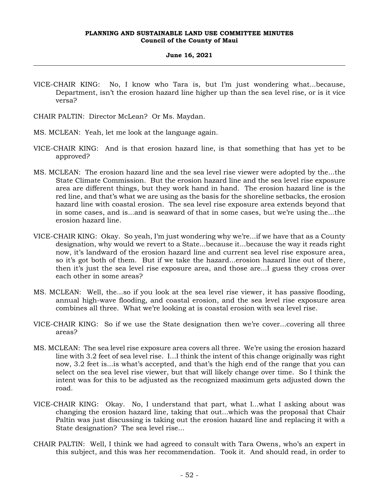#### **June 16, 2021**

- VICE-CHAIR KING: No, I know who Tara is, but I'm just wondering what...because, Department, isn't the erosion hazard line higher up than the sea level rise, or is it vice versa?
- CHAIR PALTIN: Director McLean? Or Ms. Maydan.
- MS. MCLEAN: Yeah, let me look at the language again.
- VICE-CHAIR KING: And is that erosion hazard line, is that something that has yet to be approved?
- MS. MCLEAN: The erosion hazard line and the sea level rise viewer were adopted by the...the State Climate Commission. But the erosion hazard line and the sea level rise exposure area are different things, but they work hand in hand. The erosion hazard line is the red line, and that's what we are using as the basis for the shoreline setbacks, the erosion hazard line with coastal erosion. The sea level rise exposure area extends beyond that in some cases, and is...and is seaward of that in some cases, but we're using the...the erosion hazard line.
- VICE-CHAIR KING: Okay. So yeah, I'm just wondering why we're...if we have that as a County designation, why would we revert to a State...because it...because the way it reads right now, it's landward of the erosion hazard line and current sea level rise exposure area, so it's got both of them. But if we take the hazard...erosion hazard line out of there, then it's just the sea level rise exposure area, and those are...I guess they cross over each other in some areas?
- MS. MCLEAN: Well, the...so if you look at the sea level rise viewer, it has passive flooding, annual high-wave flooding, and coastal erosion, and the sea level rise exposure area combines all three. What we're looking at is coastal erosion with sea level rise.
- VICE-CHAIR KING: So if we use the State designation then we're cover...covering all three areas?
- MS. MCLEAN: The sea level rise exposure area covers all three. We're using the erosion hazard line with 3.2 feet of sea level rise. I...I think the intent of this change originally was right now, 3.2 feet is...is what's accepted, and that's the high end of the range that you can select on the sea level rise viewer, but that will likely change over time. So I think the intent was for this to be adjusted as the recognized maximum gets adjusted down the road.
- VICE-CHAIR KING: Okay. No, I understand that part, what I...what I asking about was changing the erosion hazard line, taking that out...which was the proposal that Chair Paltin was just discussing is taking out the erosion hazard line and replacing it with a State designation? The sea level rise...
- CHAIR PALTIN: Well, I think we had agreed to consult with Tara Owens, who's an expert in this subject, and this was her recommendation. Took it. And should read, in order to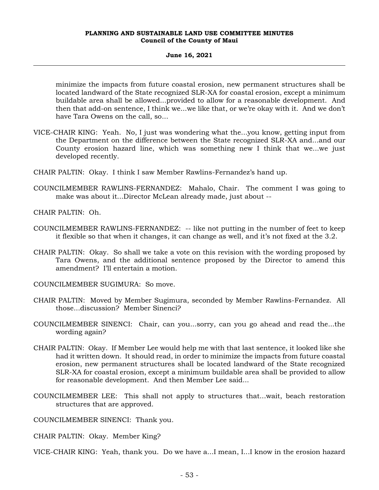#### **June 16, 2021**

minimize the impacts from future coastal erosion, new permanent structures shall be located landward of the State recognized SLR-XA for coastal erosion, except a minimum buildable area shall be allowed...provided to allow for a reasonable development. And then that add-on sentence, I think we...we like that, or we're okay with it. And we don't have Tara Owens on the call, so...

- VICE-CHAIR KING: Yeah. No, I just was wondering what the...you know, getting input from the Department on the difference between the State recognized SLR-XA and...and our County erosion hazard line, which was something new I think that we...we just developed recently.
- CHAIR PALTIN: Okay. I think I saw Member Rawlins-Fernandez's hand up.
- COUNCILMEMBER RAWLINS-FERNANDEZ: Mahalo, Chair. The comment I was going to make was about it...Director McLean already made, just about --

CHAIR PALTIN: Oh.

- COUNCILMEMBER RAWLINS-FERNANDEZ: -- like not putting in the number of feet to keep it flexible so that when it changes, it can change as well, and it's not fixed at the 3.2.
- CHAIR PALTIN: Okay. So shall we take a vote on this revision with the wording proposed by Tara Owens, and the additional sentence proposed by the Director to amend this amendment? I'll entertain a motion.

COUNCILMEMBER SUGIMURA: So move.

- CHAIR PALTIN: Moved by Member Sugimura, seconded by Member Rawlins-Fernandez. All those...discussion? Member Sinenci?
- COUNCILMEMBER SINENCI: Chair, can you...sorry, can you go ahead and read the...the wording again?
- CHAIR PALTIN: Okay. If Member Lee would help me with that last sentence, it looked like she had it written down. It should read, in order to minimize the impacts from future coastal erosion, new permanent structures shall be located landward of the State recognized SLR-XA for coastal erosion, except a minimum buildable area shall be provided to allow for reasonable development. And then Member Lee said...
- COUNCILMEMBER LEE: This shall not apply to structures that...wait, beach restoration structures that are approved.

COUNCILMEMBER SINENCI: Thank you.

CHAIR PALTIN: Okay. Member King?

VICE-CHAIR KING: Yeah, thank you. Do we have a...I mean, I...I know in the erosion hazard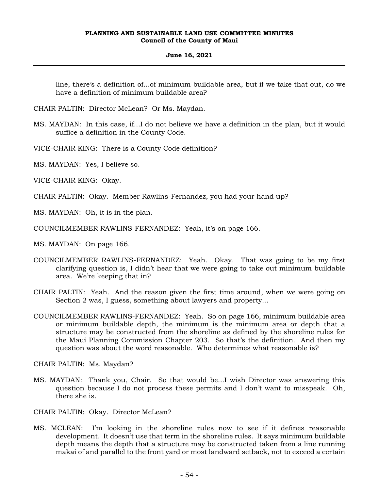# **June 16, 2021**

line, there's a definition of...of minimum buildable area, but if we take that out, do we have a definition of minimum buildable area?

- CHAIR PALTIN: Director McLean? Or Ms. Maydan.
- MS. MAYDAN: In this case, if...I do not believe we have a definition in the plan, but it would suffice a definition in the County Code.
- VICE-CHAIR KING: There is a County Code definition?
- MS. MAYDAN: Yes, I believe so.
- VICE-CHAIR KING: Okay.
- CHAIR PALTIN: Okay. Member Rawlins-Fernandez, you had your hand up?
- MS. MAYDAN: Oh, it is in the plan.
- COUNCILMEMBER RAWLINS-FERNANDEZ: Yeah, it's on page 166.
- MS. MAYDAN: On page 166.
- COUNCILMEMBER RAWLINS-FERNANDEZ: Yeah. Okay. That was going to be my first clarifying question is, I didn't hear that we were going to take out minimum buildable area. We're keeping that in?
- CHAIR PALTIN: Yeah. And the reason given the first time around, when we were going on Section 2 was, I guess, something about lawyers and property...
- COUNCILMEMBER RAWLINS-FERNANDEZ: Yeah. So on page 166, minimum buildable area or minimum buildable depth, the minimum is the minimum area or depth that a structure may be constructed from the shoreline as defined by the shoreline rules for the Maui Planning Commission Chapter 203. So that's the definition. And then my question was about the word reasonable. Who determines what reasonable is?
- CHAIR PALTIN: Ms. Maydan?
- MS. MAYDAN: Thank you, Chair. So that would be...I wish Director was answering this question because I do not process these permits and I don't want to misspeak. Oh, there she is.
- CHAIR PALTIN: Okay. Director McLean?
- MS. MCLEAN: I'm looking in the shoreline rules now to see if it defines reasonable development. It doesn't use that term in the shoreline rules. It says minimum buildable depth means the depth that a structure may be constructed taken from a line running makai of and parallel to the front yard or most landward setback, not to exceed a certain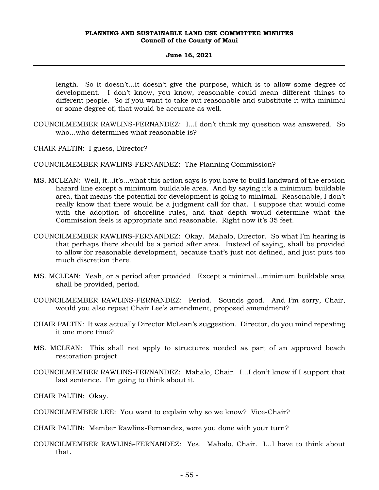### **June 16, 2021**

length. So it doesn't...it doesn't give the purpose, which is to allow some degree of development. I don't know, you know, reasonable could mean different things to different people. So if you want to take out reasonable and substitute it with minimal or some degree of, that would be accurate as well.

COUNCILMEMBER RAWLINS-FERNANDEZ: I...I don't think my question was answered. So who...who determines what reasonable is?

CHAIR PALTIN: I guess, Director?

COUNCILMEMBER RAWLINS-FERNANDEZ: The Planning Commission?

- MS. MCLEAN: Well, it...it's...what this action says is you have to build landward of the erosion hazard line except a minimum buildable area. And by saying it's a minimum buildable area, that means the potential for development is going to minimal. Reasonable, I don't really know that there would be a judgment call for that. I suppose that would come with the adoption of shoreline rules, and that depth would determine what the Commission feels is appropriate and reasonable. Right now it's 35 feet.
- COUNCILMEMBER RAWLINS-FERNANDEZ: Okay. Mahalo, Director. So what I'm hearing is that perhaps there should be a period after area. Instead of saying, shall be provided to allow for reasonable development, because that's just not defined, and just puts too much discretion there.
- MS. MCLEAN: Yeah, or a period after provided. Except a minimal...minimum buildable area shall be provided, period.
- COUNCILMEMBER RAWLINS-FERNANDEZ: Period. Sounds good. And I'm sorry, Chair, would you also repeat Chair Lee's amendment, proposed amendment?
- CHAIR PALTIN: It was actually Director McLean's suggestion. Director, do you mind repeating it one more time?
- MS. MCLEAN: This shall not apply to structures needed as part of an approved beach restoration project.
- COUNCILMEMBER RAWLINS-FERNANDEZ: Mahalo, Chair. I...I don't know if I support that last sentence. I'm going to think about it.
- CHAIR PALTIN: Okay.
- COUNCILMEMBER LEE: You want to explain why so we know? Vice-Chair?
- CHAIR PALTIN: Member Rawlins-Fernandez, were you done with your turn?
- COUNCILMEMBER RAWLINS-FERNANDEZ: Yes. Mahalo, Chair. I...I have to think about that.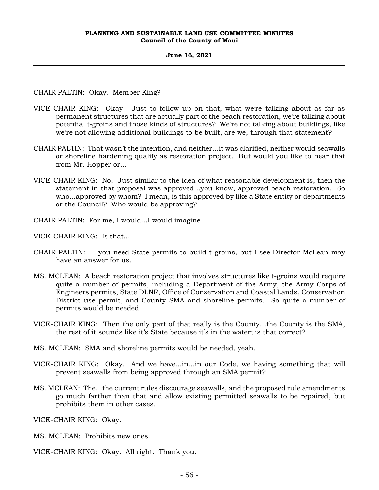#### **June 16, 2021**

CHAIR PALTIN: Okay. Member King?

- VICE-CHAIR KING: Okay. Just to follow up on that, what we're talking about as far as permanent structures that are actually part of the beach restoration, we're talking about potential t-groins and those kinds of structures? We're not talking about buildings, like we're not allowing additional buildings to be built, are we, through that statement?
- CHAIR PALTIN: That wasn't the intention, and neither...it was clarified, neither would seawalls or shoreline hardening qualify as restoration project. But would you like to hear that from Mr. Hopper or...
- VICE-CHAIR KING: No. Just similar to the idea of what reasonable development is, then the statement in that proposal was approved...you know, approved beach restoration. So who...approved by whom? I mean, is this approved by like a State entity or departments or the Council? Who would be approving?
- CHAIR PALTIN: For me, I would...I would imagine --

VICE-CHAIR KING: Is that...

- CHAIR PALTIN: -- you need State permits to build t-groins, but I see Director McLean may have an answer for us.
- MS. MCLEAN: A beach restoration project that involves structures like t-groins would require quite a number of permits, including a Department of the Army, the Army Corps of Engineers permits, State DLNR, Office of Conservation and Coastal Lands, Conservation District use permit, and County SMA and shoreline permits. So quite a number of permits would be needed.
- VICE-CHAIR KING: Then the only part of that really is the County...the County is the SMA, the rest of it sounds like it's State because it's in the water; is that correct?
- MS. MCLEAN: SMA and shoreline permits would be needed, yeah.
- VICE-CHAIR KING: Okay. And we have...in...in our Code, we having something that will prevent seawalls from being approved through an SMA permit?
- MS. MCLEAN: The...the current rules discourage seawalls, and the proposed rule amendments go much farther than that and allow existing permitted seawalls to be repaired, but prohibits them in other cases.

VICE-CHAIR KING: Okay.

- MS. MCLEAN: Prohibits new ones.
- VICE-CHAIR KING: Okay. All right. Thank you.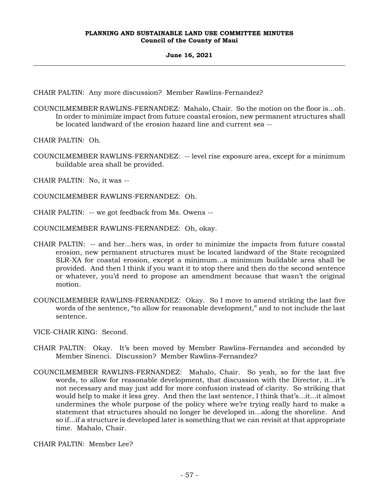# **June 16, 2021**

CHAIR PALTIN: Any more discussion? Member Rawlins-Fernandez?

COUNCILMEMBER RAWLINS-FERNANDEZ: Mahalo, Chair. So the motion on the floor is...oh. In order to minimize impact from future coastal erosion, new permanent structures shall be located landward of the erosion hazard line and current sea --

CHAIR PALTIN: Oh.

COUNCILMEMBER RAWLINS-FERNANDEZ: -- level rise exposure area, except for a minimum buildable area shall be provided.

CHAIR PALTIN: No, it was --

COUNCILMEMBER RAWLINS-FERNANDEZ: Oh.

CHAIR PALTIN: -- we got feedback from Ms. Owens --

COUNCILMEMBER RAWLINS-FERNANDEZ: Oh, okay.

- CHAIR PALTIN: -- and her...hers was, in order to minimize the impacts from future coastal erosion, new permanent structures must be located landward of the State recognized SLR-XA for coastal erosion, except a minimum...a minimum buildable area shall be provided. And then I think if you want it to stop there and then do the second sentence or whatever, you'd need to propose an amendment because that wasn't the original motion.
- COUNCILMEMBER RAWLINS-FERNANDEZ: Okay. So I move to amend striking the last five words of the sentence, "to allow for reasonable development," and to not include the last sentence.

VICE-CHAIR KING: Second.

- CHAIR PALTIN: Okay. It's been moved by Member Rawlins-Fernandez and seconded by Member Sinenci. Discussion? Member Rawlins-Fernandez?
- COUNCILMEMBER RAWLINS-FERNANDEZ: Mahalo, Chair. So yeah, so for the last five words, to allow for reasonable development, that discussion with the Director, it...it's not necessary and may just add for more confusion instead of clarity. So striking that would help to make it less grey. And then the last sentence, I think that's...it...it almost undermines the whole purpose of the policy where we're trying really hard to make a statement that structures should no longer be developed in...along the shoreline. And so if...if a structure is developed later is something that we can revisit at that appropriate time. Mahalo, Chair.

CHAIR PALTIN: Member Lee?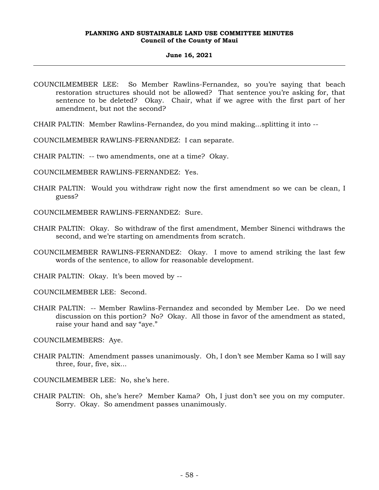#### **June 16, 2021**

COUNCILMEMBER LEE: So Member Rawlins-Fernandez, so you're saying that beach restoration structures should not be allowed? That sentence you're asking for, that sentence to be deleted? Okay. Chair, what if we agree with the first part of her amendment, but not the second?

CHAIR PALTIN: Member Rawlins-Fernandez, do you mind making...splitting it into --

COUNCILMEMBER RAWLINS-FERNANDEZ: I can separate.

CHAIR PALTIN: -- two amendments, one at a time? Okay.

COUNCILMEMBER RAWLINS-FERNANDEZ: Yes.

CHAIR PALTIN: Would you withdraw right now the first amendment so we can be clean, I guess?

COUNCILMEMBER RAWLINS-FERNANDEZ: Sure.

- CHAIR PALTIN: Okay. So withdraw of the first amendment, Member Sinenci withdraws the second, and we're starting on amendments from scratch.
- COUNCILMEMBER RAWLINS-FERNANDEZ: Okay. I move to amend striking the last few words of the sentence, to allow for reasonable development.

CHAIR PALTIN: Okay. It's been moved by --

COUNCILMEMBER LEE: Second.

CHAIR PALTIN: -- Member Rawlins-Fernandez and seconded by Member Lee. Do we need discussion on this portion? No? Okay. All those in favor of the amendment as stated, raise your hand and say "aye."

COUNCILMEMBERS: Aye.

CHAIR PALTIN: Amendment passes unanimously. Oh, I don't see Member Kama so I will say three, four, five, six...

COUNCILMEMBER LEE: No, she's here.

CHAIR PALTIN: Oh, she's here? Member Kama? Oh, I just don't see you on my computer. Sorry. Okay. So amendment passes unanimously.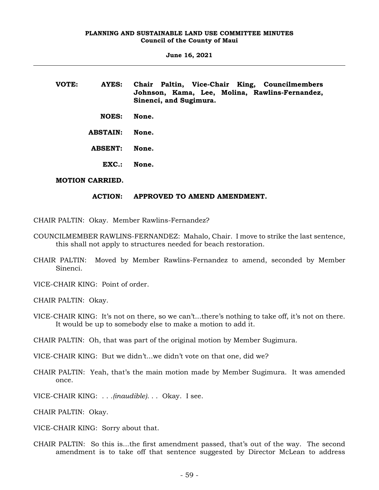**June 16, 2021**

**VOTE: AYES: Chair Paltin, Vice-Chair King, Councilmembers Johnson, Kama, Lee, Molina, Rawlins-Fernandez, Sinenci, and Sugimura. NOES: None. ABSTAIN: None. ABSENT: None. EXC.: None.**

# **MOTION CARRIED.**

# **ACTION: APPROVED TO AMEND AMENDMENT.**

CHAIR PALTIN: Okay. Member Rawlins-Fernandez?

- COUNCILMEMBER RAWLINS-FERNANDEZ: Mahalo, Chair. I move to strike the last sentence, this shall not apply to structures needed for beach restoration.
- CHAIR PALTIN: Moved by Member Rawlins-Fernandez to amend, seconded by Member Sinenci.

VICE-CHAIR KING: Point of order.

CHAIR PALTIN: Okay.

VICE-CHAIR KING: It's not on there, so we can't...there's nothing to take off, it's not on there. It would be up to somebody else to make a motion to add it.

CHAIR PALTIN: Oh, that was part of the original motion by Member Sugimura.

VICE-CHAIR KING: But we didn't...we didn't vote on that one, did we?

- CHAIR PALTIN: Yeah, that's the main motion made by Member Sugimura. It was amended once.
- VICE-CHAIR KING: . . .*(inaudible)*. . . Okay. I see.

CHAIR PALTIN: Okay.

VICE-CHAIR KING: Sorry about that.

CHAIR PALTIN: So this is...the first amendment passed, that's out of the way. The second amendment is to take off that sentence suggested by Director McLean to address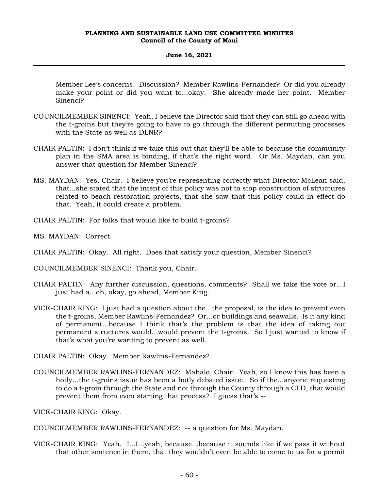# **June 16, 2021**

Member Lee's concerns. Discussion? Member Rawlins-Fernandez? Or did you already make your point or did you want to...okay. She already made her point. Member Sinenci?

- COUNCILMEMBER SINENCI: Yeah, I believe the Director said that they can still go ahead with the t-groins but they're going to have to go through the different permitting processes with the State as well as DLNR?
- CHAIR PALTIN: I don't think if we take this out that they'll be able to because the community plan in the SMA area is binding, if that's the right word. Or Ms. Maydan, can you answer that question for Member Sinenci?
- MS. MAYDAN: Yes, Chair. I believe you're representing correctly what Director McLean said, that...she stated that the intent of this policy was not to stop construction of structures related to beach restoration projects, that she saw that this policy could in effect do that. Yeah, it could create a problem.
- CHAIR PALTIN: For folks that would like to build t-groins?
- MS. MAYDAN: Correct.
- CHAIR PALTIN: Okay. All right. Does that satisfy your question, Member Sinenci?
- COUNCILMEMBER SINENCI: Thank you, Chair.
- CHAIR PALTIN: Any further discussion, questions, comments? Shall we take the vote or...I just had a...oh, okay, go ahead, Member King.
- VICE-CHAIR KING: I just had a question about the...the proposal, is the idea to prevent even the t-groins, Member Rawlins-Fernandez? Or...or buildings and seawalls. Is it any kind of permanent...because I think that's the problem is that the idea of taking out permanent structures would...would prevent the t-groins. So I just wanted to know if that's what you're wanting to prevent as well.
- CHAIR PALTIN: Okay. Member Rawlins-Fernandez?
- COUNCILMEMBER RAWLINS-FERNANDEZ: Mahalo, Chair. Yeah, so I know this has been a hotly...the t-groins issue has been a hotly debated issue. So if the...anyone requesting to do a t-groin through the State and not through the County through a CFD, that would prevent them from even starting that process? I guess that's --
- VICE-CHAIR KING: Okay.
- COUNCILMEMBER RAWLINS-FERNANDEZ: -- a question for Ms. Maydan.
- VICE-CHAIR KING: Yeah. I...I...yeah, because...because it sounds like if we pass it without that other sentence in there, that they wouldn't even be able to come to us for a permit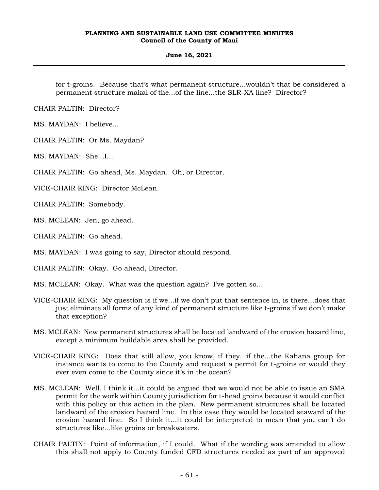# **June 16, 2021**

for t-groins. Because that's what permanent structure...wouldn't that be considered a permanent structure makai of the...of the line...the SLR-XA line? Director?

CHAIR PALTIN: Director?

MS. MAYDAN: I believe...

CHAIR PALTIN: Or Ms. Maydan?

MS. MAYDAN: She...I...

CHAIR PALTIN: Go ahead, Ms. Maydan. Oh, or Director.

VICE-CHAIR KING: Director McLean.

CHAIR PALTIN: Somebody.

MS. MCLEAN: Jen, go ahead.

CHAIR PALTIN: Go ahead.

MS. MAYDAN: I was going to say, Director should respond.

CHAIR PALTIN: Okay. Go ahead, Director.

MS. MCLEAN: Okay. What was the question again? I've gotten so...

- VICE-CHAIR KING: My question is if we...if we don't put that sentence in, is there...does that just eliminate all forms of any kind of permanent structure like t-groins if we don't make that exception?
- MS. MCLEAN: New permanent structures shall be located landward of the erosion hazard line, except a minimum buildable area shall be provided.
- VICE-CHAIR KING: Does that still allow, you know, if they...if the...the Kahana group for instance wants to come to the County and request a permit for t-groins or would they ever even come to the County since it's in the ocean?
- MS. MCLEAN: Well, I think it...it could be argued that we would not be able to issue an SMA permit for the work within County jurisdiction for t-head groins because it would conflict with this policy or this action in the plan. New permanent structures shall be located landward of the erosion hazard line. In this case they would be located seaward of the erosion hazard line. So I think it...it could be interpreted to mean that you can't do structures like...like groins or breakwaters.
- CHAIR PALTIN: Point of information, if I could. What if the wording was amended to allow this shall not apply to County funded CFD structures needed as part of an approved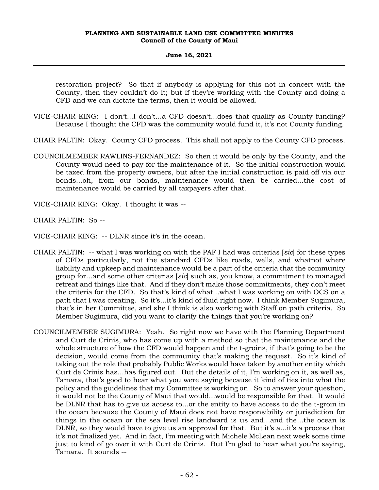### **June 16, 2021**

restoration project? So that if anybody is applying for this not in concert with the County, then they couldn't do it; but if they're working with the County and doing a CFD and we can dictate the terms, then it would be allowed.

- VICE-CHAIR KING: I don't...I don't...a CFD doesn't...does that qualify as County funding? Because I thought the CFD was the community would fund it, it's not County funding.
- CHAIR PALTIN: Okay. County CFD process. This shall not apply to the County CFD process.
- COUNCILMEMBER RAWLINS-FERNANDEZ: So then it would be only by the County, and the County would need to pay for the maintenance of it. So the initial construction would be taxed from the property owners, but after the initial construction is paid off via our bonds...oh, from our bonds, maintenance would then be carried...the cost of maintenance would be carried by all taxpayers after that.
- VICE-CHAIR KING: Okay. I thought it was --

CHAIR PALTIN: So --

- VICE-CHAIR KING: -- DLNR since it's in the ocean.
- CHAIR PALTIN: -- what I was working on with the PAF I had was criterias [*sic*] for these types of CFDs particularly, not the standard CFDs like roads, wells, and whatnot where liability and upkeep and maintenance would be a part of the criteria that the community group for...and some other criterias [*sic*] such as, you know, a commitment to managed retreat and things like that. And if they don't make those commitments, they don't meet the criteria for the CFD. So that's kind of what...what I was working on with OCS on a path that I was creating. So it's...it's kind of fluid right now. I think Member Sugimura, that's in her Committee, and she I think is also working with Staff on path criteria. So Member Sugimura, did you want to clarify the things that you're working on?
- COUNCILMEMBER SUGIMURA: Yeah. So right now we have with the Planning Department and Curt de Crinis, who has come up with a method so that the maintenance and the whole structure of how the CFD would happen and the t-groins, if that's going to be the decision, would come from the community that's making the request. So it's kind of taking out the role that probably Public Works would have taken by another entity which Curt de Crinis has...has figured out. But the details of it, I'm working on it, as well as, Tamara, that's good to hear what you were saying because it kind of ties into what the policy and the guidelines that my Committee is working on. So to answer your question, it would not be the County of Maui that would...would be responsible for that. It would be DLNR that has to give us access to...or the entity to have access to do the t-groin in the ocean because the County of Maui does not have responsibility or jurisdiction for things in the ocean or the sea level rise landward is us and...and the...the ocean is DLNR, so they would have to give us an approval for that. But it's a...it's a process that it's not finalized yet. And in fact, I'm meeting with Michele McLean next week some time just to kind of go over it with Curt de Crinis. But I'm glad to hear what you're saying, Tamara. It sounds --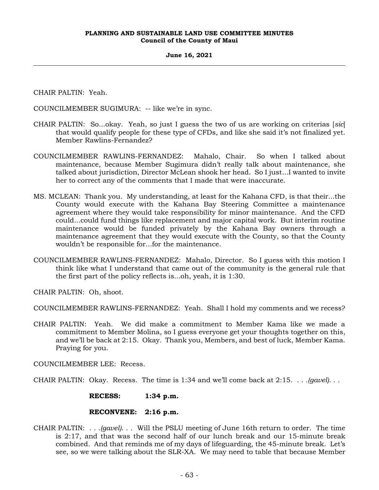# **June 16, 2021**

CHAIR PALTIN: Yeah.

COUNCILMEMBER SUGIMURA: -- like we're in sync.

- CHAIR PALTIN: So...okay. Yeah, so just I guess the two of us are working on criterias [*sic*] that would qualify people for these type of CFDs, and like she said it's not finalized yet. Member Rawlins-Fernandez?
- COUNCILMEMBER RAWLINS-FERNANDEZ: Mahalo, Chair. So when I talked about maintenance, because Member Sugimura didn't really talk about maintenance, she talked about jurisdiction, Director McLean shook her head. So I just...I wanted to invite her to correct any of the comments that I made that were inaccurate.
- MS. MCLEAN: Thank you. My understanding, at least for the Kahana CFD, is that their...the County would execute with the Kahana Bay Steering Committee a maintenance agreement where they would take responsibility for minor maintenance. And the CFD could...could fund things like replacement and major capital work. But interim routine maintenance would be funded privately by the Kahana Bay owners through a maintenance agreement that they would execute with the County, so that the County wouldn't be responsible for...for the maintenance.
- COUNCILMEMBER RAWLINS-FERNANDEZ: Mahalo, Director. So I guess with this motion I think like what I understand that came out of the community is the general rule that the first part of the policy reflects is...oh, yeah, it is 1:30.

CHAIR PALTIN: Oh, shoot.

COUNCILMEMBER RAWLINS-FERNANDEZ: Yeah. Shall I hold my comments and we recess?

CHAIR PALTIN: Yeah. We did make a commitment to Member Kama like we made a commitment to Member Molina, so I guess everyone get your thoughts together on this, and we'll be back at 2:15. Okay. Thank you, Members, and best of luck, Member Kama. Praying for you.

COUNCILMEMBER LEE: Recess.

CHAIR PALTIN: Okay. Recess. The time is 1:34 and we'll come back at 2:15. . . .*(gavel)*. . .

**RECESS: 1:34 p.m.**

#### **RECONVENE: 2:16 p.m.**

CHAIR PALTIN: . . *.(gavel)*. . . Will the PSLU meeting of June 16th return to order. The time is 2:17, and that was the second half of our lunch break and our 15-minute break combined. And that reminds me of my days of lifeguarding, the 45-minute break. Let's see, so we were talking about the SLR-XA. We may need to table that because Member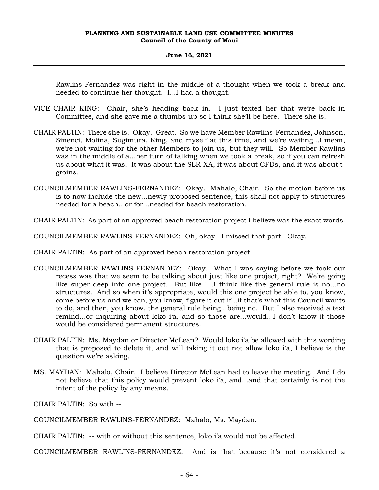#### **June 16, 2021**

Rawlins-Fernandez was right in the middle of a thought when we took a break and needed to continue her thought. I...I had a thought.

- VICE-CHAIR KING: Chair, she's heading back in. I just texted her that we're back in Committee, and she gave me a thumbs-up so I think she'll be here. There she is.
- CHAIR PALTIN: There she is. Okay. Great. So we have Member Rawlins-Fernandez, Johnson, Sinenci, Molina, Sugimura, King, and myself at this time, and we're waiting...I mean, we're not waiting for the other Members to join us, but they will. So Member Rawlins was in the middle of a...her turn of talking when we took a break, so if you can refresh us about what it was. It was about the SLR-XA, it was about CFDs, and it was about tgroins.
- COUNCILMEMBER RAWLINS-FERNANDEZ: Okay. Mahalo, Chair. So the motion before us is to now include the new...newly proposed sentence, this shall not apply to structures needed for a beach...or for...needed for beach restoration.
- CHAIR PALTIN: As part of an approved beach restoration project I believe was the exact words.
- COUNCILMEMBER RAWLINS-FERNANDEZ: Oh, okay. I missed that part. Okay.
- CHAIR PALTIN: As part of an approved beach restoration project.
- COUNCILMEMBER RAWLINS-FERNANDEZ: Okay. What I was saying before we took our recess was that we seem to be talking about just like one project, right? We're going like super deep into one project. But like I...I think like the general rule is no...no structures. And so when it's appropriate, would this one project be able to, you know, come before us and we can, you know, figure it out if...if that's what this Council wants to do, and then, you know, the general rule being...being no. But I also received a text remind...or inquiring about loko i'a, and so those are...would...I don't know if those would be considered permanent structures.
- CHAIR PALTIN: Ms. Maydan or Director McLean? Would loko i'a be allowed with this wording that is proposed to delete it, and will taking it out not allow loko i'a, I believe is the question we're asking.
- MS. MAYDAN: Mahalo, Chair. I believe Director McLean had to leave the meeting. And I do not believe that this policy would prevent loko i'a, and...and that certainly is not the intent of the policy by any means.

CHAIR PALTIN: So with --

COUNCILMEMBER RAWLINS-FERNANDEZ: Mahalo, Ms. Maydan.

CHAIR PALTIN: -- with or without this sentence, loko i'a would not be affected.

COUNCILMEMBER RAWLINS-FERNANDEZ: And is that because it's not considered a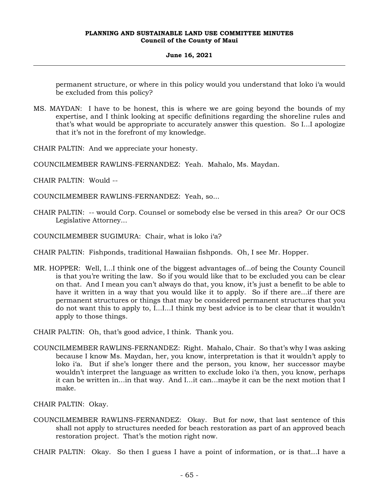### **June 16, 2021**

permanent structure, or where in this policy would you understand that loko i'a would be excluded from this policy?

MS. MAYDAN: I have to be honest, this is where we are going beyond the bounds of my expertise, and I think looking at specific definitions regarding the shoreline rules and that's what would be appropriate to accurately answer this question. So I...I apologize that it's not in the forefront of my knowledge.

CHAIR PALTIN: And we appreciate your honesty.

- COUNCILMEMBER RAWLINS-FERNANDEZ: Yeah. Mahalo, Ms. Maydan.
- CHAIR PALTIN: Would --
- COUNCILMEMBER RAWLINS-FERNANDEZ: Yeah, so...
- CHAIR PALTIN: -- would Corp. Counsel or somebody else be versed in this area? Or our OCS Legislative Attorney...
- COUNCILMEMBER SUGIMURA: Chair, what is loko i'a?
- CHAIR PALTIN: Fishponds, traditional Hawaiian fishponds. Oh, I see Mr. Hopper.
- MR. HOPPER: Well, I...I think one of the biggest advantages of...of being the County Council is that you're writing the law. So if you would like that to be excluded you can be clear on that. And I mean you can't always do that, you know, it's just a benefit to be able to have it written in a way that you would like it to apply. So if there are...if there are permanent structures or things that may be considered permanent structures that you do not want this to apply to, I...I...I think my best advice is to be clear that it wouldn't apply to those things.

CHAIR PALTIN: Oh, that's good advice, I think. Thank you.

COUNCILMEMBER RAWLINS-FERNANDEZ: Right. Mahalo, Chair. So that's why I was asking because I know Ms. Maydan, her, you know, interpretation is that it wouldn't apply to loko i'a. But if she's longer there and the person, you know, her successor maybe wouldn't interpret the language as written to exclude loko i'a then, you know, perhaps it can be written in...in that way. And I...it can...maybe it can be the next motion that I make.

CHAIR PALTIN: Okay.

COUNCILMEMBER RAWLINS-FERNANDEZ: Okay. But for now, that last sentence of this shall not apply to structures needed for beach restoration as part of an approved beach restoration project. That's the motion right now.

CHAIR PALTIN: Okay. So then I guess I have a point of information, or is that...I have a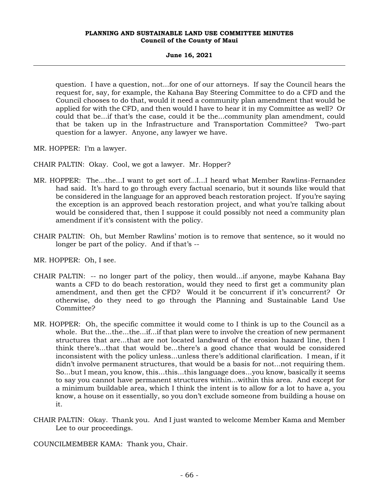# **June 16, 2021**

question. I have a question, not...for one of our attorneys. If say the Council hears the request for, say, for example, the Kahana Bay Steering Committee to do a CFD and the Council chooses to do that, would it need a community plan amendment that would be applied for with the CFD, and then would I have to hear it in my Committee as well? Or could that be...if that's the case, could it be the...community plan amendment, could that be taken up in the Infrastructure and Transportation Committee? Two-part question for a lawyer. Anyone, any lawyer we have.

MR. HOPPER: I'm a lawyer.

CHAIR PALTIN: Okay. Cool, we got a lawyer. Mr. Hopper?

- MR. HOPPER: The...the...I want to get sort of...I...I heard what Member Rawlins-Fernandez had said. It's hard to go through every factual scenario, but it sounds like would that be considered in the language for an approved beach restoration project. If you're saying the exception is an approved beach restoration project, and what you're talking about would be considered that, then I suppose it could possibly not need a community plan amendment if it's consistent with the policy.
- CHAIR PALTIN: Oh, but Member Rawlins' motion is to remove that sentence, so it would no longer be part of the policy. And if that's --

MR. HOPPER: Oh, I see.

- CHAIR PALTIN: -- no longer part of the policy, then would...if anyone, maybe Kahana Bay wants a CFD to do beach restoration, would they need to first get a community plan amendment, and then get the CFD? Would it be concurrent if it's concurrent? Or otherwise, do they need to go through the Planning and Sustainable Land Use Committee?
- MR. HOPPER: Oh, the specific committee it would come to I think is up to the Council as a whole. But the...the...the...if...if that plan were to involve the creation of new permanent structures that are...that are not located landward of the erosion hazard line, then I think there's...that that would be...there's a good chance that would be considered inconsistent with the policy unless...unless there's additional clarification. I mean, if it didn't involve permanent structures, that would be a basis for not...not requiring them. So...but I mean, you know, this...this...this language does...you know, basically it seems to say you cannot have permanent structures within...within this area. And except for a minimum buildable area, which I think the intent is to allow for a lot to have a, you know, a house on it essentially, so you don't exclude someone from building a house on it.
- CHAIR PALTIN: Okay. Thank you. And I just wanted to welcome Member Kama and Member Lee to our proceedings.

COUNCILMEMBER KAMA: Thank you, Chair.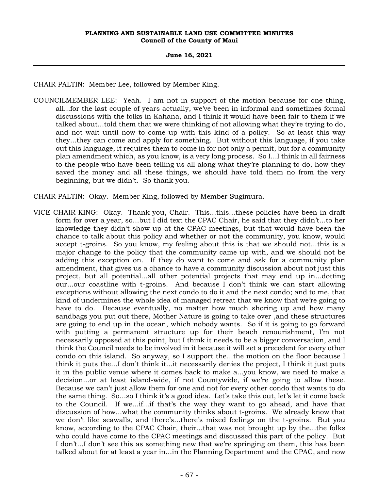# **June 16, 2021**

CHAIR PALTIN: Member Lee, followed by Member King.

COUNCILMEMBER LEE: Yeah. I am not in support of the motion because for one thing, all...for the last couple of years actually, we've been in informal and sometimes formal discussions with the folks in Kahana, and I think it would have been fair to them if we talked about...told them that we were thinking of not allowing what they're trying to do, and not wait until now to come up with this kind of a policy. So at least this way they...they can come and apply for something. But without this language, if you take out this language, it requires them to come in for not only a permit, but for a community plan amendment which, as you know, is a very long process. So I...I think in all fairness to the people who have been telling us all along what they're planning to do, how they saved the money and all these things, we should have told them no from the very beginning, but we didn't. So thank you.

CHAIR PALTIN: Okay. Member King, followed by Member Sugimura.

VICE-CHAIR KING: Okay. Thank you, Chair. This...this...these policies have been in draft form for over a year, so...but I did text the CPAC Chair, he said that they didn't...to her knowledge they didn't show up at the CPAC meetings, but that would have been the chance to talk about this policy and whether or not the community, you know, would accept t-groins. So you know, my feeling about this is that we should not...this is a major change to the policy that the community came up with, and we should not be adding this exception on. If they do want to come and ask for a community plan amendment, that gives us a chance to have a community discussion about not just this project, but all potential...all other potential projects that may end up in...dotting our...our coastline with t-groins. And because I don't think we can start allowing exceptions without allowing the next condo to do it and the next condo; and to me, that kind of undermines the whole idea of managed retreat that we know that we're going to have to do. Because eventually, no matter how much shoring up and how many sandbags you put out there, Mother Nature is going to take over ,and these structures are going to end up in the ocean, which nobody wants. So if it is going to go forward with putting a permanent structure up for their beach renourishment, I'm not necessarily opposed at this point, but I think it needs to be a bigger conversation, and I think the Council needs to be involved in it because it will set a precedent for every other condo on this island. So anyway, so I support the...the motion on the floor because I think it puts the...I don't think it...it necessarily denies the project, I think it just puts it in the public venue where it comes back to make a...you know, we need to make a decision...or at least island-wide, if not Countywide, if we're going to allow these. Because we can't just allow them for one and not for every other condo that wants to do the same thing. So...so I think it's a good idea. Let's take this out, let's let it come back to the Council. If we...if...if that's the way they want to go ahead, and have that discussion of how...what the community thinks about t-groins. We already know that we don't like seawalls, and there's...there's mixed feelings on the t-groins. But you know, according to the CPAC Chair, their...that was not brought up by the...the folks who could have come to the CPAC meetings and discussed this part of the policy. But I don't...I don't see this as something new that we're springing on them, this has been talked about for at least a year in...in the Planning Department and the CPAC, and now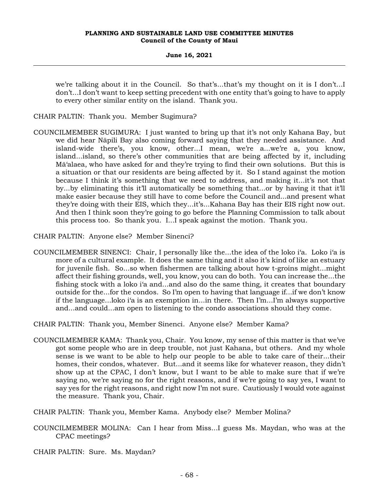**June 16, 2021**

we're talking about it in the Council. So that's...that's my thought on it is I don't...I don't...I don't want to keep setting precedent with one entity that's going to have to apply to every other similar entity on the island. Thank you.

CHAIR PALTIN: Thank you. Member Sugimura?

- COUNCILMEMBER SUGIMURA: I just wanted to bring up that it's not only Kahana Bay, but we did hear Nāpili Bay also coming forward saying that they needed assistance. And island-wide there's, you know, other...I mean, we're a...we're a, you know, island...island, so there's other communities that are being affected by it, including Mā'alaea, who have asked for and they're trying to find their own solutions. But this is a situation or that our residents are being affected by it. So I stand against the motion because I think it's something that we need to address, and making it...it's not that by...by eliminating this it'll automatically be something that...or by having it that it'll make easier because they still have to come before the Council and...and present what they're doing with their EIS, which they...it's...Kahana Bay has their EIS right now out. And then I think soon they're going to go before the Planning Commission to talk about this process too. So thank you. I...I speak against the motion. Thank you.
- CHAIR PALTIN: Anyone else? Member Sinenci?
- COUNCILMEMBER SINENCI: Chair, I personally like the...the idea of the loko i'a. Loko i'a is more of a cultural example. It does the same thing and it also it's kind of like an estuary for juvenile fish. So...so when fishermen are talking about how t-groins might...might affect their fishing grounds, well, you know, you can do both. You can increase the...the fishing stock with a loko i'a and...and also do the same thing, it creates that boundary outside for the...for the condos. So I'm open to having that language if...if we don't know if the language...loko i'a is an exemption in...in there. Then I'm...I'm always supportive and...and could...am open to listening to the condo associations should they come.

CHAIR PALTIN: Thank you, Member Sinenci. Anyone else? Member Kama?

- COUNCILMEMBER KAMA: Thank you, Chair. You know, my sense of this matter is that we've got some people who are in deep trouble, not just Kahana, but others. And my whole sense is we want to be able to help our people to be able to take care of their...their homes, their condos, whatever. But...and it seems like for whatever reason, they didn't show up at the CPAC, I don't know, but I want to be able to make sure that if we're saying no, we're saying no for the right reasons, and if we're going to say yes, I want to say yes for the right reasons, and right now I'm not sure. Cautiously I would vote against the measure. Thank you, Chair.
- CHAIR PALTIN: Thank you, Member Kama. Anybody else? Member Molina?
- COUNCILMEMBER MOLINA: Can I hear from Miss...I guess Ms. Maydan, who was at the CPAC meetings?
- CHAIR PALTIN: Sure. Ms. Maydan?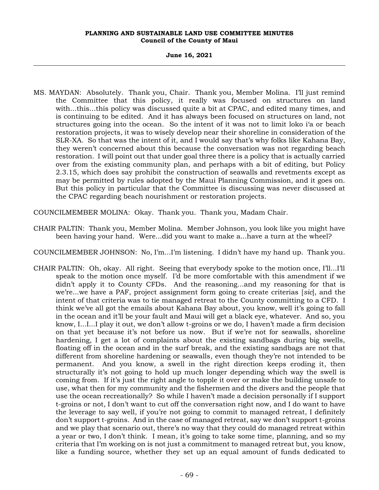#### **June 16, 2021**

MS. MAYDAN: Absolutely. Thank you, Chair. Thank you, Member Molina. I'll just remind the Committee that this policy, it really was focused on structures on land with...this...this policy was discussed quite a bit at CPAC, and edited many times, and is continuing to be edited. And it has always been focused on structures on land, not structures going into the ocean. So the intent of it was not to limit loko i'a or beach restoration projects, it was to wisely develop near their shoreline in consideration of the SLR-XA. So that was the intent of it, and I would say that's why folks like Kahana Bay, they weren't concerned about this because the conversation was not regarding beach restoration. I will point out that under goal three there is a policy that is actually carried over from the existing community plan, and perhaps with a bit of editing, but Policy 2.3.15, which does say prohibit the construction of seawalls and revetments except as may be permitted by rules adopted by the Maui Planning Commission, and it goes on. But this policy in particular that the Committee is discussing was never discussed at the CPAC regarding beach nourishment or restoration projects.

COUNCILMEMBER MOLINA: Okay. Thank you. Thank you, Madam Chair.

CHAIR PALTIN: Thank you, Member Molina. Member Johnson, you look like you might have been having your hand. Were...did you want to make a...have a turn at the wheel?

COUNCILMEMBER JOHNSON: No, I'm...I'm listening. I didn't have my hand up. Thank you.

CHAIR PALTIN: Oh, okay. All right. Seeing that everybody spoke to the motion once, I'll...I'll speak to the motion once myself. I'd be more comfortable with this amendment if we didn't apply it to County CFDs. And the reasoning...and my reasoning for that is we're...we have a PAF, project assignment form going to create criterias [*sic*], and the intent of that criteria was to tie managed retreat to the County committing to a CFD. I think we've all got the emails about Kahana Bay about, you know, well it's going to fall in the ocean and it'll be your fault and Maui will get a black eye, whatever. And so, you know, I...I...I play it out, we don't allow t-groins or we do, I haven't made a firm decision on that yet because it's not before us now. But if we're not for seawalls, shoreline hardening, I get a lot of complaints about the existing sandbags during big swells, floating off in the ocean and in the surf break, and the existing sandbags are not that different from shoreline hardening or seawalls, even though they're not intended to be permanent. And you know, a swell in the right direction keeps eroding it, then structurally it's not going to hold up much longer depending which way the swell is coming from. If it's just the right angle to topple it over or make the building unsafe to use, what then for my community and the fishermen and the divers and the people that use the ocean recreationally? So while I haven't made a decision personally if I support t-groins or not, I don't want to cut off the conversation right now, and I do want to have the leverage to say well, if you're not going to commit to managed retreat, I definitely don't support t-groins. And in the case of managed retreat, say we don't support t-groins and we play that scenario out, there's no way that they could do managed retreat within a year or two, I don't think. I mean, it's going to take some time, planning, and so my criteria that I'm working on is not just a commitment to managed retreat but, you know, like a funding source, whether they set up an equal amount of funds dedicated to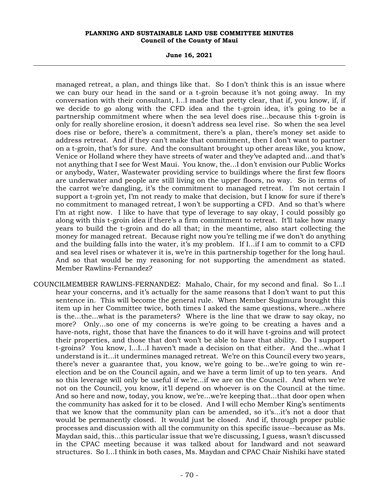**June 16, 2021**

managed retreat, a plan, and things like that. So I don't think this is an issue where we can bury our head in the sand or a t-groin because it's not going away. In my conversation with their consultant, I...I made that pretty clear, that if, you know, if, if we decide to go along with the CFD idea and the t-groin idea, it's going to be a partnership commitment where when the sea level does rise...because this t-groin is only for really shoreline erosion, it doesn't address sea level rise. So when the sea level does rise or before, there's a commitment, there's a plan, there's money set aside to address retreat. And if they can't make that commitment, then I don't want to partner on a t-groin, that's for sure. And the consultant brought up other areas like, you know, Venice or Holland where they have streets of water and they've adapted and...and that's not anything that I see for West Maui. You know, the...I don't envision our Public Works or anybody, Water, Wastewater providing service to buildings where the first few floors are underwater and people are still living on the upper floors, no way. So in terms of the carrot we're dangling, it's the commitment to managed retreat. I'm not certain I support a t-groin yet, I'm not ready to make that decision, but I know for sure if there's no commitment to managed retreat, I won't be supporting a CFD. And so that's where I'm at right now. I like to have that type of leverage to say okay, I could possibly go along with this t-groin idea if there's a firm commitment to retreat. It'll take how many years to build the t-groin and do all that; in the meantime, also start collecting the money for managed retreat. Because right now you're telling me if we don't do anything and the building falls into the water, it's my problem. If I...if I am to commit to a CFD and sea level rises or whatever it is, we're in this partnership together for the long haul. And so that would be my reasoning for not supporting the amendment as stated. Member Rawlins-Fernandez?

COUNCILMEMBER RAWLINS-FERNANDEZ: Mahalo, Chair, for my second and final. So I...I hear your concerns, and it's actually for the same reasons that I don't want to put this sentence in. This will become the general rule. When Member Sugimura brought this item up in her Committee twice, both times I asked the same questions, where...where is the...the...what is the parameters? Where is the line that we draw to say okay, no more? Only...so one of my concerns is we're going to be creating a haves and a have-nots, right, those that have the finances to do it will have t-groins and will protect their properties, and those that don't won't be able to have that ability. Do I support t-groins? You know, I...I...I haven't made a decision on that either. And the...what I understand is it...it undermines managed retreat. We're on this Council every two years, there's never a guarantee that, you know, we're going to be...we're going to win reelection and be on the Council again, and we have a term limit of up to ten years. And so this leverage will only be useful if we're...if we are on the Council. And when we're not on the Council, you know, it'll depend on whoever is on the Council at the time. And so here and now, today, you know, we're...we're keeping that...that door open when the community has asked for it to be closed. And I will echo Member King's sentiments that we know that the community plan can be amended, so it's...it's not a door that would be permanently closed. It would just be closed. And if, through proper public processes and discussion with all the community on this specific issue--because as Ms. Maydan said, this...this particular issue that we're discussing, I guess, wasn't discussed in the CPAC meeting because it was talked about for landward and not seaward structures. So I...I think in both cases, Ms. Maydan and CPAC Chair Nishiki have stated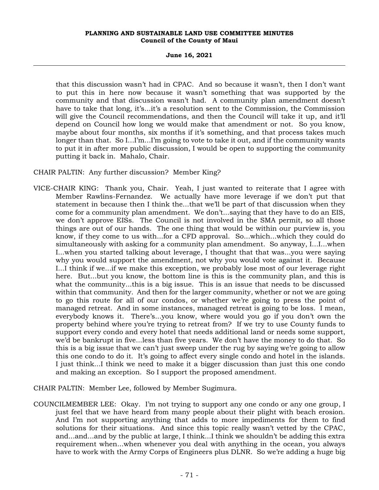**June 16, 2021**

that this discussion wasn't had in CPAC. And so because it wasn't, then I don't want to put this in here now because it wasn't something that was supported by the community and that discussion wasn't had. A community plan amendment doesn't have to take that long, it's...it's a resolution sent to the Commission, the Commission will give the Council recommendations, and then the Council will take it up, and it'll depend on Council how long we would make that amendment or not. So you know, maybe about four months, six months if it's something, and that process takes much longer than that. So I...I'm...I'm going to vote to take it out, and if the community wants to put it in after more public discussion, I would be open to supporting the community putting it back in. Mahalo, Chair.

CHAIR PALTIN: Any further discussion? Member King?

VICE-CHAIR KING: Thank you, Chair. Yeah, I just wanted to reiterate that I agree with Member Rawlins-Fernandez. We actually have more leverage if we don't put that statement in because then I think the...that we'll be part of that discussion when they come for a community plan amendment. We don't...saying that they have to do an EIS, we don't approve EISs. The Council is not involved in the SMA permit, so all those things are out of our hands. The one thing that would be within our purview is, you know, if they come to us with...for a CFD approval. So...which...which they could do simultaneously with asking for a community plan amendment. So anyway, I...I...when I...when you started talking about leverage, I thought that that was...you were saying why you would support the amendment, not why you would vote against it. Because I...I think if we...if we make this exception, we probably lose most of our leverage right here. But...but you know, the bottom line is this is the community plan, and this is what the community...this is a big issue. This is an issue that needs to be discussed within that community. And then for the larger community, whether or not we are going to go this route for all of our condos, or whether we're going to press the point of managed retreat. And in some instances, managed retreat is going to be loss. I mean, everybody knows it. There's...you know, where would you go if you don't own the property behind where you're trying to retreat from? If we try to use County funds to support every condo and every hotel that needs additional land or needs some support, we'd be bankrupt in five...less than five years. We don't have the money to do that. So this is a big issue that we can't just sweep under the rug by saying we're going to allow this one condo to do it. It's going to affect every single condo and hotel in the islands. I just think...I think we need to make it a bigger discussion than just this one condo and making an exception. So I support the proposed amendment.

CHAIR PALTIN: Member Lee, followed by Member Sugimura.

COUNCILMEMBER LEE: Okay. I'm not trying to support any one condo or any one group, I just feel that we have heard from many people about their plight with beach erosion. And I'm not supporting anything that adds to more impediments for them to find solutions for their situations. And since this topic really wasn't vetted by the CPAC, and...and...and by the public at large, I think...I think we shouldn't be adding this extra requirement when...when whenever you deal with anything in the ocean, you always have to work with the Army Corps of Engineers plus DLNR. So we're adding a huge big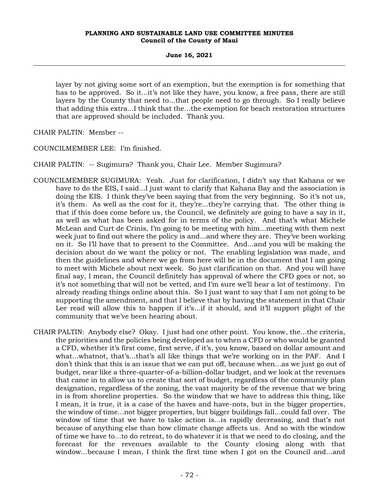**June 16, 2021**

layer by not giving some sort of an exemption, but the exemption is for something that has to be approved. So it...it's not like they have, you know, a free pass, there are still layers by the County that need to...that people need to go through. So I really believe that adding this extra...I think that the...the exemption for beach restoration structures that are approved should be included. Thank you.

CHAIR PALTIN: Member --

COUNCILMEMBER LEE: I'm finished.

CHAIR PALTIN: -- Sugimura? Thank you, Chair Lee. Member Sugimura?

- COUNCILMEMBER SUGIMURA: Yeah. Just for clarification, I didn't say that Kahana or we have to do the EIS, I said...I just want to clarify that Kahana Bay and the association is doing the EIS. I think they've been saying that from the very beginning. So it's not us, it's them. As well as the cost for it, they're...they're carrying that. The other thing is that if this does come before us, the Council, we definitely are going to have a say in it, as well as what has been asked for in terms of the policy. And that's what Michele McLean and Curt de Crinis, I'm going to be meeting with him...meeting with them next week just to find out where the policy is and...and where they are. They've been working on it. So I'll have that to present to the Committee. And...and you will be making the decision about do we want the policy or not. The enabling legislation was made, and then the guidelines and where we go from here will be in the document that I am going to meet with Michele about next week. So just clarification on that. And you will have final say, I mean, the Council definitely has approval of where the CFD goes or not, so it's not something that will not be vetted, and I'm sure we'll hear a lot of testimony. I'm already reading things online about this. So I just want to say that I am not going to be supporting the amendment, and that I believe that by having the statement in that Chair Lee read will allow this to happen if it's...if it should, and it'll support plight of the community that we've been hearing about.
- CHAIR PALTIN: Anybody else? Okay. I just had one other point. You know, the...the criteria, the priorities and the policies being developed as to when a CFD or who would be granted a CFD, whether it's first come, first serve, if it's, you know, based on dollar amount and what...whatnot, that's...that's all like things that we're working on in the PAF. And I don't think that this is an issue that we can put off, because when...as we just go out of budget, near like a three-quarter-of-a-billion-dollar budget, and we look at the revenues that came in to allow us to create that sort of budget, regardless of the community plan designation, regardless of the zoning, the vast majority be of the revenue that we bring in is from shoreline properties. So the window that we have to address this thing, like I mean, it is true, it is a case of the haves and have-nots, but in the bigger properties, the window of time...not bigger properties, but bigger buildings fall...could fall over. The window of time that we have to take action is...is rapidly decreasing, and that's not because of anything else than how climate change affects us. And so with the window of time we have to...to do retreat, to do whatever it is that we need to do closing, and the forecast for the revenues available to the County closing along with that window...because I mean, I think the first time when I got on the Council and...and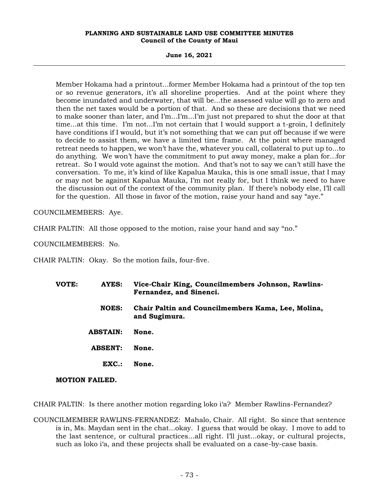**June 16, 2021**

Member Hokama had a printout...former Member Hokama had a printout of the top ten or so revenue generators, it's all shoreline properties. And at the point where they become inundated and underwater, that will be...the assessed value will go to zero and then the net taxes would be a portion of that. And so these are decisions that we need to make sooner than later, and I'm...I'm...I'm just not prepared to shut the door at that time...at this time. I'm not...I'm not certain that I would support a t-groin, I definitely have conditions if I would, but it's not something that we can put off because if we were to decide to assist them, we have a limited time frame. At the point where managed retreat needs to happen, we won't have the, whatever you call, collateral to put up to...to do anything. We won't have the commitment to put away money, make a plan for...for retreat. So I would vote against the motion. And that's not to say we can't still have the conversation. To me, it's kind of like Kapalua Mauka, this is one small issue, that I may or may not be against Kapalua Mauka, I'm not really for, but I think we need to have the discussion out of the context of the community plan. If there's nobody else, I'll call for the question. All those in favor of the motion, raise your hand and say "aye."

COUNCILMEMBERS: Aye.

CHAIR PALTIN: All those opposed to the motion, raise your hand and say "no."

COUNCILMEMBERS: No.

CHAIR PALTIN: Okay. So the motion fails, four-five.

**VOTE: AYES: Vice-Chair King, Councilmembers Johnson, Rawlins-Fernandez, and Sinenci. NOES: Chair Paltin and Councilmembers Kama, Lee, Molina, and Sugimura. ABSTAIN: None. ABSENT: None. EXC.: None. MOTION FAILED.**

CHAIR PALTIN: Is there another motion regarding loko i'a? Member Rawlins-Fernandez?

COUNCILMEMBER RAWLINS-FERNANDEZ: Mahalo, Chair. All right. So since that sentence is in, Ms. Maydan sent in the chat...okay. I guess that would be okay. I move to add to the last sentence, or cultural practices...all right. I'll just...okay, or cultural projects, such as loko i'a, and these projects shall be evaluated on a case-by-case basis.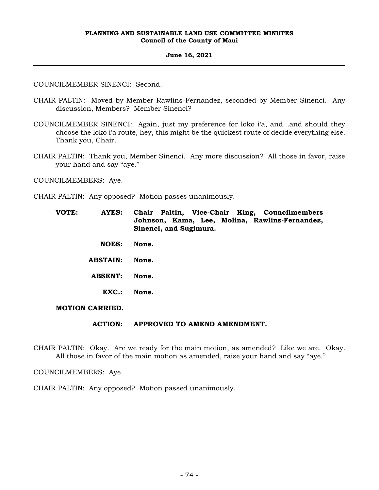#### **June 16, 2021**

COUNCILMEMBER SINENCI: Second.

- CHAIR PALTIN: Moved by Member Rawlins-Fernandez, seconded by Member Sinenci. Any discussion, Members? Member Sinenci?
- COUNCILMEMBER SINENCI: Again, just my preference for loko i'a, and...and should they choose the loko i'a route, hey, this might be the quickest route of decide everything else. Thank you, Chair.
- CHAIR PALTIN: Thank you, Member Sinenci. Any more discussion? All those in favor, raise your hand and say "aye."

COUNCILMEMBERS: Aye.

- CHAIR PALTIN: Any opposed? Motion passes unanimously.
	- **VOTE: AYES: Chair Paltin, Vice-Chair King, Councilmembers Johnson, Kama, Lee, Molina, Rawlins-Fernandez, Sinenci, and Sugimura.**
		- **NOES: None.**
		- **ABSTAIN: None.**
		- **ABSENT: None.**
			- **EXC.: None.**

**MOTION CARRIED.**

## **ACTION: APPROVED TO AMEND AMENDMENT.**

CHAIR PALTIN: Okay. Are we ready for the main motion, as amended? Like we are. Okay. All those in favor of the main motion as amended, raise your hand and say "aye."

COUNCILMEMBERS: Aye.

CHAIR PALTIN: Any opposed? Motion passed unanimously.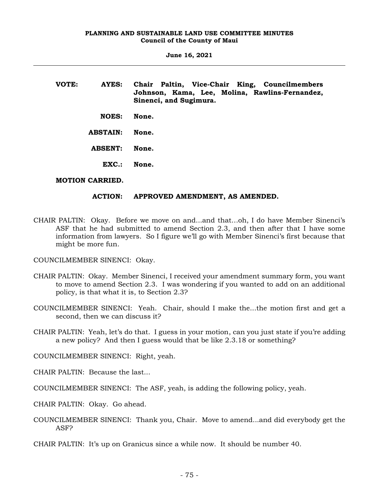**June 16, 2021**

| VOTE: | AYES:             | Chair Paltin, Vice-Chair King, Councilmembers<br>Johnson, Kama, Lee, Molina, Rawlins-Fernandez,<br>Sinenci, and Sugimura. |
|-------|-------------------|---------------------------------------------------------------------------------------------------------------------------|
|       | <b>NOES:</b>      | None.                                                                                                                     |
|       | <b>ABSTAIN:</b>   | None.                                                                                                                     |
|       | <b>ABSENT:</b>    | None.                                                                                                                     |
|       | $\mathbf{EXC}$ .: | None.                                                                                                                     |

## **MOTION CARRIED.**

## **ACTION: APPROVED AMENDMENT, AS AMENDED.**

- CHAIR PALTIN: Okay. Before we move on and...and that…oh, I do have Member Sinenci's ASF that he had submitted to amend Section 2.3, and then after that I have some information from lawyers. So I figure we'll go with Member Sinenci's first because that might be more fun.
- COUNCILMEMBER SINENCI: Okay.
- CHAIR PALTIN: Okay. Member Sinenci, I received your amendment summary form, you want to move to amend Section 2.3. I was wondering if you wanted to add on an additional policy, is that what it is, to Section 2.3?
- COUNCILMEMBER SINENCI: Yeah. Chair, should I make the...the motion first and get a second, then we can discuss it?
- CHAIR PALTIN: Yeah, let's do that. I guess in your motion, can you just state if you're adding a new policy? And then I guess would that be like 2.3.18 or something?
- COUNCILMEMBER SINENCI: Right, yeah.
- CHAIR PALTIN: Because the last...
- COUNCILMEMBER SINENCI: The ASF, yeah, is adding the following policy, yeah.
- CHAIR PALTIN: Okay. Go ahead.
- COUNCILMEMBER SINENCI: Thank you, Chair. Move to amend...and did everybody get the ASF?
- CHAIR PALTIN: It's up on Granicus since a while now. It should be number 40.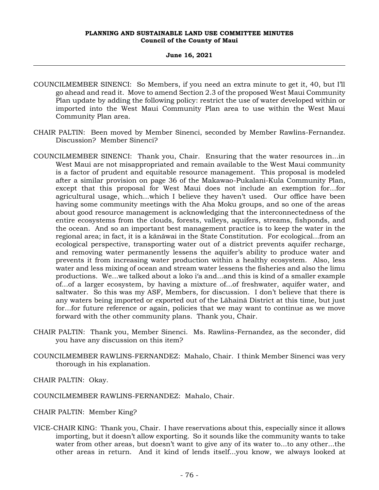#### **June 16, 2021**

- COUNCILMEMBER SINENCI: So Members, if you need an extra minute to get it, 40, but I'll go ahead and read it. Move to amend Section 2.3 of the proposed West Maui Community Plan update by adding the following policy: restrict the use of water developed within or imported into the West Maui Community Plan area to use within the West Maui Community Plan area.
- CHAIR PALTIN: Been moved by Member Sinenci, seconded by Member Rawlins-Fernandez. Discussion? Member Sinenci?
- COUNCILMEMBER SINENCI: Thank you, Chair. Ensuring that the water resources in...in West Maui are not misappropriated and remain available to the West Maui community is a factor of prudent and equitable resource management. This proposal is modeled after a similar provision on page 36 of the Makawao-Pukalani-Kula Community Plan, except that this proposal for West Maui does not include an exemption for...for agricultural usage, which...which I believe they haven't used. Our office have been having some community meetings with the Aha Moku groups, and so one of the areas about good resource management is acknowledging that the interconnectedness of the entire ecosystems from the clouds, forests, valleys, aquifers, streams, fishponds, and the ocean. And so an important best management practice is to keep the water in the regional area; in fact, it is a kānāwai in the State Constitution. For ecological...from an ecological perspective, transporting water out of a district prevents aquifer recharge, and removing water permanently lessens the aquifer's ability to produce water and prevents it from increasing water production within a healthy ecosystem. Also, less water and less mixing of ocean and stream water lessens the fisheries and also the limu productions. We...we talked about a loko i'a and...and this is kind of a smaller example of...of a larger ecosystem, by having a mixture of...of freshwater, aquifer water, and saltwater. So this was my ASF, Members, for discussion. I don't believe that there is any waters being imported or exported out of the Lāhainā District at this time, but just for...for future reference or again, policies that we may want to continue as we move forward with the other community plans. Thank you, Chair.
- CHAIR PALTIN: Thank you, Member Sinenci. Ms. Rawlins-Fernandez, as the seconder, did you have any discussion on this item?
- COUNCILMEMBER RAWLINS-FERNANDEZ: Mahalo, Chair. I think Member Sinenci was very thorough in his explanation.

CHAIR PALTIN: Okay.

- COUNCILMEMBER RAWLINS-FERNANDEZ: Mahalo, Chair.
- CHAIR PALTIN: Member King?
- VICE-CHAIR KING: Thank you, Chair. I have reservations about this, especially since it allows importing, but it doesn't allow exporting. So it sounds like the community wants to take water from other areas, but doesn't want to give any of its water to...to any other...the other areas in return. And it kind of lends itself...you know, we always looked at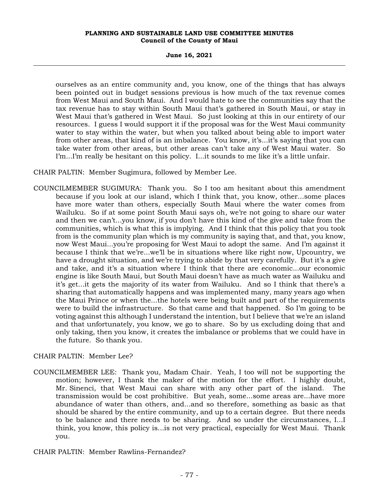**June 16, 2021**

ourselves as an entire community and, you know, one of the things that has always been pointed out in budget sessions previous is how much of the tax revenue comes from West Maui and South Maui. And I would hate to see the communities say that the tax revenue has to stay within South Maui that's gathered in South Maui, or stay in West Maui that's gathered in West Maui. So just looking at this in our entirety of our resources. I guess I would support it if the proposal was for the West Maui community water to stay within the water, but when you talked about being able to import water from other areas, that kind of is an imbalance. You know, it's...it's saying that you can take water from other areas, but other areas can't take any of West Maui water. So I'm...I'm really be hesitant on this policy. I...it sounds to me like it's a little unfair.

CHAIR PALTIN: Member Sugimura, followed by Member Lee.

COUNCILMEMBER SUGIMURA: Thank you. So I too am hesitant about this amendment because if you look at our island, which I think that, you know, other...some places have more water than others, especially South Maui where the water comes from Wailuku. So if at some point South Maui says oh, we're not going to share our water and then we can't...you know, if you don't have this kind of the give and take from the communities, which is what this is implying. And I think that this policy that you took from is the community plan which is my community is saying that, and that, you know, now West Maui...you're proposing for West Maui to adopt the same. And I'm against it because I think that we're...we'll be in situations where like right now, Upcountry, we have a drought situation, and we're trying to abide by that very carefully. But it's a give and take, and it's a situation where I think that there are economic...our economic engine is like South Maui, but South Maui doesn't have as much water as Wailuku and it's get...it gets the majority of its water from Wailuku. And so I think that there's a sharing that automatically happens and was implemented many, many years ago when the Maui Prince or when the...the hotels were being built and part of the requirements were to build the infrastructure. So that came and that happened. So I'm going to be voting against this although I understand the intention, but I believe that we're an island and that unfortunately, you know, we go to share. So by us excluding doing that and only taking, then you know, it creates the imbalance or problems that we could have in the future. So thank you.

## CHAIR PALTIN: Member Lee?

COUNCILMEMBER LEE: Thank you, Madam Chair. Yeah, I too will not be supporting the motion; however, I thank the maker of the motion for the effort. I highly doubt, Mr. Sinenci, that West Maui can share with any other part of the island. The transmission would be cost prohibitive. But yeah, some...some areas are...have more abundance of water than others, and...and so therefore, something as basic as that should be shared by the entire community, and up to a certain degree. But there needs to be balance and there needs to be sharing. And so under the circumstances, I...I think, you know, this policy is...is not very practical, especially for West Maui. Thank you.

CHAIR PALTIN: Member Rawlins-Fernandez?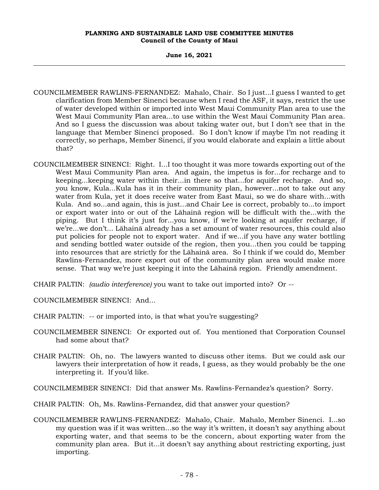**June 16, 2021**

- COUNCILMEMBER RAWLINS-FERNANDEZ: Mahalo, Chair. So I just...I guess I wanted to get clarification from Member Sinenci because when I read the ASF, it says, restrict the use of water developed within or imported into West Maui Community Plan area to use the West Maui Community Plan area...to use within the West Maui Community Plan area. And so I guess the discussion was about taking water out, but I don't see that in the language that Member Sinenci proposed. So I don't know if maybe I'm not reading it correctly, so perhaps, Member Sinenci, if you would elaborate and explain a little about that?
- COUNCILMEMBER SINENCI: Right. I...I too thought it was more towards exporting out of the West Maui Community Plan area. And again, the impetus is for...for recharge and to keeping...keeping water within their...in there so that...for aquifer recharge. And so, you know, Kula...Kula has it in their community plan, however...not to take out any water from Kula, yet it does receive water from East Maui, so we do share with...with Kula. And so...and again, this is just...and Chair Lee is correct, probably to...to import or export water into or out of the Lāhainā region will be difficult with the...with the piping. But I think it's just for...you know, if we're looking at aquifer recharge, if we're...we don't... Lāhainā already has a set amount of water resources, this could also put policies for people not to export water. And if we...if you have any water bottling and sending bottled water outside of the region, then you...then you could be tapping into resources that are strictly for the Lāhainā area. So I think if we could do, Member Rawlins-Fernandez, more export out of the community plan area would make more sense. That way we're just keeping it into the Lāhainā region. Friendly amendment.

CHAIR PALTIN: *(audio interference)* you want to take out imported into? Or --

COUNCILMEMBER SINENCI: And...

- CHAIR PALTIN: -- or imported into, is that what you're suggesting?
- COUNCILMEMBER SINENCI: Or exported out of. You mentioned that Corporation Counsel had some about that?
- CHAIR PALTIN: Oh, no. The lawyers wanted to discuss other items. But we could ask our lawyers their interpretation of how it reads, I guess, as they would probably be the one interpreting it. If you'd like.

COUNCILMEMBER SINENCI: Did that answer Ms. Rawlins-Fernandez's question? Sorry.

- CHAIR PALTIN: Oh, Ms. Rawlins-Fernandez, did that answer your question?
- COUNCILMEMBER RAWLINS-FERNANDEZ: Mahalo, Chair. Mahalo, Member Sinenci. I...so my question was if it was written...so the way it's written, it doesn't say anything about exporting water, and that seems to be the concern, about exporting water from the community plan area. But it...it doesn't say anything about restricting exporting, just importing.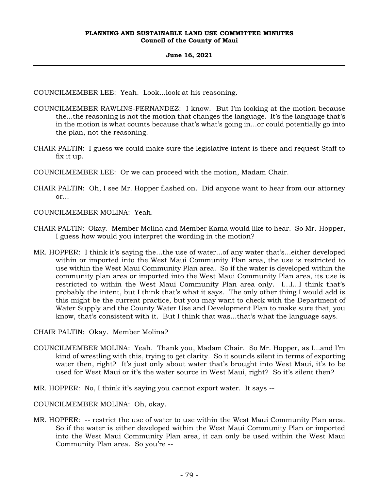## **June 16, 2021**

COUNCILMEMBER LEE: Yeah. Look...look at his reasoning.

- COUNCILMEMBER RAWLINS-FERNANDEZ: I know. But I'm looking at the motion because the...the reasoning is not the motion that changes the language. It's the language that's in the motion is what counts because that's what's going in...or could potentially go into the plan, not the reasoning.
- CHAIR PALTIN: I guess we could make sure the legislative intent is there and request Staff to fix it up.
- COUNCILMEMBER LEE: Or we can proceed with the motion, Madam Chair.
- CHAIR PALTIN: Oh, I see Mr. Hopper flashed on. Did anyone want to hear from our attorney or...
- COUNCILMEMBER MOLINA: Yeah.
- CHAIR PALTIN: Okay. Member Molina and Member Kama would like to hear. So Mr. Hopper, I guess how would you interpret the wording in the motion?
- MR. HOPPER: I think it's saying the...the use of water...of any water that's...either developed within or imported into the West Maui Community Plan area, the use is restricted to use within the West Maui Community Plan area. So if the water is developed within the community plan area or imported into the West Maui Community Plan area, its use is restricted to within the West Maui Community Plan area only. I...I...I think that's probably the intent, but I think that's what it says. The only other thing I would add is this might be the current practice, but you may want to check with the Department of Water Supply and the County Water Use and Development Plan to make sure that, you know, that's consistent with it. But I think that was...that's what the language says.

CHAIR PALTIN: Okay. Member Molina?

- COUNCILMEMBER MOLINA: Yeah. Thank you, Madam Chair. So Mr. Hopper, as I...and I'm kind of wrestling with this, trying to get clarity. So it sounds silent in terms of exporting water then, right? It's just only about water that's brought into West Maui, it's to be used for West Maui or it's the water source in West Maui, right? So it's silent then?
- MR. HOPPER: No, I think it's saying you cannot export water. It says --

COUNCILMEMBER MOLINA: Oh, okay.

MR. HOPPER: -- restrict the use of water to use within the West Maui Community Plan area. So if the water is either developed within the West Maui Community Plan or imported into the West Maui Community Plan area, it can only be used within the West Maui Community Plan area. So you're --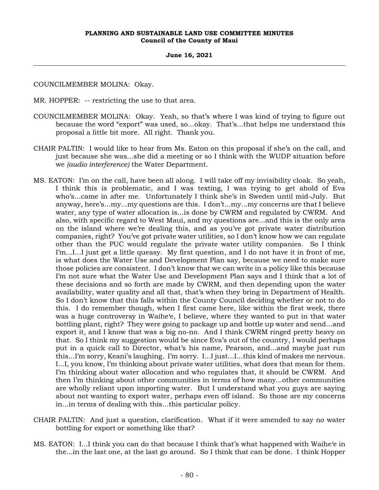#### **June 16, 2021**

COUNCILMEMBER MOLINA: Okay.

MR. HOPPER: -- restricting the use to that area.

- COUNCILMEMBER MOLINA: Okay. Yeah, so that's where I was kind of trying to figure out because the word "export" was used, so...okay. That's...that helps me understand this proposal a little bit more. All right. Thank you.
- CHAIR PALTIN: I would like to hear from Ms. Eaton on this proposal if she's on the call, and just because she was...she did a meeting or so I think with the WUDP situation before we *(audio interference)* the Water Department.
- MS. EATON: I'm on the call, have been all along. I will take off my invisibility cloak. So yeah, I think this is problematic, and I was texting, I was trying to get ahold of Eva who's...came in after me. Unfortunately I think she's in Sweden until mid-July. But anyway, here's...my...my questions are this. I don't...my...my concerns are that I believe water, any type of water allocation is...is done by CWRM and regulated by CWRM. And also, with specific regard to West Maui, and my questions are...and this is the only area on the island where we're dealing this, and as you've got private water distribution companies, right? You've got private water utilities, so I don't know how we can regulate other than the PUC would regulate the private water utility companies. So I think I'm...I...I just get a little queasy. My first question, and I do not have it in front of me, is what does the Water Use and Development Plan say, because we need to make sure those policies are consistent. I don't know that we can write in a policy like this because I'm not sure what the Water Use and Development Plan says and I think that a lot of these decisions and so forth are made by CWRM, and then depending upon the water availability, water quality and all that, that's when they bring in Department of Health. So I don't know that this falls within the County Council deciding whether or not to do this. I do remember though, when I first came here, like within the first week, there was a huge controversy in Waihe'e, I believe, where they wanted to put in that water bottling plant, right? They were going to package up and bottle up water and send...and export it, and I know that was a big no-no. And I think CWRM ringed pretty heavy on that. So I think my suggestion would be since Eva's out of the country, I would perhaps put in a quick call to Director, what's his name, Pearson, and...and maybe just run this...I'm sorry, Keani's laughing. I'm sorry. I...I just...I...this kind of makes me nervous. I...I, you know, I'm thinking about private water utilities, what does that mean for them. I'm thinking about water allocation and who regulates that, it should be CWRM. And then I'm thinking about other communities in terms of how many...other communities are wholly reliant upon importing water. But I understand what you guys are saying about not wanting to export water, perhaps even off island. So those are my concerns in...in terms of dealing with this...this particular policy.
- CHAIR PALTIN: And just a question, clarification. What if it were amended to say no water bottling for export or something like that?
- MS. EATON: I...I think you can do that because I think that's what happened with Waihe'e in the...in the last one, at the last go around. So I think that can be done. I think Hopper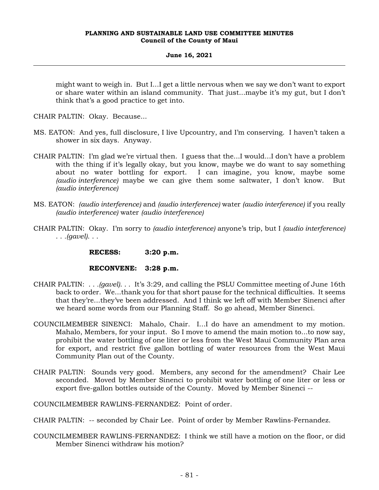## **June 16, 2021**

might want to weigh in. But I...I get a little nervous when we say we don't want to export or share water within an island community. That just...maybe it's my gut, but I don't think that's a good practice to get into.

CHAIR PALTIN: Okay. Because...

- MS. EATON: And yes, full disclosure, I live Upcountry, and I'm conserving. I haven't taken a shower in six days. Anyway.
- CHAIR PALTIN: I'm glad we're virtual then. I guess that the...I would...I don't have a problem with the thing if it's legally okay, but you know, maybe we do want to say something about no water bottling for export. I can imagine, you know, maybe some *(audio interference)* maybe we can give them some saltwater, I don't know. But *(audio interference)*
- MS. EATON: *(audio interference)* and *(audio interference)* water *(audio interference)* if you really *(audio interference)* water *(audio interference)*
- CHAIR PALTIN: Okay. I'm sorry to *(audio interference)* anyone's trip, but I *(audio interference)* . . *.(gavel)*. . .

**RECESS: 3:20 p.m.**

## **RECONVENE: 3:28 p.m.**

- CHAIR PALTIN: . . *.(gavel)*. . . It's 3:29, and calling the PSLU Committee meeting of June 16th back to order. We...thank you for that short pause for the technical difficulties. It seems that they're...they've been addressed. And I think we left off with Member Sinenci after we heard some words from our Planning Staff. So go ahead, Member Sinenci.
- COUNCILMEMBER SINENCI: Mahalo, Chair. I...I do have an amendment to my motion. Mahalo, Members, for your input. So I move to amend the main motion to...to now say, prohibit the water bottling of one liter or less from the West Maui Community Plan area for export, and restrict five gallon bottling of water resources from the West Maui Community Plan out of the County.
- CHAIR PALTIN: Sounds very good. Members, any second for the amendment? Chair Lee seconded. Moved by Member Sinenci to prohibit water bottling of one liter or less or export five-gallon bottles outside of the County. Moved by Member Sinenci --

COUNCILMEMBER RAWLINS-FERNANDEZ: Point of order.

- CHAIR PALTIN: -- seconded by Chair Lee. Point of order by Member Rawlins-Fernandez.
- COUNCILMEMBER RAWLINS-FERNANDEZ: I think we still have a motion on the floor, or did Member Sinenci withdraw his motion?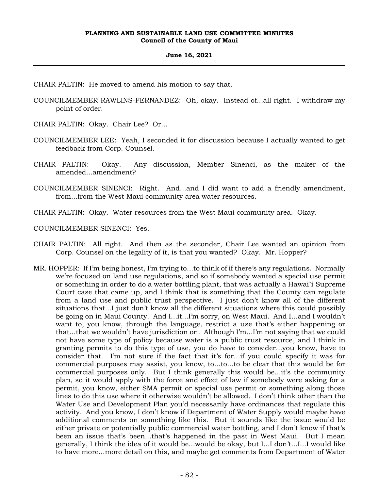#### **June 16, 2021**

- CHAIR PALTIN: He moved to amend his motion to say that.
- COUNCILMEMBER RAWLINS-FERNANDEZ: Oh, okay. Instead of...all right. I withdraw my point of order.
- CHAIR PALTIN: Okay. Chair Lee? Or...
- COUNCILMEMBER LEE: Yeah, I seconded it for discussion because I actually wanted to get feedback from Corp. Counsel.
- CHAIR PALTIN: Okay. Any discussion, Member Sinenci, as the maker of the amended...amendment?
- COUNCILMEMBER SINENCI: Right. And...and I did want to add a friendly amendment, from...from the West Maui community area water resources.
- CHAIR PALTIN: Okay. Water resources from the West Maui community area. Okay.
- COUNCILMEMBER SINENCI: Yes.
- CHAIR PALTIN: All right. And then as the seconder, Chair Lee wanted an opinion from Corp. Counsel on the legality of it, is that you wanted? Okay. Mr. Hopper?
- MR. HOPPER: If I'm being honest, I'm trying to...to think of if there's any regulations. Normally we're focused on land use regulations, and so if somebody wanted a special use permit or something in order to do a water bottling plant, that was actually a Hawai`i Supreme Court case that came up, and I think that is something that the County can regulate from a land use and public trust perspective. I just don't know all of the different situations that...I just don't know all the different situations where this could possibly be going on in Maui County. And I...it...I'm sorry, on West Maui. And I...and I wouldn't want to, you know, through the language, restrict a use that's either happening or that...that we wouldn't have jurisdiction on. Although I'm...I'm not saying that we could not have some type of policy because water is a public trust resource, and I think in granting permits to do this type of use, you do have to consider...you know, have to consider that. I'm not sure if the fact that it's for...if you could specify it was for commercial purposes may assist, you know, to...to...to be clear that this would be for commercial purposes only. But I think generally this would be...it's the community plan, so it would apply with the force and effect of law if somebody were asking for a permit, you know, either SMA permit or special use permit or something along those lines to do this use where it otherwise wouldn't be allowed. I don't think other than the Water Use and Development Plan you'd necessarily have ordinances that regulate this activity. And you know, I don't know if Department of Water Supply would maybe have additional comments on something like this. But it sounds like the issue would be either private or potentially public commercial water bottling, and I don't know if that's been an issue that's been...that's happened in the past in West Maui. But I mean generally, I think the idea of it would be...would be okay, but I...I don't...I...I would like to have more...more detail on this, and maybe get comments from Department of Water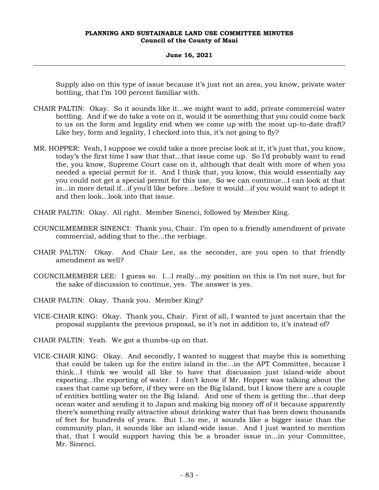## **June 16, 2021**

Supply also on this type of issue because it's just not an area, you know, private water bottling, that I'm 100 percent familiar with.

- CHAIR PALTIN: Okay. So it sounds like it...we might want to add, private commercial water bottling. And if we do take a vote on it, would it be something that you could come back to us on the form and legality end when we come up with the most up-to-date draft? Like hey, form and legality, I checked into this, it's not going to fly?
- MR. HOPPER: Yeah, I suppose we could take a more precise look at it, it's just that, you know, today's the first time I saw that that...that issue come up. So I'd probably want to read the, you know, Supreme Court case on it, although that dealt with more of when you needed a special permit for it. And I think that, you know, this would essentially say you could not get a special permit for this use. So we can continue...I can look at that in...in more detail if...if you'd like before...before it would...if you would want to adopt it and then look...look into that issue.
- CHAIR PALTIN: Okay. All right. Member Sinenci, followed by Member King.
- COUNCILMEMBER SINENCI: Thank you, Chair. I'm open to a friendly amendment of private commercial, adding that to the...the verbiage.
- CHAIR PALTIN: Okay. And Chair Lee, as the seconder, are you open to that friendly amendment as well?
- COUNCILMEMBER LEE: I guess so. I...I really...my position on this is I'm not sure, but for the sake of discussion to continue, yes. The answer is yes.
- CHAIR PALTIN: Okay. Thank you. Member King?
- VICE-CHAIR KING: Okay. Thank you, Chair. First of all, I wanted to just ascertain that the proposal supplants the previous proposal, so it's not in addition to, it's instead of?
- CHAIR PALTIN: Yeah. We got a thumbs-up on that.
- VICE-CHAIR KING: Okay. And secondly, I wanted to suggest that maybe this is something that could be taken up for the entire island in the...in the APT Committee, because I think...I think we would all like to have that discussion just island-wide about exporting...the exporting of water. I don't know if Mr. Hopper was talking about the cases that came up before, if they were on the Big Island, but I know there are a couple of entities bottling water on the Big Island. And one of them is getting the...that deep ocean water and sending it to Japan and making big money off of it because apparently there's something really attractive about drinking water that has been down thousands of feet for hundreds of years. But I...to me, it sounds like a bigger issue than the community plan, it sounds like an island-wide issue. And I just wanted to mention that, that I would support having this be a broader issue in...in your Committee, Mr. Sinenci.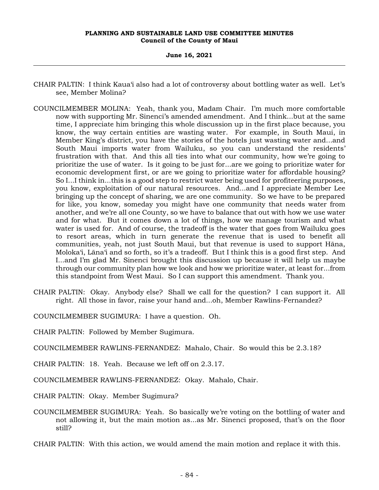#### **June 16, 2021**

- CHAIR PALTIN: I think Kaua'i also had a lot of controversy about bottling water as well. Let's see, Member Molina?
- COUNCILMEMBER MOLINA: Yeah, thank you, Madam Chair. I'm much more comfortable now with supporting Mr. Sinenci's amended amendment. And I think...but at the same time, I appreciate him bringing this whole discussion up in the first place because, you know, the way certain entities are wasting water. For example, in South Maui, in Member King's district, you have the stories of the hotels just wasting water and...and South Maui imports water from Wailuku, so you can understand the residents' frustration with that. And this all ties into what our community, how we're going to prioritize the use of water. Is it going to be just for...are we going to prioritize water for economic development first, or are we going to prioritize water for affordable housing? So I...I think in...this is a good step to restrict water being used for profiteering purposes, you know, exploitation of our natural resources. And...and I appreciate Member Lee bringing up the concept of sharing, we are one community. So we have to be prepared for like, you know, someday you might have one community that needs water from another, and we're all one County, so we have to balance that out with how we use water and for what. But it comes down a lot of things, how we manage tourism and what water is used for. And of course, the tradeoff is the water that goes from Wailuku goes to resort areas, which in turn generate the revenue that is used to benefit all communities, yeah, not just South Maui, but that revenue is used to support Hāna, Moloka'i, Lāna'i and so forth, so it's a tradeoff. But I think this is a good first step. And I...and I'm glad Mr. Sinenci brought this discussion up because it will help us maybe through our community plan how we look and how we prioritize water, at least for...from this standpoint from West Maui. So I can support this amendment. Thank you.
- CHAIR PALTIN: Okay. Anybody else? Shall we call for the question? I can support it. All right. All those in favor, raise your hand and...oh, Member Rawlins-Fernandez?
- COUNCILMEMBER SUGIMURA: I have a question. Oh.
- CHAIR PALTIN: Followed by Member Sugimura.
- COUNCILMEMBER RAWLINS-FERNANDEZ: Mahalo, Chair. So would this be 2.3.18?
- CHAIR PALTIN: 18. Yeah. Because we left off on 2.3.17.
- COUNCILMEMBER RAWLINS-FERNANDEZ: Okay. Mahalo, Chair.
- CHAIR PALTIN: Okay. Member Sugimura?
- COUNCILMEMBER SUGIMURA: Yeah. So basically we're voting on the bottling of water and not allowing it, but the main motion as...as Mr. Sinenci proposed, that's on the floor still?
- CHAIR PALTIN: With this action, we would amend the main motion and replace it with this.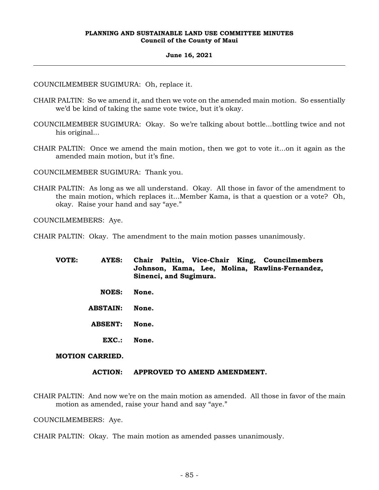#### **June 16, 2021**

COUNCILMEMBER SUGIMURA: Oh, replace it.

- CHAIR PALTIN: So we amend it, and then we vote on the amended main motion. So essentially we'd be kind of taking the same vote twice, but it's okay.
- COUNCILMEMBER SUGIMURA: Okay. So we're talking about bottle...bottling twice and not his original...
- CHAIR PALTIN: Once we amend the main motion, then we got to vote it...on it again as the amended main motion, but it's fine.

COUNCILMEMBER SUGIMURA: Thank you.

CHAIR PALTIN: As long as we all understand. Okay. All those in favor of the amendment to the main motion, which replaces it...Member Kama, is that a question or a vote? Oh, okay. Raise your hand and say "aye."

COUNCILMEMBERS: Aye.

CHAIR PALTIN: Okay. The amendment to the main motion passes unanimously.

- **VOTE: AYES: Chair Paltin, Vice-Chair King, Councilmembers Johnson, Kama, Lee, Molina, Rawlins-Fernandez, Sinenci, and Sugimura. NOES: None.**
	- **ABSTAIN: None.**
	- **ABSENT: None.**
		- **EXC.: None.**

## **MOTION CARRIED.**

## **ACTION: APPROVED TO AMEND AMENDMENT.**

CHAIR PALTIN: And now we're on the main motion as amended. All those in favor of the main motion as amended, raise your hand and say "aye."

COUNCILMEMBERS: Aye.

CHAIR PALTIN: Okay. The main motion as amended passes unanimously.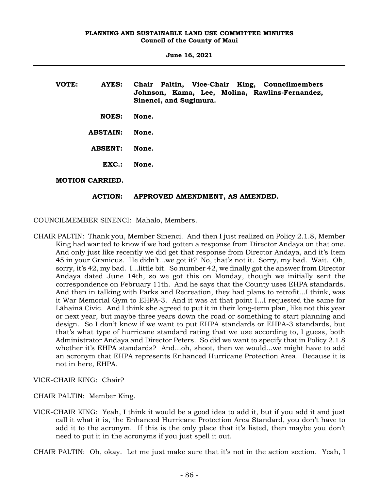**June 16, 2021**

| VOTE: | AYES:                  | Chair Paltin, Vice-Chair King, Councilmembers<br>Johnson, Kama, Lee, Molina, Rawlins-Fernandez,<br>Sinenci, and Sugimura. |
|-------|------------------------|---------------------------------------------------------------------------------------------------------------------------|
|       | <b>NOES:</b>           | None.                                                                                                                     |
|       | <b>ABSTAIN:</b>        | None.                                                                                                                     |
|       | <b>ABSENT:</b>         | None.                                                                                                                     |
|       | $\mathbf{EXC}$ :       | None.                                                                                                                     |
|       | <b>MOTION CARRIED.</b> |                                                                                                                           |

## **ACTION: APPROVED AMENDMENT, AS AMENDED.**

COUNCILMEMBER SINENCI: Mahalo, Members.

- CHAIR PALTIN: Thank you, Member Sinenci. And then I just realized on Policy 2.1.8, Member King had wanted to know if we had gotten a response from Director Andaya on that one. And only just like recently we did get that response from Director Andaya, and it's Item 45 in your Granicus. He didn't...we got it? No, that's not it. Sorry, my bad. Wait. Oh, sorry, it's 42, my bad. I...little bit. So number 42, we finally got the answer from Director Andaya dated June 14th, so we got this on Monday, though we initially sent the correspondence on February 11th. And he says that the County uses EHPA standards. And then in talking with Parks and Recreation, they had plans to retrofit...I think, was it War Memorial Gym to EHPA-3. And it was at that point I...I requested the same for Lāhainā Civic. And I think she agreed to put it in their long-term plan, like not this year or next year, but maybe three years down the road or something to start planning and design. So I don't know if we want to put EHPA standards or EHPA-3 standards, but that's what type of hurricane standard rating that we use according to, I guess, both Administrator Andaya and Director Peters. So did we want to specify that in Policy 2.1.8 whether it's EHPA standards? And...oh, shoot, then we would...we might have to add an acronym that EHPA represents Enhanced Hurricane Protection Area. Because it is not in here, EHPA.
- VICE-CHAIR KING: Chair?

CHAIR PALTIN: Member King.

VICE-CHAIR KING: Yeah, I think it would be a good idea to add it, but if you add it and just call it what it is, the Enhanced Hurricane Protection Area Standard, you don't have to add it to the acronym. If this is the only place that it's listed, then maybe you don't need to put it in the acronyms if you just spell it out.

CHAIR PALTIN: Oh, okay. Let me just make sure that it's not in the action section. Yeah, I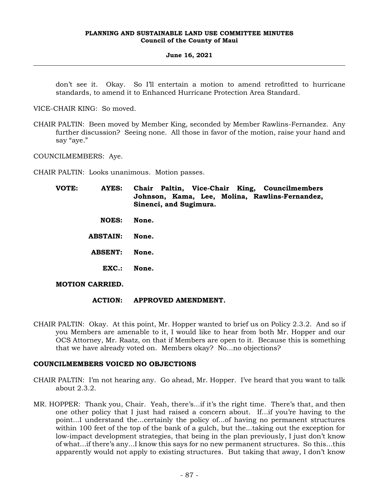#### **June 16, 2021**

don't see it. Okay. So I'll entertain a motion to amend retrofitted to hurricane standards, to amend it to Enhanced Hurricane Protection Area Standard.

VICE-CHAIR KING: So moved.

CHAIR PALTIN: Been moved by Member King, seconded by Member Rawlins-Fernandez. Any further discussion? Seeing none. All those in favor of the motion, raise your hand and say "aye."

COUNCILMEMBERS: Aye.

CHAIR PALTIN: Looks unanimous. Motion passes.

| VOTE: | AYES:           | Chair Paltin, Vice-Chair King, Councilmembers<br>Johnson, Kama, Lee, Molina, Rawlins-Fernandez,<br>Sinenci, and Sugimura. |
|-------|-----------------|---------------------------------------------------------------------------------------------------------------------------|
|       | <b>NOES:</b>    | None.                                                                                                                     |
|       | <b>ABSTAIN:</b> | None.                                                                                                                     |

- **ABSENT: None.**
	- **EXC.: None.**

## **MOTION CARRIED.**

## **ACTION: APPROVED AMENDMENT.**

CHAIR PALTIN: Okay. At this point, Mr. Hopper wanted to brief us on Policy 2.3.2. And so if you Members are amenable to it, I would like to hear from both Mr. Hopper and our OCS Attorney, Mr. Raatz, on that if Members are open to it. Because this is something that we have already voted on. Members okay? No...no objections?

## **COUNCILMEMBERS VOICED NO OBJECTIONS**

- CHAIR PALTIN: I'm not hearing any. Go ahead, Mr. Hopper. I've heard that you want to talk about 2.3.2.
- MR. HOPPER: Thank you, Chair. Yeah, there's...if it's the right time. There's that, and then one other policy that I just had raised a concern about. If...if you're having to the point...I understand the...certainly the policy of...of having no permanent structures within 100 feet of the top of the bank of a gulch, but the...taking out the exception for low-impact development strategies, that being in the plan previously, I just don't know of what...if there's any...I know this says for no new permanent structures. So this...this apparently would not apply to existing structures. But taking that away, I don't know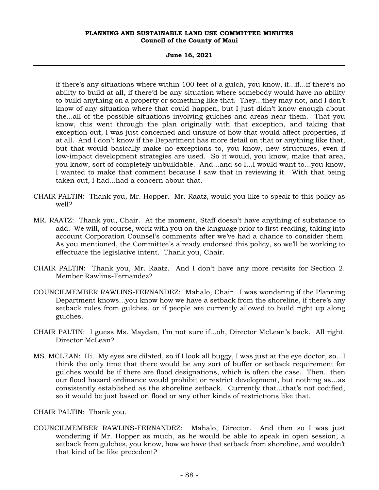#### **June 16, 2021**

if there's any situations where within 100 feet of a gulch, you know, if...if...if there's no ability to build at all, if there'd be any situation where somebody would have no ability to build anything on a property or something like that. They...they may not, and I don't know of any situation where that could happen, but I just didn't know enough about the...all of the possible situations involving gulches and areas near them. That you know, this went through the plan originally with that exception, and taking that exception out, I was just concerned and unsure of how that would affect properties, if at all. And I don't know if the Department has more detail on that or anything like that, but that would basically make no exceptions to, you know, new structures, even if low-impact development strategies are used. So it would, you know, make that area, you know, sort of completely unbuildable. And...and so I...I would want to...you know, I wanted to make that comment because I saw that in reviewing it. With that being taken out, I had...had a concern about that.

- CHAIR PALTIN: Thank you, Mr. Hopper. Mr. Raatz, would you like to speak to this policy as well?
- MR. RAATZ: Thank you, Chair. At the moment, Staff doesn't have anything of substance to add. We will, of course, work with you on the language prior to first reading, taking into account Corporation Counsel's comments after we've had a chance to consider them. As you mentioned, the Committee's already endorsed this policy, so we'll be working to effectuate the legislative intent. Thank you, Chair.
- CHAIR PALTIN: Thank you, Mr. Raatz. And I don't have any more revisits for Section 2. Member Rawlins-Fernandez?
- COUNCILMEMBER RAWLINS-FERNANDEZ: Mahalo, Chair. I was wondering if the Planning Department knows...you know how we have a setback from the shoreline, if there's any setback rules from gulches, or if people are currently allowed to build right up along gulches.
- CHAIR PALTIN: I guess Ms. Maydan, I'm not sure if...oh, Director McLean's back. All right. Director McLean?
- MS. MCLEAN: Hi. My eyes are dilated, so if I look all buggy, I was just at the eye doctor, so...I think the only time that there would be any sort of buffer or setback requirement for gulches would be if there are flood designations, which is often the case. Then...then our flood hazard ordinance would prohibit or restrict development, but nothing as...as consistently established as the shoreline setback. Currently that...that's not codified, so it would be just based on flood or any other kinds of restrictions like that.

CHAIR PALTIN: Thank you.

COUNCILMEMBER RAWLINS-FERNANDEZ: Mahalo, Director. And then so I was just wondering if Mr. Hopper as much, as he would be able to speak in open session, a setback from gulches, you know, how we have that setback from shoreline, and wouldn't that kind of be like precedent?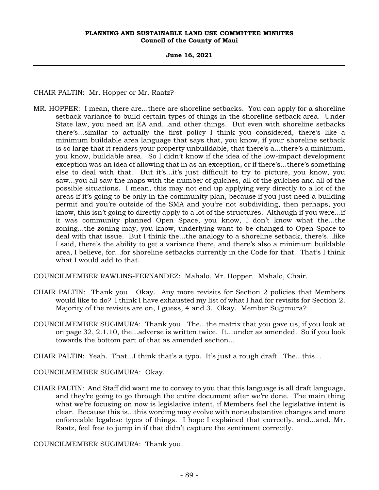**June 16, 2021**

CHAIR PALTIN: Mr. Hopper or Mr. Raatz?

MR. HOPPER: I mean, there are...there are shoreline setbacks. You can apply for a shoreline setback variance to build certain types of things in the shoreline setback area. Under State law, you need an EA and...and other things. But even with shoreline setbacks there's...similar to actually the first policy I think you considered, there's like a minimum buildable area language that says that, you know, if your shoreline setback is so large that it renders your property unbuildable, that there's a...there's a minimum, you know, buildable area. So I didn't know if the idea of the low-impact development exception was an idea of allowing that in as an exception, or if there's...there's something else to deal with that. But it's...it's just difficult to try to picture, you know, you saw...you all saw the maps with the number of gulches, all of the gulches and all of the possible situations. I mean, this may not end up applying very directly to a lot of the areas if it's going to be only in the community plan, because if you just need a building permit and you're outside of the SMA and you're not subdividing, then perhaps, you know, this isn't going to directly apply to a lot of the structures. Although if you were...if it was community planned Open Space, you know, I don't know what the...the zoning...the zoning may, you know, underlying want to be changed to Open Space to deal with that issue. But I think the...the analogy to a shoreline setback, there's...like I said, there's the ability to get a variance there, and there's also a minimum buildable area, I believe, for...for shoreline setbacks currently in the Code for that. That's I think what I would add to that.

COUNCILMEMBER RAWLINS-FERNANDEZ: Mahalo, Mr. Hopper. Mahalo, Chair.

- CHAIR PALTIN: Thank you. Okay. Any more revisits for Section 2 policies that Members would like to do? I think I have exhausted my list of what I had for revisits for Section 2. Majority of the revisits are on, I guess, 4 and 3. Okay. Member Sugimura?
- COUNCILMEMBER SUGIMURA: Thank you. The...the matrix that you gave us, if you look at on page 32, 2.1.10, the...adverse is written twice. It...under as amended. So if you look towards the bottom part of that as amended section...

CHAIR PALTIN: Yeah. That...I think that's a typo. It's just a rough draft. The...this...

COUNCILMEMBER SUGIMURA: Okay.

CHAIR PALTIN: And Staff did want me to convey to you that this language is all draft language, and they're going to go through the entire document after we're done. The main thing what we're focusing on now is legislative intent, if Members feel the legislative intent is clear. Because this is...this wording may evolve with nonsubstantive changes and more enforceable legalese types of things. I hope I explained that correctly, and...and, Mr. Raatz, feel free to jump in if that didn't capture the sentiment correctly.

COUNCILMEMBER SUGIMURA: Thank you.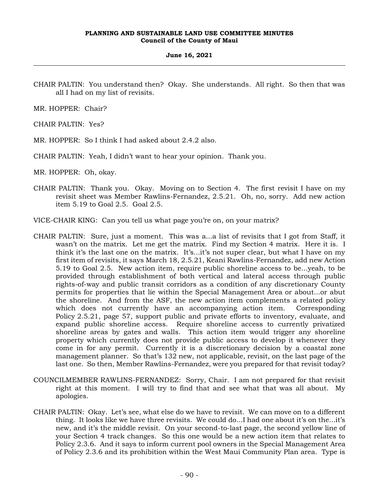## **June 16, 2021**

CHAIR PALTIN: You understand then? Okay. She understands. All right. So then that was all I had on my list of revisits.

MR. HOPPER: Chair?

CHAIR PALTIN: Yes?

- MR. HOPPER: So I think I had asked about 2.4.2 also.
- CHAIR PALTIN: Yeah, I didn't want to hear your opinion. Thank you.

MR. HOPPER: Oh, okay.

CHAIR PALTIN: Thank you. Okay. Moving on to Section 4. The first revisit I have on my revisit sheet was Member Rawlins-Fernandez, 2.5.21. Oh, no, sorry. Add new action item 5.19 to Goal 2.5. Goal 2.5.

VICE-CHAIR KING: Can you tell us what page you're on, on your matrix?

- CHAIR PALTIN: Sure, just a moment. This was a...a list of revisits that I got from Staff, it wasn't on the matrix. Let me get the matrix. Find my Section 4 matrix. Here it is. I think it's the last one on the matrix. It's...it's not super clear, but what I have on my first item of revisits, it says March 18, 2.5.21, Keani Rawlins-Fernandez, add new Action 5.19 to Goal 2.5. New action item, require public shoreline access to be...yeah, to be provided through establishment of both vertical and lateral access through public rights-of-way and public transit corridors as a condition of any discretionary County permits for properties that lie within the Special Management Area or about...or abut the shoreline. And from the ASF, the new action item complements a related policy which does not currently have an accompanying action item. Corresponding Policy 2.5.21, page 57, support public and private efforts to inventory, evaluate, and expand public shoreline access. Require shoreline access to currently privatized shoreline areas by gates and walls. This action item would trigger any shoreline property which currently does not provide public access to develop it whenever they come in for any permit. Currently it is a discretionary decision by a coastal zone management planner. So that's 132 new, not applicable, revisit, on the last page of the last one. So then, Member Rawlins-Fernandez, were you prepared for that revisit today?
- COUNCILMEMBER RAWLINS-FERNANDEZ: Sorry, Chair. I am not prepared for that revisit right at this moment. I will try to find that and see what that was all about. My apologies.
- CHAIR PALTIN: Okay. Let's see, what else do we have to revisit. We can move on to a different thing. It looks like we have three revisits. We could do...I had one about it's on the...it's new, and it's the middle revisit. On your second-to-last page, the second yellow line of your Section 4 track changes. So this one would be a new action item that relates to Policy 2.3.6. And it says to inform current pool owners in the Special Management Area of Policy 2.3.6 and its prohibition within the West Maui Community Plan area. Type is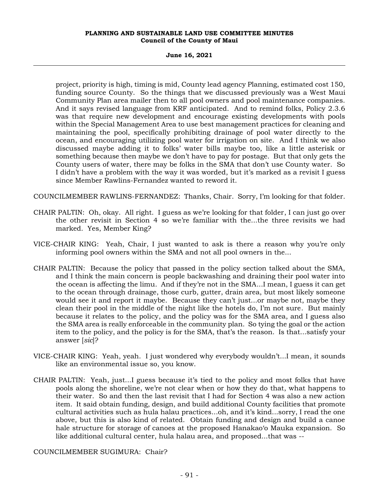**June 16, 2021**

project, priority is high, timing is mid, County lead agency Planning, estimated cost 150, funding source County. So the things that we discussed previously was a West Maui Community Plan area mailer then to all pool owners and pool maintenance companies. And it says revised language from KRF anticipated. And to remind folks, Policy 2.3.6 was that require new development and encourage existing developments with pools within the Special Management Area to use best management practices for cleaning and maintaining the pool, specifically prohibiting drainage of pool water directly to the ocean, and encouraging utilizing pool water for irrigation on site. And I think we also discussed maybe adding it to folks' water bills maybe too, like a little asterisk or something because then maybe we don't have to pay for postage. But that only gets the County users of water, there may be folks in the SMA that don't use County water. So I didn't have a problem with the way it was worded, but it's marked as a revisit I guess since Member Rawlins-Fernandez wanted to reword it.

COUNCILMEMBER RAWLINS-FERNANDEZ: Thanks, Chair. Sorry, I'm looking for that folder.

- CHAIR PALTIN: Oh, okay. All right. I guess as we're looking for that folder, I can just go over the other revisit in Section 4 so we're familiar with the...the three revisits we had marked. Yes, Member King?
- VICE-CHAIR KING: Yeah, Chair, I just wanted to ask is there a reason why you're only informing pool owners within the SMA and not all pool owners in the...
- CHAIR PALTIN: Because the policy that passed in the policy section talked about the SMA, and I think the main concern is people backwashing and draining their pool water into the ocean is affecting the limu. And if they're not in the SMA...I mean, I guess it can get to the ocean through drainage, those curb, gutter, drain area, but most likely someone would see it and report it maybe. Because they can't just...or maybe not, maybe they clean their pool in the middle of the night like the hotels do, I'm not sure. But mainly because it relates to the policy, and the policy was for the SMA area, and I guess also the SMA area is really enforceable in the community plan. So tying the goal or the action item to the policy, and the policy is for the SMA, that's the reason. Is that...satisfy your answer [*sic*]?
- VICE-CHAIR KING: Yeah, yeah. I just wondered why everybody wouldn't...I mean, it sounds like an environmental issue so, you know.
- CHAIR PALTIN: Yeah, just...I guess because it's tied to the policy and most folks that have pools along the shoreline, we're not clear when or how they do that, what happens to their water. So and then the last revisit that I had for Section 4 was also a new action item. It said obtain funding, design, and build additional County facilities that promote cultural activities such as hula halau practices...oh, and it's kind...sorry, I read the one above, but this is also kind of related. Obtain funding and design and build a canoe hale structure for storage of canoes at the proposed Hanakao'o Mauka expansion. So like additional cultural center, hula halau area, and proposed...that was --

COUNCILMEMBER SUGIMURA: Chair?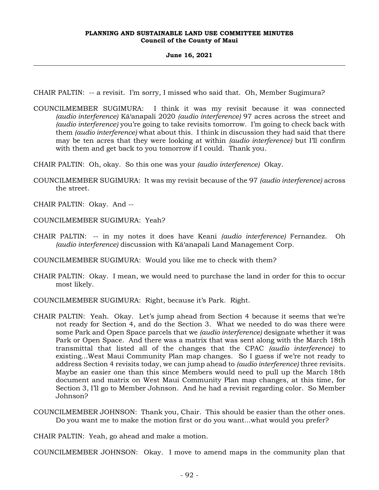#### **June 16, 2021**

CHAIR PALTIN: -- a revisit. I'm sorry, I missed who said that. Oh, Member Sugimura?

COUNCILMEMBER SUGIMURA: I think it was my revisit because it was connected *(audio interference)* Kā'anapali 2020 *(audio interference)* 97 acres across the street and *(audio interference)* you're going to take revisits tomorrow. I'm going to check back with them *(audio interference)* what about this. I think in discussion they had said that there may be ten acres that they were looking at within *(audio interference)* but I'll confirm with them and get back to you tomorrow if I could. Thank you.

CHAIR PALTIN: Oh, okay. So this one was your *(audio interference)* Okay.

COUNCILMEMBER SUGIMURA: It was my revisit because of the 97 *(audio interference)* across the street.

CHAIR PALTIN: Okay. And --

COUNCILMEMBER SUGIMURA: Yeah?

CHAIR PALTIN: -- in my notes it does have Keani *(audio interference)* Fernandez. Oh *(audio interference)* discussion with Kā'anapali Land Management Corp.

COUNCILMEMBER SUGIMURA: Would you like me to check with them?

CHAIR PALTIN: Okay. I mean, we would need to purchase the land in order for this to occur most likely.

COUNCILMEMBER SUGIMURA: Right, because it's Park. Right.

- CHAIR PALTIN: Yeah. Okay. Let's jump ahead from Section 4 because it seems that we're not ready for Section 4, and do the Section 3. What we needed to do was there were some Park and Open Space parcels that we *(audio interference)* designate whether it was Park or Open Space. And there was a matrix that was sent along with the March 18th transmittal that listed all of the changes that the CPAC *(audio interference)* to existing...West Maui Community Plan map changes. So I guess if we're not ready to address Section 4 revisits today, we can jump ahead to *(audio interference)* three revisits. Maybe an easier one than this since Members would need to pull up the March 18th document and matrix on West Maui Community Plan map changes, at this time, for Section 3, I'll go to Member Johnson. And he had a revisit regarding color. So Member Johnson?
- COUNCILMEMBER JOHNSON: Thank you, Chair. This should be easier than the other ones. Do you want me to make the motion first or do you want...what would you prefer?

CHAIR PALTIN: Yeah, go ahead and make a motion.

COUNCILMEMBER JOHNSON: Okay. I move to amend maps in the community plan that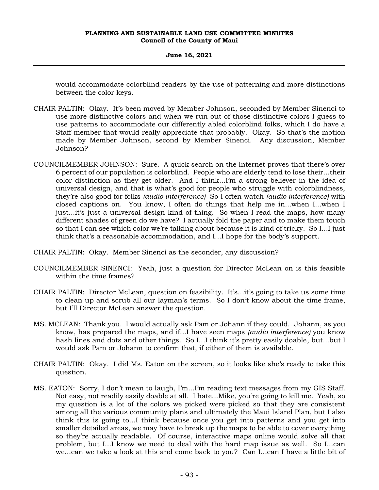## **June 16, 2021**

would accommodate colorblind readers by the use of patterning and more distinctions between the color keys.

- CHAIR PALTIN: Okay. It's been moved by Member Johnson, seconded by Member Sinenci to use more distinctive colors and when we run out of those distinctive colors I guess to use patterns to accommodate our differently abled colorblind folks, which I do have a Staff member that would really appreciate that probably. Okay. So that's the motion made by Member Johnson, second by Member Sinenci. Any discussion, Member Johnson?
- COUNCILMEMBER JOHNSON: Sure. A quick search on the Internet proves that there's over 6 percent of our population is colorblind. People who are elderly tend to lose their...their color distinction as they get older. And I think...I'm a strong believer in the idea of universal design, and that is what's good for people who struggle with colorblindness, they're also good for folks *(audio interference)* So I often watch *(audio interference)* with closed captions on. You know, I often do things that help me in...when I...when I just...it's just a universal design kind of thing. So when I read the maps, how many different shades of green do we have? I actually fold the paper and to make them touch so that I can see which color we're talking about because it is kind of tricky. So I...I just think that's a reasonable accommodation, and I...I hope for the body's support.
- CHAIR PALTIN: Okay. Member Sinenci as the seconder, any discussion?
- COUNCILMEMBER SINENCI: Yeah, just a question for Director McLean on is this feasible within the time frames?
- CHAIR PALTIN: Director McLean, question on feasibility. It's...it's going to take us some time to clean up and scrub all our layman's terms. So I don't know about the time frame, but I'll Director McLean answer the question.
- MS. MCLEAN: Thank you. I would actually ask Pam or Johann if they could...Johann, as you know, has prepared the maps, and if...I have seen maps *(audio interference)* you know hash lines and dots and other things. So I...I think it's pretty easily doable, but...but I would ask Pam or Johann to confirm that, if either of them is available.
- CHAIR PALTIN: Okay. I did Ms. Eaton on the screen, so it looks like she's ready to take this question.
- MS. EATON: Sorry, I don't mean to laugh, I'm...I'm reading text messages from my GIS Staff. Not easy, not readily easily doable at all. I hate...Mike, you're going to kill me. Yeah, so my question is a lot of the colors we picked were picked so that they are consistent among all the various community plans and ultimately the Maui Island Plan, but I also think this is going to...I think because once you get into patterns and you get into smaller detailed areas, we may have to break up the maps to be able to cover everything so they're actually readable. Of course, interactive maps online would solve all that problem, but I...I know we need to deal with the hard map issue as well. So I...can we...can we take a look at this and come back to you? Can I...can I have a little bit of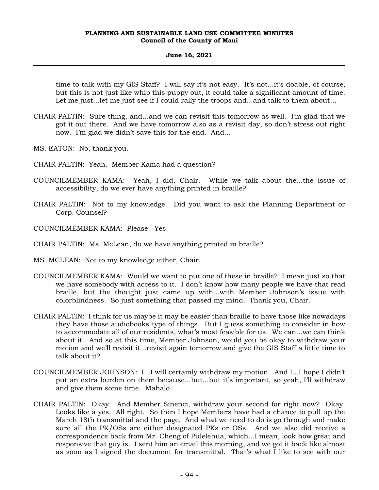#### **June 16, 2021**

time to talk with my GIS Staff? I will say it's not easy. It's not...it's doable, of course, but this is not just like whip this puppy out, it could take a significant amount of time. Let me just...let me just see if I could rally the troops and...and talk to them about...

- CHAIR PALTIN: Sure thing, and...and we can revisit this tomorrow as well. I'm glad that we got it out there. And we have tomorrow also as a revisit day, so don't stress out right now. I'm glad we didn't save this for the end. And...
- MS. EATON: No, thank you.
- CHAIR PALTIN: Yeah. Member Kama had a question?
- COUNCILMEMBER KAMA: Yeah, I did, Chair. While we talk about the...the issue of accessibility, do we ever have anything printed in braille?
- CHAIR PALTIN: Not to my knowledge. Did you want to ask the Planning Department or Corp. Counsel?
- COUNCILMEMBER KAMA: Please. Yes.
- CHAIR PALTIN: Ms. McLean, do we have anything printed in braille?
- MS. MCLEAN: Not to my knowledge either, Chair.
- COUNCILMEMBER KAMA: Would we want to put one of these in braille? I mean just so that we have somebody with access to it. I don't know how many people we have that read braille, but the thought just came up with...with Member Johnson's issue with colorblindness. So just something that passed my mind. Thank you, Chair.
- CHAIR PALTIN: I think for us maybe it may be easier than braille to have those like nowadays they have those audiobooks type of things. But I guess something to consider in how to accommodate all of our residents, what's most feasible for us. We can...we can think about it. And so at this time, Member Johnson, would you be okay to withdraw your motion and we'll revisit it...revisit again tomorrow and give the GIS Staff a little time to talk about it?
- COUNCILMEMBER JOHNSON: I...I will certainly withdraw my motion. And I...I hope I didn't put an extra burden on them because...but...but it's important, so yeah, I'll withdraw and give them some time. Mahalo.
- CHAIR PALTIN: Okay. And Member Sinenci, withdraw your second for right now? Okay. Looks like a yes. All right. So then I hope Members have had a chance to pull up the March 18th transmittal and the page. And what we need to do is go through and make sure all the PK/OSs are either designated PKs or OSs. And we also did receive a correspondence back from Mr. Cheng of Pulelehua, which...I mean, look how great and responsive that guy is. I sent him an email this morning, and we got it back like almost as soon as I signed the document for transmittal. That's what I like to see with our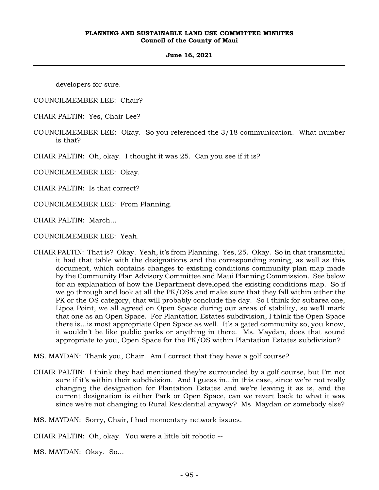#### **June 16, 2021**

developers for sure.

COUNCILMEMBER LEE: Chair?

- CHAIR PALTIN: Yes, Chair Lee?
- COUNCILMEMBER LEE: Okay. So you referenced the 3/18 communication. What number is that?

CHAIR PALTIN: Oh, okay. I thought it was 25. Can you see if it is?

COUNCILMEMBER LEE: Okay.

CHAIR PALTIN: Is that correct?

COUNCILMEMBER LEE: From Planning.

CHAIR PALTIN: March...

COUNCILMEMBER LEE: Yeah.

- CHAIR PALTIN: That is? Okay. Yeah, it's from Planning. Yes, 25. Okay. So in that transmittal it had that table with the designations and the corresponding zoning, as well as this document, which contains changes to existing conditions community plan map made by the Community Plan Advisory Committee and Maui Planning Commission. See below for an explanation of how the Department developed the existing conditions map. So if we go through and look at all the PK/OSs and make sure that they fall within either the PK or the OS category, that will probably conclude the day. So I think for subarea one, Lipoa Point, we all agreed on Open Space during our areas of stability, so we'll mark that one as an Open Space. For Plantation Estates subdivision, I think the Open Space there is...is most appropriate Open Space as well. It's a gated community so, you know, it wouldn't be like public parks or anything in there. Ms. Maydan, does that sound appropriate to you, Open Space for the PK/OS within Plantation Estates subdivision?
- MS. MAYDAN: Thank you, Chair. Am I correct that they have a golf course?
- CHAIR PALTIN: I think they had mentioned they're surrounded by a golf course, but I'm not sure if it's within their subdivision. And I guess in...in this case, since we're not really changing the designation for Plantation Estates and we're leaving it as is, and the current designation is either Park or Open Space, can we revert back to what it was since we're not changing to Rural Residential anyway? Ms. Maydan or somebody else?

MS. MAYDAN: Sorry, Chair, I had momentary network issues.

CHAIR PALTIN: Oh, okay. You were a little bit robotic --

MS. MAYDAN: Okay. So...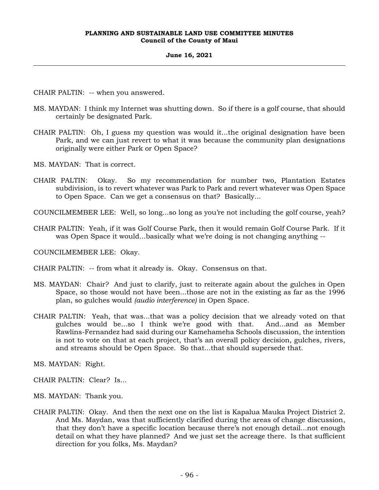## **June 16, 2021**

CHAIR PALTIN: -- when you answered.

- MS. MAYDAN: I think my Internet was shutting down. So if there is a golf course, that should certainly be designated Park.
- CHAIR PALTIN: Oh, I guess my question was would it...the original designation have been Park, and we can just revert to what it was because the community plan designations originally were either Park or Open Space?
- MS. MAYDAN: That is correct.
- CHAIR PALTIN: Okay. So my recommendation for number two, Plantation Estates subdivision, is to revert whatever was Park to Park and revert whatever was Open Space to Open Space. Can we get a consensus on that? Basically...

COUNCILMEMBER LEE: Well, so long...so long as you're not including the golf course, yeah?

CHAIR PALTIN: Yeah, if it was Golf Course Park, then it would remain Golf Course Park. If it was Open Space it would...basically what we're doing is not changing anything --

COUNCILMEMBER LEE: Okay.

CHAIR PALTIN: -- from what it already is. Okay. Consensus on that.

- MS. MAYDAN: Chair? And just to clarify, just to reiterate again about the gulches in Open Space, so those would not have been...those are not in the existing as far as the 1996 plan, so gulches would *(audio interference)* in Open Space.
- CHAIR PALTIN: Yeah, that was...that was a policy decision that we already voted on that gulches would be...so I think we're good with that. And...and as Member Rawlins-Fernandez had said during our Kamehameha Schools discussion, the intention is not to vote on that at each project, that's an overall policy decision, gulches, rivers, and streams should be Open Space. So that...that should supersede that.

MS. MAYDAN: Right.

CHAIR PALTIN: Clear? Is...

MS. MAYDAN: Thank you.

CHAIR PALTIN: Okay. And then the next one on the list is Kapalua Mauka Project District 2. And Ms. Maydan, was that sufficiently clarified during the areas of change discussion, that they don't have a specific location because there's not enough detail...not enough detail on what they have planned? And we just set the acreage there. Is that sufficient direction for you folks, Ms. Maydan?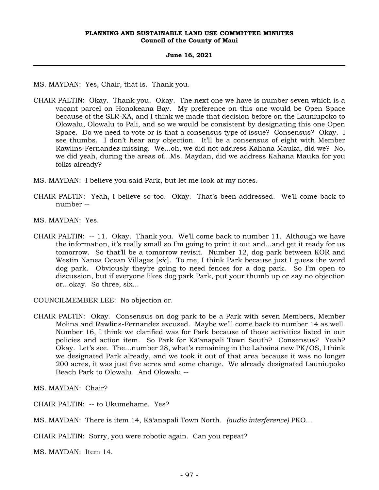#### **June 16, 2021**

MS. MAYDAN: Yes, Chair, that is. Thank you.

- CHAIR PALTIN: Okay. Thank you. Okay. The next one we have is number seven which is a vacant parcel on Honokeana Bay. My preference on this one would be Open Space because of the SLR-XA, and I think we made that decision before on the Launiupoko to Olowalu, Olowalu to Pali, and so we would be consistent by designating this one Open Space. Do we need to vote or is that a consensus type of issue? Consensus? Okay. I see thumbs. I don't hear any objection. It'll be a consensus of eight with Member Rawlins-Fernandez missing. We...oh, we did not address Kahana Mauka, did we? No, we did yeah, during the areas of...Ms. Maydan, did we address Kahana Mauka for you folks already?
- MS. MAYDAN: I believe you said Park, but let me look at my notes.
- CHAIR PALTIN: Yeah, I believe so too. Okay. That's been addressed. We'll come back to number --
- MS. MAYDAN: Yes.
- CHAIR PALTIN: -- 11. Okay. Thank you. We'll come back to number 11. Although we have the information, it's really small so I'm going to print it out and...and get it ready for us tomorrow. So that'll be a tomorrow revisit. Number 12, dog park between KOR and Westin Nanea Ocean Villages [*sic*]. To me, I think Park because just I guess the word dog park. Obviously they're going to need fences for a dog park. So I'm open to discussion, but if everyone likes dog park Park, put your thumb up or say no objection or...okay. So three, six...

COUNCILMEMBER LEE: No objection or.

CHAIR PALTIN: Okay. Consensus on dog park to be a Park with seven Members, Member Molina and Rawlins-Fernandez excused. Maybe we'll come back to number 14 as well. Number 16, I think we clarified was for Park because of those activities listed in our policies and action item. So Park for Kā'anapali Town South? Consensus? Yeah? Okay. Let's see. The...number 28, what's remaining in the Lāhainā new PK/OS, I think we designated Park already, and we took it out of that area because it was no longer 200 acres, it was just five acres and some change. We already designated Launiupoko Beach Park to Olowalu. And Olowalu --

MS. MAYDAN: Chair?

CHAIR PALTIN: -- to Ukumehame. Yes?

CHAIR PALTIN: Sorry, you were robotic again. Can you repeat?

MS. MAYDAN: Item 14.

MS. MAYDAN: There is item 14, Kā'anapali Town North. *(audio interference)* PKO...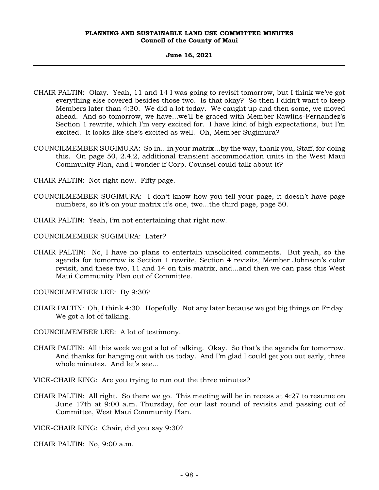#### **June 16, 2021**

- CHAIR PALTIN: Okay. Yeah, 11 and 14 I was going to revisit tomorrow, but I think we've got everything else covered besides those two. Is that okay? So then I didn't want to keep Members later than 4:30. We did a lot today. We caught up and then some, we moved ahead. And so tomorrow, we have...we'll be graced with Member Rawlins-Fernandez's Section 1 rewrite, which I'm very excited for. I have kind of high expectations, but I'm excited. It looks like she's excited as well. Oh, Member Sugimura?
- COUNCILMEMBER SUGIMURA: So in...in your matrix...by the way, thank you, Staff, for doing this. On page 50, 2.4.2, additional transient accommodation units in the West Maui Community Plan, and I wonder if Corp. Counsel could talk about it?
- CHAIR PALTIN: Not right now. Fifty page.
- COUNCILMEMBER SUGIMURA: I don't know how you tell your page, it doesn't have page numbers, so it's on your matrix it's one, two...the third page, page 50.
- CHAIR PALTIN: Yeah, I'm not entertaining that right now.
- COUNCILMEMBER SUGIMURA: Later?
- CHAIR PALTIN: No, I have no plans to entertain unsolicited comments. But yeah, so the agenda for tomorrow is Section 1 rewrite, Section 4 revisits, Member Johnson's color revisit, and these two, 11 and 14 on this matrix, and...and then we can pass this West Maui Community Plan out of Committee.

COUNCILMEMBER LEE: By 9:30?

- CHAIR PALTIN: Oh, I think 4:30. Hopefully. Not any later because we got big things on Friday. We got a lot of talking.
- COUNCILMEMBER LEE: A lot of testimony.
- CHAIR PALTIN: All this week we got a lot of talking. Okay. So that's the agenda for tomorrow. And thanks for hanging out with us today. And I'm glad I could get you out early, three whole minutes. And let's see...
- VICE-CHAIR KING: Are you trying to run out the three minutes?
- CHAIR PALTIN: All right. So there we go. This meeting will be in recess at 4:27 to resume on June 17th at 9:00 a.m. Thursday, for our last round of revisits and passing out of Committee, West Maui Community Plan.

VICE-CHAIR KING: Chair, did you say 9:30?

CHAIR PALTIN: No, 9:00 a.m.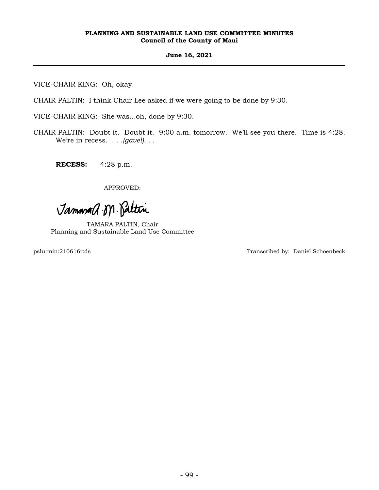## **June 16, 2021**

VICE-CHAIR KING: Oh, okay.

CHAIR PALTIN: I think Chair Lee asked if we were going to be done by 9:30.

VICE-CHAIR KING: She was...oh, done by 9:30.

CHAIR PALTIN: Doubt it. Doubt it. 9:00 a.m. tomorrow. We'll see you there. Time is 4:28. We're in recess. . . .*(gavel)*. . .

**RECESS:** 4:28 p.m.

APPROVED:

Jammad M. Paltin

TAMARA PALTIN, Chair Planning and Sustainable Land Use Committee

pslu:min:210616r:ds Transcribed by: Daniel Schoenbeck